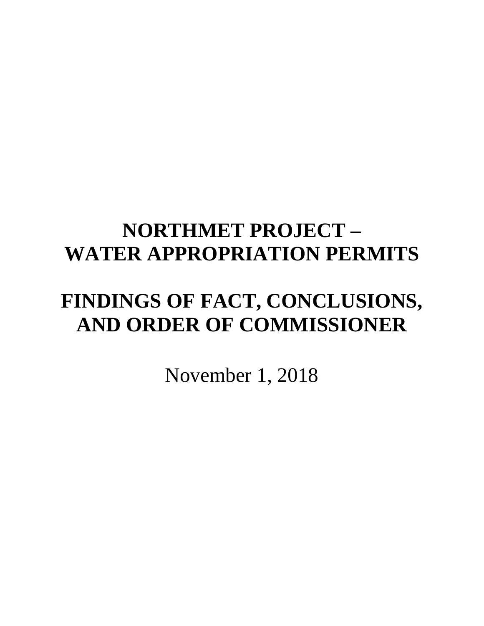# **NORTHMET PROJECT – WATER APPROPRIATION PERMITS**

# **FINDINGS OF FACT, CONCLUSIONS, AND ORDER OF COMMISSIONER**

November 1, 2018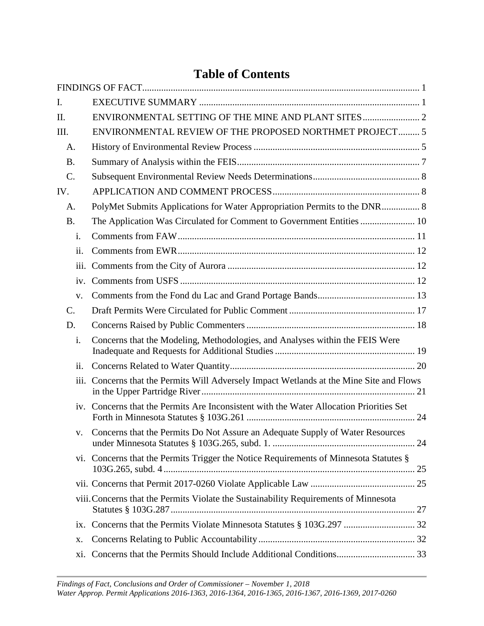# **Table of Contents**

| i.   |                                                                                       |                                                                                                                                                                                                                                                                                                                                                                                                                                                                                                                                                                                    |
|------|---------------------------------------------------------------------------------------|------------------------------------------------------------------------------------------------------------------------------------------------------------------------------------------------------------------------------------------------------------------------------------------------------------------------------------------------------------------------------------------------------------------------------------------------------------------------------------------------------------------------------------------------------------------------------------|
| ii.  |                                                                                       |                                                                                                                                                                                                                                                                                                                                                                                                                                                                                                                                                                                    |
| iii. |                                                                                       |                                                                                                                                                                                                                                                                                                                                                                                                                                                                                                                                                                                    |
| iv.  |                                                                                       |                                                                                                                                                                                                                                                                                                                                                                                                                                                                                                                                                                                    |
| V.   |                                                                                       |                                                                                                                                                                                                                                                                                                                                                                                                                                                                                                                                                                                    |
|      |                                                                                       |                                                                                                                                                                                                                                                                                                                                                                                                                                                                                                                                                                                    |
|      |                                                                                       |                                                                                                                                                                                                                                                                                                                                                                                                                                                                                                                                                                                    |
| i.   | Concerns that the Modeling, Methodologies, and Analyses within the FEIS Were          |                                                                                                                                                                                                                                                                                                                                                                                                                                                                                                                                                                                    |
| ii.  |                                                                                       |                                                                                                                                                                                                                                                                                                                                                                                                                                                                                                                                                                                    |
| iii. |                                                                                       |                                                                                                                                                                                                                                                                                                                                                                                                                                                                                                                                                                                    |
|      |                                                                                       |                                                                                                                                                                                                                                                                                                                                                                                                                                                                                                                                                                                    |
| V.   | Concerns that the Permits Do Not Assure an Adequate Supply of Water Resources         |                                                                                                                                                                                                                                                                                                                                                                                                                                                                                                                                                                                    |
|      |                                                                                       |                                                                                                                                                                                                                                                                                                                                                                                                                                                                                                                                                                                    |
|      |                                                                                       |                                                                                                                                                                                                                                                                                                                                                                                                                                                                                                                                                                                    |
|      |                                                                                       |                                                                                                                                                                                                                                                                                                                                                                                                                                                                                                                                                                                    |
|      |                                                                                       |                                                                                                                                                                                                                                                                                                                                                                                                                                                                                                                                                                                    |
| X.   |                                                                                       |                                                                                                                                                                                                                                                                                                                                                                                                                                                                                                                                                                                    |
| xi.  |                                                                                       |                                                                                                                                                                                                                                                                                                                                                                                                                                                                                                                                                                                    |
|      | A.<br><b>B.</b><br>$\mathcal{C}$ .<br>IV.<br>A.<br><b>B.</b><br>$\mathcal{C}$ .<br>D. | ENVIRONMENTAL REVIEW OF THE PROPOSED NORTHMET PROJECT 5<br>PolyMet Submits Applications for Water Appropriation Permits to the DNR 8<br>Concerns that the Permits Will Adversely Impact Wetlands at the Mine Site and Flows<br>iv. Concerns that the Permits Are Inconsistent with the Water Allocation Priorities Set<br>vi. Concerns that the Permits Trigger the Notice Requirements of Minnesota Statutes §<br>viii. Concerns that the Permits Violate the Sustainability Requirements of Minnesota<br>ix. Concerns that the Permits Violate Minnesota Statutes § 103G.297  32 |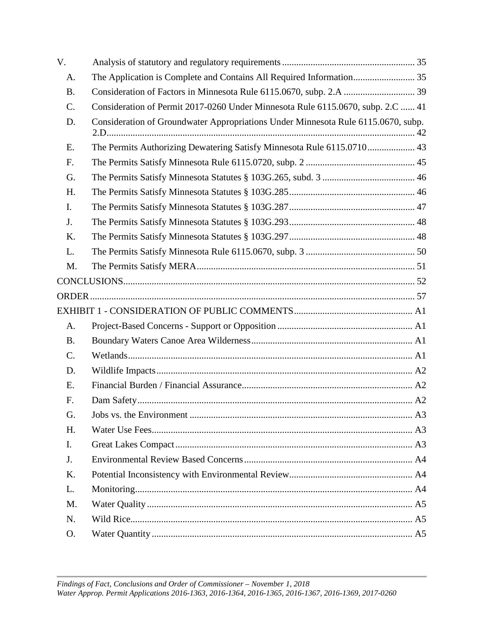| V.        |                                                                                   |  |
|-----------|-----------------------------------------------------------------------------------|--|
| A.        | The Application is Complete and Contains All Required Information 35              |  |
| <b>B.</b> |                                                                                   |  |
| C.        | Consideration of Permit 2017-0260 Under Minnesota Rule 6115.0670, subp. 2.C  41   |  |
| D.        | Consideration of Groundwater Appropriations Under Minnesota Rule 6115.0670, subp. |  |
| E.        | The Permits Authorizing Dewatering Satisfy Minnesota Rule 6115.0710 43            |  |
| F.        |                                                                                   |  |
| G.        |                                                                                   |  |
| H.        |                                                                                   |  |
| I.        |                                                                                   |  |
| J.        |                                                                                   |  |
| K.        |                                                                                   |  |
| L.        |                                                                                   |  |
| M.        |                                                                                   |  |
|           |                                                                                   |  |
|           |                                                                                   |  |
|           |                                                                                   |  |
| A.        |                                                                                   |  |
| <b>B.</b> |                                                                                   |  |
| C.        |                                                                                   |  |
| D.        |                                                                                   |  |
| E.        |                                                                                   |  |
| F.        |                                                                                   |  |
| G.        |                                                                                   |  |
| H.        |                                                                                   |  |
| I.        |                                                                                   |  |
| J.        |                                                                                   |  |
| K.        |                                                                                   |  |
| L.        |                                                                                   |  |
| M.        |                                                                                   |  |
| N.        |                                                                                   |  |
| O.        |                                                                                   |  |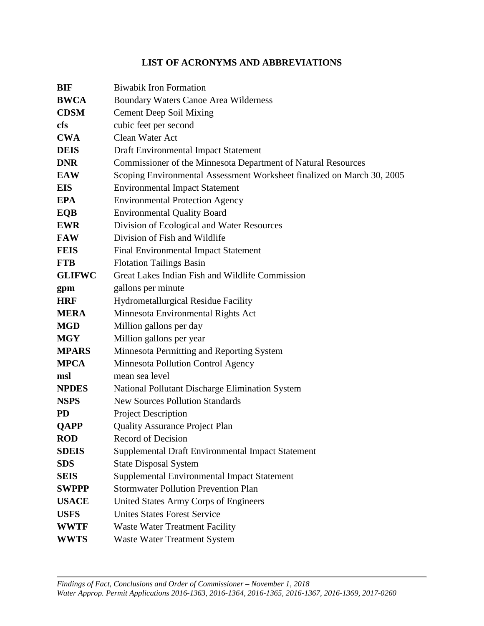## **LIST OF ACRONYMS AND ABBREVIATIONS**

| <b>BIF</b>    | <b>Biwabik Iron Formation</b>                                          |
|---------------|------------------------------------------------------------------------|
| <b>BWCA</b>   | <b>Boundary Waters Canoe Area Wilderness</b>                           |
| <b>CDSM</b>   | <b>Cement Deep Soil Mixing</b>                                         |
| <b>cfs</b>    | cubic feet per second                                                  |
| <b>CWA</b>    | Clean Water Act                                                        |
| <b>DEIS</b>   | Draft Environmental Impact Statement                                   |
| <b>DNR</b>    | Commissioner of the Minnesota Department of Natural Resources          |
| <b>EAW</b>    | Scoping Environmental Assessment Worksheet finalized on March 30, 2005 |
| <b>EIS</b>    | <b>Environmental Impact Statement</b>                                  |
| <b>EPA</b>    | <b>Environmental Protection Agency</b>                                 |
| <b>EQB</b>    | <b>Environmental Quality Board</b>                                     |
| <b>EWR</b>    | Division of Ecological and Water Resources                             |
| <b>FAW</b>    | Division of Fish and Wildlife                                          |
| <b>FEIS</b>   | Final Environmental Impact Statement                                   |
| <b>FTB</b>    | <b>Flotation Tailings Basin</b>                                        |
| <b>GLIFWC</b> | Great Lakes Indian Fish and Wildlife Commission                        |
| gpm           | gallons per minute                                                     |
| <b>HRF</b>    | <b>Hydrometallurgical Residue Facility</b>                             |
| <b>MERA</b>   | Minnesota Environmental Rights Act                                     |
| <b>MGD</b>    | Million gallons per day                                                |
| <b>MGY</b>    | Million gallons per year                                               |
| <b>MPARS</b>  | Minnesota Permitting and Reporting System                              |
| <b>MPCA</b>   | Minnesota Pollution Control Agency                                     |
| msl           | mean sea level                                                         |
| <b>NPDES</b>  | National Pollutant Discharge Elimination System                        |
| <b>NSPS</b>   | <b>New Sources Pollution Standards</b>                                 |
| <b>PD</b>     | <b>Project Description</b>                                             |
| <b>QAPP</b>   | <b>Quality Assurance Project Plan</b>                                  |
| <b>ROD</b>    | <b>Record of Decision</b>                                              |
| <b>SDEIS</b>  | Supplemental Draft Environmental Impact Statement                      |
| <b>SDS</b>    | <b>State Disposal System</b>                                           |
| <b>SEIS</b>   | Supplemental Environmental Impact Statement                            |
| <b>SWPPP</b>  | <b>Stormwater Pollution Prevention Plan</b>                            |
| <b>USACE</b>  | United States Army Corps of Engineers                                  |
| <b>USFS</b>   | <b>Unites States Forest Service</b>                                    |
| <b>WWTF</b>   | <b>Waste Water Treatment Facility</b>                                  |
| <b>WWTS</b>   | <b>Waste Water Treatment System</b>                                    |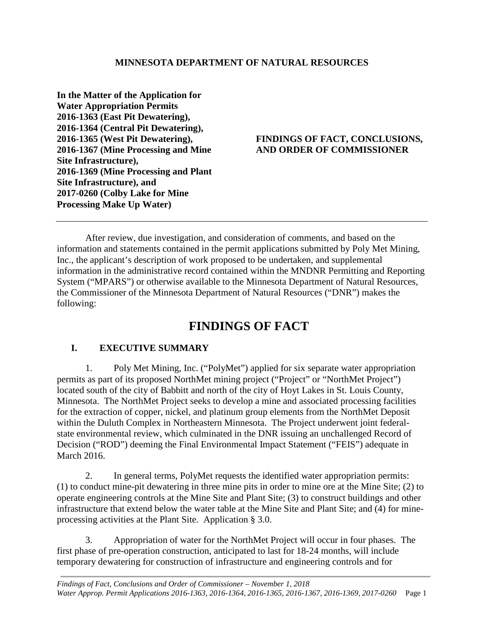**In the Matter of the Application for Water Appropriation Permits 2016-1363 (East Pit Dewatering), 2016-1364 (Central Pit Dewatering), 2016-1365 (West Pit Dewatering), 2016-1367 (Mine Processing and Mine Site Infrastructure), 2016-1369 (Mine Processing and Plant Site Infrastructure), and 2017-0260 (Colby Lake for Mine Processing Make Up Water)**

#### **FINDINGS OF FACT, CONCLUSIONS, AND ORDER OF COMMISSIONER**

After review, due investigation, and consideration of comments, and based on the information and statements contained in the permit applications submitted by Poly Met Mining, Inc., the applicant's description of work proposed to be undertaken, and supplemental information in the administrative record contained within the MNDNR Permitting and Reporting System ("MPARS") or otherwise available to the Minnesota Department of Natural Resources, the Commissioner of the Minnesota Department of Natural Resources ("DNR") makes the following:

# **FINDINGS OF FACT**

## <span id="page-4-1"></span><span id="page-4-0"></span>**I. EXECUTIVE SUMMARY**

1. Poly Met Mining, Inc. ("PolyMet") applied for six separate water appropriation permits as part of its proposed NorthMet mining project ("Project" or "NorthMet Project") located south of the city of Babbitt and north of the city of Hoyt Lakes in St. Louis County, Minnesota. The NorthMet Project seeks to develop a mine and associated processing facilities for the extraction of copper, nickel, and platinum group elements from the NorthMet Deposit within the Duluth Complex in Northeastern Minnesota. The Project underwent joint federalstate environmental review, which culminated in the DNR issuing an unchallenged Record of Decision ("ROD") deeming the Final Environmental Impact Statement ("FEIS") adequate in March 2016.

2. In general terms, PolyMet requests the identified water appropriation permits: (1) to conduct mine-pit dewatering in three mine pits in order to mine ore at the Mine Site; (2) to operate engineering controls at the Mine Site and Plant Site; (3) to construct buildings and other infrastructure that extend below the water table at the Mine Site and Plant Site; and (4) for mineprocessing activities at the Plant Site. Application § 3.0.

3. Appropriation of water for the NorthMet Project will occur in four phases. The first phase of pre-operation construction, anticipated to last for 18-24 months, will include temporary dewatering for construction of infrastructure and engineering controls and for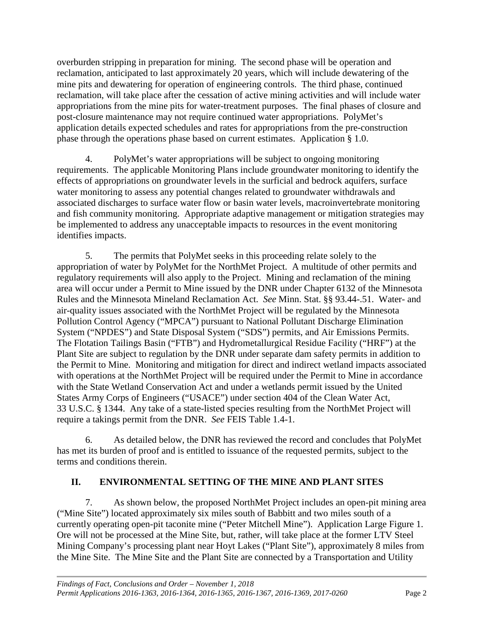overburden stripping in preparation for mining. The second phase will be operation and reclamation, anticipated to last approximately 20 years, which will include dewatering of the mine pits and dewatering for operation of engineering controls. The third phase, continued reclamation, will take place after the cessation of active mining activities and will include water appropriations from the mine pits for water-treatment purposes. The final phases of closure and post-closure maintenance may not require continued water appropriations. PolyMet's application details expected schedules and rates for appropriations from the pre-construction phase through the operations phase based on current estimates. Application § 1.0.

4. PolyMet's water appropriations will be subject to ongoing monitoring requirements. The applicable Monitoring Plans include groundwater monitoring to identify the effects of appropriations on groundwater levels in the surficial and bedrock aquifers, surface water monitoring to assess any potential changes related to groundwater withdrawals and associated discharges to surface water flow or basin water levels, macroinvertebrate monitoring and fish community monitoring. Appropriate adaptive management or mitigation strategies may be implemented to address any unacceptable impacts to resources in the event monitoring identifies impacts.

5. The permits that PolyMet seeks in this proceeding relate solely to the appropriation of water by PolyMet for the NorthMet Project. A multitude of other permits and regulatory requirements will also apply to the Project. Mining and reclamation of the mining area will occur under a Permit to Mine issued by the DNR under Chapter 6132 of the Minnesota Rules and the Minnesota Mineland Reclamation Act. *See* Minn. Stat. §§ 93.44-.51. Water- and air-quality issues associated with the NorthMet Project will be regulated by the Minnesota Pollution Control Agency ("MPCA") pursuant to National Pollutant Discharge Elimination System ("NPDES") and State Disposal System ("SDS") permits, and Air Emissions Permits. The Flotation Tailings Basin ("FTB") and Hydrometallurgical Residue Facility ("HRF") at the Plant Site are subject to regulation by the DNR under separate dam safety permits in addition to the Permit to Mine. Monitoring and mitigation for direct and indirect wetland impacts associated with operations at the NorthMet Project will be required under the Permit to Mine in accordance with the State Wetland Conservation Act and under a wetlands permit issued by the United States Army Corps of Engineers ("USACE") under section 404 of the Clean Water Act, 33 U.S.C. § 1344. Any take of a state-listed species resulting from the NorthMet Project will require a takings permit from the DNR. *See* FEIS Table 1.4-1.

6. As detailed below, the DNR has reviewed the record and concludes that PolyMet has met its burden of proof and is entitled to issuance of the requested permits, subject to the terms and conditions therein.

## <span id="page-5-0"></span>**II. ENVIRONMENTAL SETTING OF THE MINE AND PLANT SITES**

7. As shown below, the proposed NorthMet Project includes an open-pit mining area ("Mine Site") located approximately six miles south of Babbitt and two miles south of a currently operating open-pit taconite mine ("Peter Mitchell Mine"). Application Large Figure 1. Ore will not be processed at the Mine Site, but, rather, will take place at the former LTV Steel Mining Company's processing plant near Hoyt Lakes ("Plant Site"), approximately 8 miles from the Mine Site. The Mine Site and the Plant Site are connected by a Transportation and Utility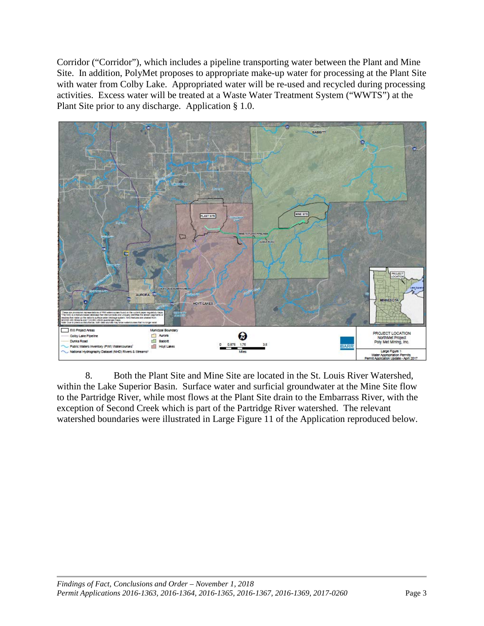Corridor ("Corridor"), which includes a pipeline transporting water between the Plant and Mine Site. In addition, PolyMet proposes to appropriate make-up water for processing at the Plant Site with water from Colby Lake. Appropriated water will be re-used and recycled during processing activities. Excess water will be treated at a Waste Water Treatment System ("WWTS") at the Plant Site prior to any discharge. Application § 1.0.



8. Both the Plant Site and Mine Site are located in the St. Louis River Watershed, within the Lake Superior Basin. Surface water and surficial groundwater at the Mine Site flow to the Partridge River, while most flows at the Plant Site drain to the Embarrass River, with the exception of Second Creek which is part of the Partridge River watershed. The relevant watershed boundaries were illustrated in Large Figure 11 of the Application reproduced below.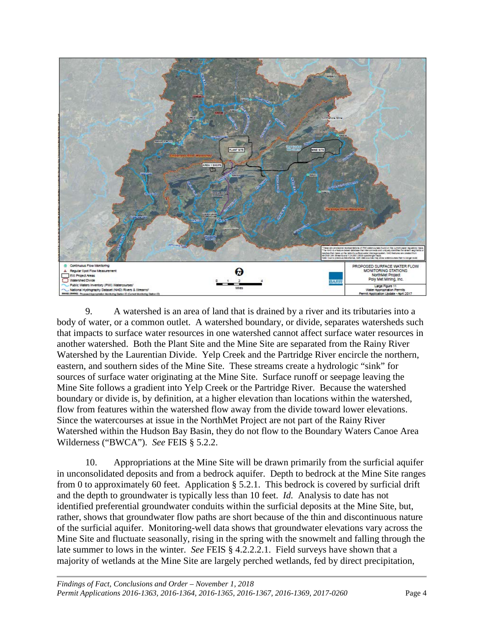![](_page_7_Picture_0.jpeg)

9. A watershed is an area of land that is drained by a river and its tributaries into a body of water, or a common outlet. A watershed boundary, or divide, separates watersheds such that impacts to surface water resources in one watershed cannot affect surface water resources in another watershed. Both the Plant Site and the Mine Site are separated from the Rainy River Watershed by the Laurentian Divide. Yelp Creek and the Partridge River encircle the northern, eastern, and southern sides of the Mine Site. These streams create a hydrologic "sink" for sources of surface water originating at the Mine Site. Surface runoff or seepage leaving the Mine Site follows a gradient into Yelp Creek or the Partridge River. Because the watershed boundary or divide is, by definition, at a higher elevation than locations within the watershed, flow from features within the watershed flow away from the divide toward lower elevations. Since the watercourses at issue in the NorthMet Project are not part of the Rainy River Watershed within the Hudson Bay Basin, they do not flow to the Boundary Waters Canoe Area Wilderness ("BWCA"). *See* FEIS § 5.2.2.

10. Appropriations at the Mine Site will be drawn primarily from the surficial aquifer in unconsolidated deposits and from a bedrock aquifer. Depth to bedrock at the Mine Site ranges from 0 to approximately 60 feet. Application § 5.2.1. This bedrock is covered by surficial drift and the depth to groundwater is typically less than 10 feet. *Id.* Analysis to date has not identified preferential groundwater conduits within the surficial deposits at the Mine Site, but, rather, shows that groundwater flow paths are short because of the thin and discontinuous nature of the surficial aquifer. Monitoring-well data shows that groundwater elevations vary across the Mine Site and fluctuate seasonally, rising in the spring with the snowmelt and falling through the late summer to lows in the winter. *See* FEIS § 4.2.2.2.1. Field surveys have shown that a majority of wetlands at the Mine Site are largely perched wetlands, fed by direct precipitation,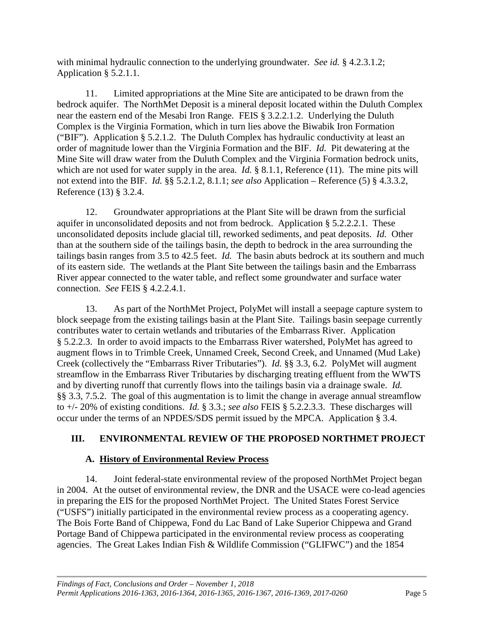with minimal hydraulic connection to the underlying groundwater. *See id.* § 4.2.3.1.2; Application § 5.2.1.1.

11. Limited appropriations at the Mine Site are anticipated to be drawn from the bedrock aquifer. The NorthMet Deposit is a mineral deposit located within the Duluth Complex near the eastern end of the Mesabi Iron Range. FEIS § 3.2.2.1.2. Underlying the Duluth Complex is the Virginia Formation, which in turn lies above the Biwabik Iron Formation ("BIF"). Application § 5.2.1.2. The Duluth Complex has hydraulic conductivity at least an order of magnitude lower than the Virginia Formation and the BIF. *Id.* Pit dewatering at the Mine Site will draw water from the Duluth Complex and the Virginia Formation bedrock units, which are not used for water supply in the area. *Id.* § 8.1.1, Reference (11). The mine pits will not extend into the BIF. *Id.* §§ 5.2.1.2, 8.1.1; *see also* Application – Reference (5) § 4.3.3.2, Reference (13) § 3.2.4.

12. Groundwater appropriations at the Plant Site will be drawn from the surficial aquifer in unconsolidated deposits and not from bedrock. Application § 5.2.2.2.1. These unconsolidated deposits include glacial till, reworked sediments, and peat deposits. *Id.* Other than at the southern side of the tailings basin, the depth to bedrock in the area surrounding the tailings basin ranges from 3.5 to 42.5 feet. *Id.* The basin abuts bedrock at its southern and much of its eastern side. The wetlands at the Plant Site between the tailings basin and the Embarrass River appear connected to the water table, and reflect some groundwater and surface water connection. *See* FEIS § 4.2.2.4.1.

13. As part of the NorthMet Project, PolyMet will install a seepage capture system to block seepage from the existing tailings basin at the Plant Site. Tailings basin seepage currently contributes water to certain wetlands and tributaries of the Embarrass River. Application § 5.2.2.3. In order to avoid impacts to the Embarrass River watershed, PolyMet has agreed to augment flows in to Trimble Creek, Unnamed Creek, Second Creek, and Unnamed (Mud Lake) Creek (collectively the "Embarrass River Tributaries"). *Id.* §§ 3.3, 6.2. PolyMet will augment streamflow in the Embarrass River Tributaries by discharging treating effluent from the WWTS and by diverting runoff that currently flows into the tailings basin via a drainage swale. *Id.* §§ 3.3, 7.5.2. The goal of this augmentation is to limit the change in average annual streamflow to +/- 20% of existing conditions. *Id.* § 3.3.; *see also* FEIS § 5.2.2.3.3. These discharges will occur under the terms of an NPDES/SDS permit issued by the MPCA. Application § 3.4.

## <span id="page-8-0"></span>**III. ENVIRONMENTAL REVIEW OF THE PROPOSED NORTHMET PROJECT**

#### **A. History of Environmental Review Process**

<span id="page-8-1"></span>14. Joint federal-state environmental review of the proposed NorthMet Project began in 2004. At the outset of environmental review, the DNR and the USACE were co-lead agencies in preparing the EIS for the proposed NorthMet Project. The United States Forest Service ("USFS") initially participated in the environmental review process as a cooperating agency. The Bois Forte Band of Chippewa, Fond du Lac Band of Lake Superior Chippewa and Grand Portage Band of Chippewa participated in the environmental review process as cooperating agencies. The Great Lakes Indian Fish & Wildlife Commission ("GLIFWC") and the 1854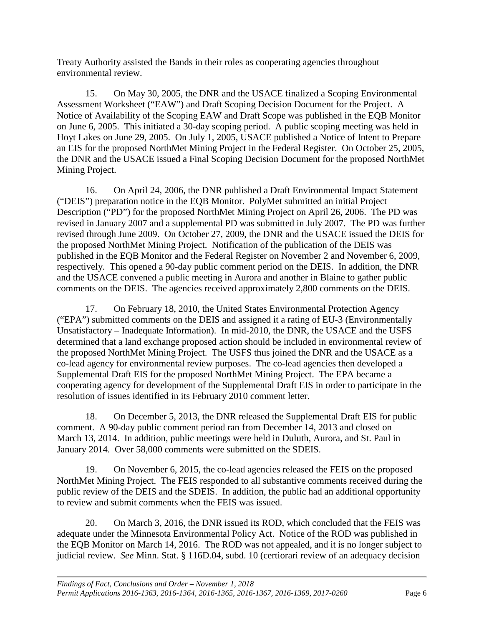Treaty Authority assisted the Bands in their roles as cooperating agencies throughout environmental review.

15. On May 30, 2005, the DNR and the USACE finalized a Scoping Environmental Assessment Worksheet ("EAW") and Draft Scoping Decision Document for the Project. A Notice of Availability of the Scoping EAW and Draft Scope was published in the EQB Monitor on June 6, 2005. This initiated a 30-day scoping period. A public scoping meeting was held in Hoyt Lakes on June 29, 2005. On July 1, 2005, USACE published a Notice of Intent to Prepare an EIS for the proposed NorthMet Mining Project in the Federal Register. On October 25, 2005, the DNR and the USACE issued a Final Scoping Decision Document for the proposed NorthMet Mining Project.

16. On April 24, 2006, the DNR published a Draft Environmental Impact Statement ("DEIS") preparation notice in the EQB Monitor. PolyMet submitted an initial Project Description ("PD") for the proposed NorthMet Mining Project on April 26, 2006. The PD was revised in January 2007 and a supplemental PD was submitted in July 2007. The PD was further revised through June 2009. On October 27, 2009, the DNR and the USACE issued the DEIS for the proposed NorthMet Mining Project. Notification of the publication of the DEIS was published in the EQB Monitor and the Federal Register on November 2 and November 6, 2009, respectively. This opened a 90-day public comment period on the DEIS. In addition, the DNR and the USACE convened a public meeting in Aurora and another in Blaine to gather public comments on the DEIS. The agencies received approximately 2,800 comments on the DEIS.

17. On February 18, 2010, the United States Environmental Protection Agency ("EPA") submitted comments on the DEIS and assigned it a rating of EU-3 (Environmentally Unsatisfactory – Inadequate Information). In mid-2010, the DNR, the USACE and the USFS determined that a land exchange proposed action should be included in environmental review of the proposed NorthMet Mining Project. The USFS thus joined the DNR and the USACE as a co-lead agency for environmental review purposes. The co-lead agencies then developed a Supplemental Draft EIS for the proposed NorthMet Mining Project. The EPA became a cooperating agency for development of the Supplemental Draft EIS in order to participate in the resolution of issues identified in its February 2010 comment letter.

18. On December 5, 2013, the DNR released the Supplemental Draft EIS for public comment. A 90-day public comment period ran from December 14, 2013 and closed on March 13, 2014. In addition, public meetings were held in Duluth, Aurora, and St. Paul in January 2014. Over 58,000 comments were submitted on the SDEIS.

19. On November 6, 2015, the co-lead agencies released the FEIS on the proposed NorthMet Mining Project. The FEIS responded to all substantive comments received during the public review of the DEIS and the SDEIS. In addition, the public had an additional opportunity to review and submit comments when the FEIS was issued.

20. On March 3, 2016, the DNR issued its ROD, which concluded that the FEIS was adequate under the Minnesota Environmental Policy Act. Notice of the ROD was published in the EQB Monitor on March 14, 2016. The ROD was not appealed, and it is no longer subject to judicial review. *See* Minn. Stat. § 116D.04, subd. 10 (certiorari review of an adequacy decision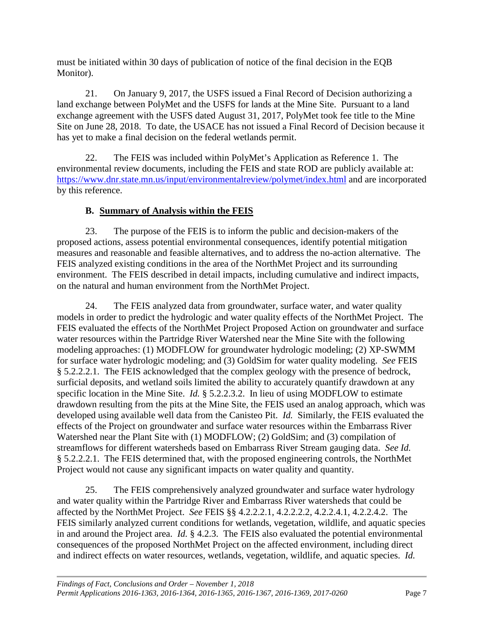must be initiated within 30 days of publication of notice of the final decision in the EQB Monitor).

21. On January 9, 2017, the USFS issued a Final Record of Decision authorizing a land exchange between PolyMet and the USFS for lands at the Mine Site. Pursuant to a land exchange agreement with the USFS dated August 31, 2017, PolyMet took fee title to the Mine Site on June 28, 2018. To date, the USACE has not issued a Final Record of Decision because it has yet to make a final decision on the federal wetlands permit.

22. The FEIS was included within PolyMet's Application as Reference 1. The environmental review documents, including the FEIS and state ROD are publicly available at: <https://www.dnr.state.mn.us/input/environmentalreview/polymet/index.html> and are incorporated by this reference.

## **B. Summary of Analysis within the FEIS**

<span id="page-10-0"></span>23. The purpose of the FEIS is to inform the public and decision-makers of the proposed actions, assess potential environmental consequences, identify potential mitigation measures and reasonable and feasible alternatives, and to address the no-action alternative. The FEIS analyzed existing conditions in the area of the NorthMet Project and its surrounding environment. The FEIS described in detail impacts, including cumulative and indirect impacts, on the natural and human environment from the NorthMet Project.

24. The FEIS analyzed data from groundwater, surface water, and water quality models in order to predict the hydrologic and water quality effects of the NorthMet Project. The FEIS evaluated the effects of the NorthMet Project Proposed Action on groundwater and surface water resources within the Partridge River Watershed near the Mine Site with the following modeling approaches: (1) MODFLOW for groundwater hydrologic modeling; (2) XP-SWMM for surface water hydrologic modeling; and (3) GoldSim for water quality modeling. *See* FEIS § 5.2.2.2.1. The FEIS acknowledged that the complex geology with the presence of bedrock, surficial deposits, and wetland soils limited the ability to accurately quantify drawdown at any specific location in the Mine Site. *Id.* § 5.2.2.3.2. In lieu of using MODFLOW to estimate drawdown resulting from the pits at the Mine Site, the FEIS used an analog approach, which was developed using available well data from the Canisteo Pit. *Id.* Similarly, the FEIS evaluated the effects of the Project on groundwater and surface water resources within the Embarrass River Watershed near the Plant Site with (1) MODFLOW; (2) GoldSim; and (3) compilation of streamflows for different watersheds based on Embarrass River Stream gauging data. *See Id.* § 5.2.2.2.1. The FEIS determined that, with the proposed engineering controls, the NorthMet Project would not cause any significant impacts on water quality and quantity.

25. The FEIS comprehensively analyzed groundwater and surface water hydrology and water quality within the Partridge River and Embarrass River watersheds that could be affected by the NorthMet Project. *See* FEIS §§ 4.2.2.2.1, 4.2.2.2.2, 4.2.2.4.1, 4.2.2.4.2. The FEIS similarly analyzed current conditions for wetlands, vegetation, wildlife, and aquatic species in and around the Project area. *Id.* § 4.2.3. The FEIS also evaluated the potential environmental consequences of the proposed NorthMet Project on the affected environment, including direct and indirect effects on water resources, wetlands, vegetation, wildlife, and aquatic species. *Id.*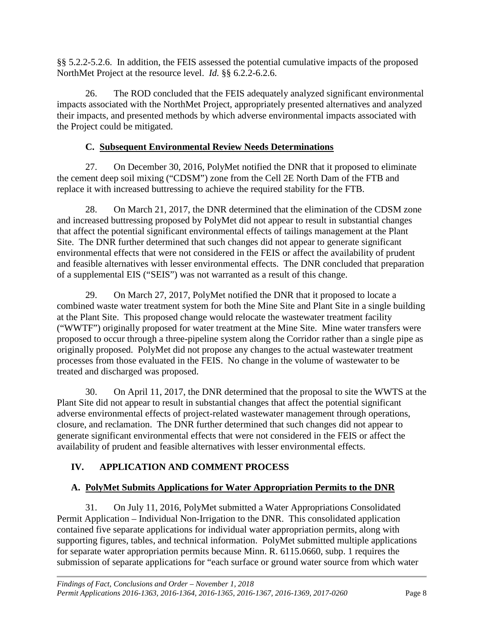§§ 5.2.2-5.2.6. In addition, the FEIS assessed the potential cumulative impacts of the proposed NorthMet Project at the resource level. *Id.* §§ 6.2.2-6.2.6.

26. The ROD concluded that the FEIS adequately analyzed significant environmental impacts associated with the NorthMet Project, appropriately presented alternatives and analyzed their impacts, and presented methods by which adverse environmental impacts associated with the Project could be mitigated.

## **C. Subsequent Environmental Review Needs Determinations**

<span id="page-11-0"></span>27. On December 30, 2016, PolyMet notified the DNR that it proposed to eliminate the cement deep soil mixing ("CDSM") zone from the Cell 2E North Dam of the FTB and replace it with increased buttressing to achieve the required stability for the FTB.

28. On March 21, 2017, the DNR determined that the elimination of the CDSM zone and increased buttressing proposed by PolyMet did not appear to result in substantial changes that affect the potential significant environmental effects of tailings management at the Plant Site. The DNR further determined that such changes did not appear to generate significant environmental effects that were not considered in the FEIS or affect the availability of prudent and feasible alternatives with lesser environmental effects. The DNR concluded that preparation of a supplemental EIS ("SEIS") was not warranted as a result of this change.

29. On March 27, 2017, PolyMet notified the DNR that it proposed to locate a combined waste water treatment system for both the Mine Site and Plant Site in a single building at the Plant Site. This proposed change would relocate the wastewater treatment facility ("WWTF") originally proposed for water treatment at the Mine Site. Mine water transfers were proposed to occur through a three-pipeline system along the Corridor rather than a single pipe as originally proposed. PolyMet did not propose any changes to the actual wastewater treatment processes from those evaluated in the FEIS. No change in the volume of wastewater to be treated and discharged was proposed.

30. On April 11, 2017, the DNR determined that the proposal to site the WWTS at the Plant Site did not appear to result in substantial changes that affect the potential significant adverse environmental effects of project-related wastewater management through operations, closure, and reclamation. The DNR further determined that such changes did not appear to generate significant environmental effects that were not considered in the FEIS or affect the availability of prudent and feasible alternatives with lesser environmental effects.

## <span id="page-11-1"></span>**IV. APPLICATION AND COMMENT PROCESS**

## <span id="page-11-2"></span>**A. PolyMet Submits Applications for Water Appropriation Permits to the DNR**

31. On July 11, 2016, PolyMet submitted a Water Appropriations Consolidated Permit Application – Individual Non-Irrigation to the DNR. This consolidated application contained five separate applications for individual water appropriation permits, along with supporting figures, tables, and technical information. PolyMet submitted multiple applications for separate water appropriation permits because Minn. R. 6115.0660, subp. 1 requires the submission of separate applications for "each surface or ground water source from which water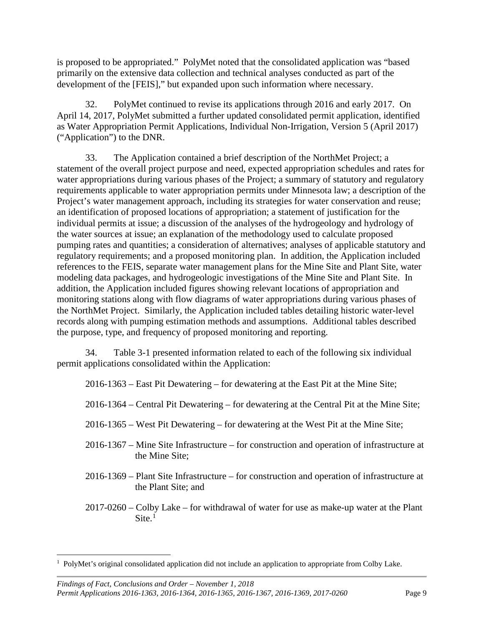is proposed to be appropriated." PolyMet noted that the consolidated application was "based primarily on the extensive data collection and technical analyses conducted as part of the development of the [FEIS]," but expanded upon such information where necessary.

32. PolyMet continued to revise its applications through 2016 and early 2017. On April 14, 2017, PolyMet submitted a further updated consolidated permit application, identified as Water Appropriation Permit Applications, Individual Non-Irrigation, Version 5 (April 2017) ("Application") to the DNR.

33. The Application contained a brief description of the NorthMet Project; a statement of the overall project purpose and need, expected appropriation schedules and rates for water appropriations during various phases of the Project; a summary of statutory and regulatory requirements applicable to water appropriation permits under Minnesota law; a description of the Project's water management approach, including its strategies for water conservation and reuse; an identification of proposed locations of appropriation; a statement of justification for the individual permits at issue; a discussion of the analyses of the hydrogeology and hydrology of the water sources at issue; an explanation of the methodology used to calculate proposed pumping rates and quantities; a consideration of alternatives; analyses of applicable statutory and regulatory requirements; and a proposed monitoring plan. In addition, the Application included references to the FEIS, separate water management plans for the Mine Site and Plant Site, water modeling data packages, and hydrogeologic investigations of the Mine Site and Plant Site. In addition, the Application included figures showing relevant locations of appropriation and monitoring stations along with flow diagrams of water appropriations during various phases of the NorthMet Project. Similarly, the Application included tables detailing historic water-level records along with pumping estimation methods and assumptions. Additional tables described the purpose, type, and frequency of proposed monitoring and reporting.

34. Table 3-1 presented information related to each of the following six individual permit applications consolidated within the Application:

2016-1363 – East Pit Dewatering – for dewatering at the East Pit at the Mine Site;

2016-1364 – Central Pit Dewatering – for dewatering at the Central Pit at the Mine Site;

- 2016-1365 West Pit Dewatering for dewatering at the West Pit at the Mine Site;
- 2016-1367 Mine Site Infrastructure for construction and operation of infrastructure at the Mine Site;
- 2016-1369 Plant Site Infrastructure for construction and operation of infrastructure at the Plant Site; and
- 2017-0260 Colby Lake for withdrawal of water for use as make-up water at the Plant  $\text{Site.}^1$  $\text{Site.}^1$

*Findings of Fact, Conclusions and Order – November 1, 2018 Permit Applications 2016-1363, 2016-1364, 2016-1365, 2016-1367, 2016-1369, 2017-0260* Page 9

<span id="page-12-0"></span> $\frac{1}{1}$ <sup>1</sup> PolyMet's original consolidated application did not include an application to appropriate from Colby Lake.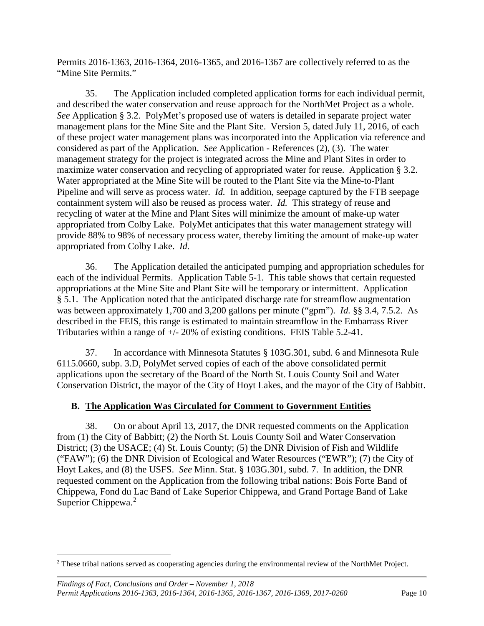Permits 2016-1363, 2016-1364, 2016-1365, and 2016-1367 are collectively referred to as the "Mine Site Permits."

35. The Application included completed application forms for each individual permit, and described the water conservation and reuse approach for the NorthMet Project as a whole. *See* Application § 3.2. PolyMet's proposed use of waters is detailed in separate project water management plans for the Mine Site and the Plant Site. Version 5, dated July 11, 2016, of each of these project water management plans was incorporated into the Application via reference and considered as part of the Application. *See* Application - References (2), (3). The water management strategy for the project is integrated across the Mine and Plant Sites in order to maximize water conservation and recycling of appropriated water for reuse. Application § 3.2. Water appropriated at the Mine Site will be routed to the Plant Site via the Mine-to-Plant Pipeline and will serve as process water. *Id.* In addition, seepage captured by the FTB seepage containment system will also be reused as process water. *Id.* This strategy of reuse and recycling of water at the Mine and Plant Sites will minimize the amount of make-up water appropriated from Colby Lake. PolyMet anticipates that this water management strategy will provide 88% to 98% of necessary process water, thereby limiting the amount of make-up water appropriated from Colby Lake. *Id.*

36. The Application detailed the anticipated pumping and appropriation schedules for each of the individual Permits. Application Table 5-1. This table shows that certain requested appropriations at the Mine Site and Plant Site will be temporary or intermittent. Application § 5.1. The Application noted that the anticipated discharge rate for streamflow augmentation was between approximately 1,700 and 3,200 gallons per minute ("gpm"). *Id.* §§ 3.4, 7.5.2. As described in the FEIS, this range is estimated to maintain streamflow in the Embarrass River Tributaries within a range of +/- 20% of existing conditions. FEIS Table 5.2-41.

37. In accordance with Minnesota Statutes § 103G.301, subd. 6 and Minnesota Rule 6115.0660, subp. 3.D, PolyMet served copies of each of the above consolidated permit applications upon the secretary of the Board of the North St. Louis County Soil and Water Conservation District, the mayor of the City of Hoyt Lakes, and the mayor of the City of Babbitt.

#### <span id="page-13-0"></span>**B. The Application Was Circulated for Comment to Government Entities**

38. On or about April 13, 2017, the DNR requested comments on the Application from (1) the City of Babbitt; (2) the North St. Louis County Soil and Water Conservation District; (3) the USACE; (4) St. Louis County; (5) the DNR Division of Fish and Wildlife ("FAW"); (6) the DNR Division of Ecological and Water Resources ("EWR"); (7) the City of Hoyt Lakes, and (8) the USFS. *See* Minn. Stat. § 103G.301, subd. 7. In addition, the DNR requested comment on the Application from the following tribal nations: Bois Forte Band of Chippewa, Fond du Lac Band of Lake Superior Chippewa, and Grand Portage Band of Lake Superior Chippewa.<sup>[2](#page-13-1)</sup>

<span id="page-13-1"></span> <sup>2</sup> These tribal nations served as cooperating agencies during the environmental review of the NorthMet Project.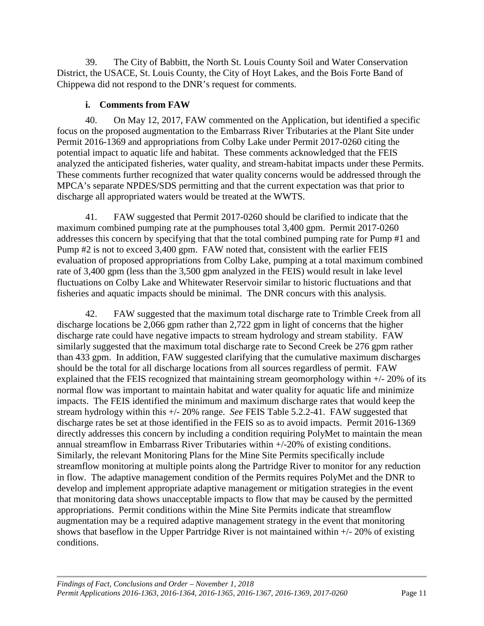39. The City of Babbitt, the North St. Louis County Soil and Water Conservation District, the USACE, St. Louis County, the City of Hoyt Lakes, and the Bois Forte Band of Chippewa did not respond to the DNR's request for comments.

#### **i. Comments from FAW**

<span id="page-14-0"></span>40. On May 12, 2017, FAW commented on the Application, but identified a specific focus on the proposed augmentation to the Embarrass River Tributaries at the Plant Site under Permit 2016-1369 and appropriations from Colby Lake under Permit 2017-0260 citing the potential impact to aquatic life and habitat. These comments acknowledged that the FEIS analyzed the anticipated fisheries, water quality, and stream-habitat impacts under these Permits. These comments further recognized that water quality concerns would be addressed through the MPCA's separate NPDES/SDS permitting and that the current expectation was that prior to discharge all appropriated waters would be treated at the WWTS.

41. FAW suggested that Permit 2017-0260 should be clarified to indicate that the maximum combined pumping rate at the pumphouses total 3,400 gpm. Permit 2017-0260 addresses this concern by specifying that that the total combined pumping rate for Pump #1 and Pump #2 is not to exceed 3,400 gpm. FAW noted that, consistent with the earlier FEIS evaluation of proposed appropriations from Colby Lake, pumping at a total maximum combined rate of 3,400 gpm (less than the 3,500 gpm analyzed in the FEIS) would result in lake level fluctuations on Colby Lake and Whitewater Reservoir similar to historic fluctuations and that fisheries and aquatic impacts should be minimal. The DNR concurs with this analysis.

42. FAW suggested that the maximum total discharge rate to Trimble Creek from all discharge locations be 2,066 gpm rather than 2,722 gpm in light of concerns that the higher discharge rate could have negative impacts to stream hydrology and stream stability. FAW similarly suggested that the maximum total discharge rate to Second Creek be 276 gpm rather than 433 gpm. In addition, FAW suggested clarifying that the cumulative maximum discharges should be the total for all discharge locations from all sources regardless of permit. FAW explained that the FEIS recognized that maintaining stream geomorphology within +/- 20% of its normal flow was important to maintain habitat and water quality for aquatic life and minimize impacts. The FEIS identified the minimum and maximum discharge rates that would keep the stream hydrology within this +/- 20% range. *See* FEIS Table 5.2.2-41. FAW suggested that discharge rates be set at those identified in the FEIS so as to avoid impacts. Permit 2016-1369 directly addresses this concern by including a condition requiring PolyMet to maintain the mean annual streamflow in Embarrass River Tributaries within +/-20% of existing conditions. Similarly, the relevant Monitoring Plans for the Mine Site Permits specifically include streamflow monitoring at multiple points along the Partridge River to monitor for any reduction in flow. The adaptive management condition of the Permits requires PolyMet and the DNR to develop and implement appropriate adaptive management or mitigation strategies in the event that monitoring data shows unacceptable impacts to flow that may be caused by the permitted appropriations. Permit conditions within the Mine Site Permits indicate that streamflow augmentation may be a required adaptive management strategy in the event that monitoring shows that baseflow in the Upper Partridge River is not maintained within +/- 20% of existing conditions.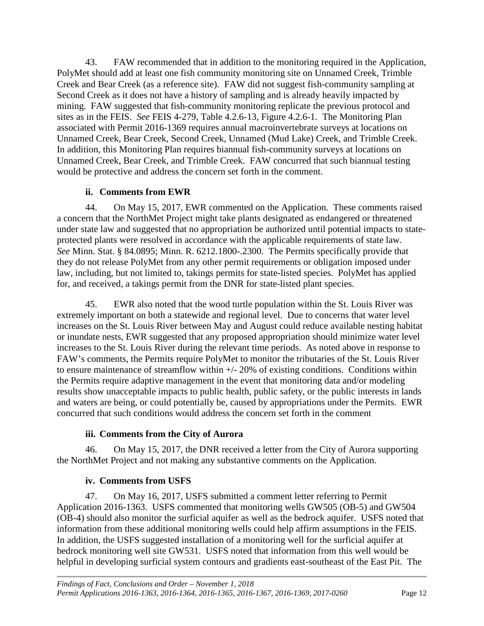43. FAW recommended that in addition to the monitoring required in the Application, PolyMet should add at least one fish community monitoring site on Unnamed Creek, Trimble Creek and Bear Creek (as a reference site). FAW did not suggest fish-community sampling at Second Creek as it does not have a history of sampling and is already heavily impacted by mining. FAW suggested that fish-community monitoring replicate the previous protocol and sites as in the FEIS. *See* FEIS 4-279, Table 4.2.6-13, Figure 4.2.6-1. The Monitoring Plan associated with Permit 2016-1369 requires annual macroinvertebrate surveys at locations on Unnamed Creek, Bear Creek, Second Creek, Unnamed (Mud Lake) Creek, and Trimble Creek. In addition, this Monitoring Plan requires biannual fish-community surveys at locations on Unnamed Creek, Bear Creek, and Trimble Creek. FAW concurred that such biannual testing would be protective and address the concern set forth in the comment.

## **ii. Comments from EWR**

<span id="page-15-0"></span>44. On May 15, 2017, EWR commented on the Application. These comments raised a concern that the NorthMet Project might take plants designated as endangered or threatened under state law and suggested that no appropriation be authorized until potential impacts to stateprotected plants were resolved in accordance with the applicable requirements of state law. *See* Minn. Stat. § 84.0895; Minn. R. 6212.1800-.2300. The Permits specifically provide that they do not release PolyMet from any other permit requirements or obligation imposed under law, including, but not limited to, takings permits for state-listed species. PolyMet has applied for, and received, a takings permit from the DNR for state-listed plant species.

45. EWR also noted that the wood turtle population within the St. Louis River was extremely important on both a statewide and regional level. Due to concerns that water level increases on the St. Louis River between May and August could reduce available nesting habitat or inundate nests, EWR suggested that any proposed appropriation should minimize water level increases to the St. Louis River during the relevant time periods. As noted above in response to FAW's comments, the Permits require PolyMet to monitor the tributaries of the St. Louis River to ensure maintenance of streamflow within  $+/- 20\%$  of existing conditions. Conditions within the Permits require adaptive management in the event that monitoring data and/or modeling results show unacceptable impacts to public health, public safety, or the public interests in lands and waters are being, or could potentially be, caused by appropriations under the Permits. EWR concurred that such conditions would address the concern set forth in the comment

## **iii. Comments from the City of Aurora**

<span id="page-15-1"></span>46. On May 15, 2017, the DNR received a letter from the City of Aurora supporting the NorthMet Project and not making any substantive comments on the Application.

## **iv. Comments from USFS**

<span id="page-15-2"></span>47. On May 16, 2017, USFS submitted a comment letter referring to Permit Application 2016-1363. USFS commented that monitoring wells GW505 (OB-5) and GW504 (OB-4) should also monitor the surficial aquifer as well as the bedrock aquifer. USFS noted that information from these additional monitoring wells could help affirm assumptions in the FEIS. In addition, the USFS suggested installation of a monitoring well for the surficial aquifer at bedrock monitoring well site GW531. USFS noted that information from this well would be helpful in developing surficial system contours and gradients east-southeast of the East Pit. The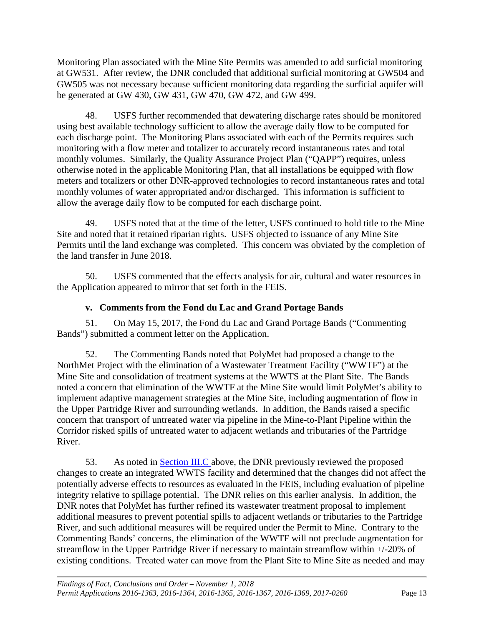Monitoring Plan associated with the Mine Site Permits was amended to add surficial monitoring at GW531. After review, the DNR concluded that additional surficial monitoring at GW504 and GW505 was not necessary because sufficient monitoring data regarding the surficial aquifer will be generated at GW 430, GW 431, GW 470, GW 472, and GW 499.

48. USFS further recommended that dewatering discharge rates should be monitored using best available technology sufficient to allow the average daily flow to be computed for each discharge point. The Monitoring Plans associated with each of the Permits requires such monitoring with a flow meter and totalizer to accurately record instantaneous rates and total monthly volumes. Similarly, the Quality Assurance Project Plan ("QAPP") requires, unless otherwise noted in the applicable Monitoring Plan, that all installations be equipped with flow meters and totalizers or other DNR-approved technologies to record instantaneous rates and total monthly volumes of water appropriated and/or discharged. This information is sufficient to allow the average daily flow to be computed for each discharge point.

49. USFS noted that at the time of the letter, USFS continued to hold title to the Mine Site and noted that it retained riparian rights. USFS objected to issuance of any Mine Site Permits until the land exchange was completed. This concern was obviated by the completion of the land transfer in June 2018.

50. USFS commented that the effects analysis for air, cultural and water resources in the Application appeared to mirror that set forth in the FEIS.

#### **v. Comments from the Fond du Lac and Grand Portage Bands**

<span id="page-16-0"></span>51. On May 15, 2017, the Fond du Lac and Grand Portage Bands ("Commenting Bands") submitted a comment letter on the Application.

52. The Commenting Bands noted that PolyMet had proposed a change to the NorthMet Project with the elimination of a Wastewater Treatment Facility ("WWTF") at the Mine Site and consolidation of treatment systems at the WWTS at the Plant Site. The Bands noted a concern that elimination of the WWTF at the Mine Site would limit PolyMet's ability to implement adaptive management strategies at the Mine Site, including augmentation of flow in the Upper Partridge River and surrounding wetlands. In addition, the Bands raised a specific concern that transport of untreated water via pipeline in the Mine-to-Plant Pipeline within the Corridor risked spills of untreated water to adjacent wetlands and tributaries of the Partridge River.

53. As noted in [Section III.C a](#page-11-0)bove, the DNR previously reviewed the proposed changes to create an integrated WWTS facility and determined that the changes did not affect the potentially adverse effects to resources as evaluated in the FEIS, including evaluation of pipeline integrity relative to spillage potential. The DNR relies on this earlier analysis. In addition, the DNR notes that PolyMet has further refined its wastewater treatment proposal to implement additional measures to prevent potential spills to adjacent wetlands or tributaries to the Partridge River, and such additional measures will be required under the Permit to Mine. Contrary to the Commenting Bands' concerns, the elimination of the WWTF will not preclude augmentation for streamflow in the Upper Partridge River if necessary to maintain streamflow within +/-20% of existing conditions. Treated water can move from the Plant Site to Mine Site as needed and may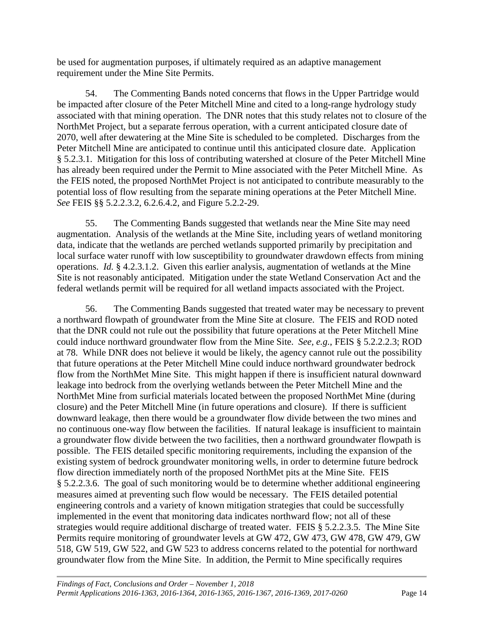be used for augmentation purposes, if ultimately required as an adaptive management requirement under the Mine Site Permits.

54. The Commenting Bands noted concerns that flows in the Upper Partridge would be impacted after closure of the Peter Mitchell Mine and cited to a long-range hydrology study associated with that mining operation. The DNR notes that this study relates not to closure of the NorthMet Project, but a separate ferrous operation, with a current anticipated closure date of 2070, well after dewatering at the Mine Site is scheduled to be completed. Discharges from the Peter Mitchell Mine are anticipated to continue until this anticipated closure date. Application § 5.2.3.1. Mitigation for this loss of contributing watershed at closure of the Peter Mitchell Mine has already been required under the Permit to Mine associated with the Peter Mitchell Mine. As the FEIS noted, the proposed NorthMet Project is not anticipated to contribute measurably to the potential loss of flow resulting from the separate mining operations at the Peter Mitchell Mine. *See* FEIS §§ 5.2.2.3.2, 6.2.6.4.2, and Figure 5.2.2-29.

55. The Commenting Bands suggested that wetlands near the Mine Site may need augmentation. Analysis of the wetlands at the Mine Site, including years of wetland monitoring data, indicate that the wetlands are perched wetlands supported primarily by precipitation and local surface water runoff with low susceptibility to groundwater drawdown effects from mining operations. *Id.* § 4.2.3.1.2. Given this earlier analysis, augmentation of wetlands at the Mine Site is not reasonably anticipated. Mitigation under the state Wetland Conservation Act and the federal wetlands permit will be required for all wetland impacts associated with the Project.

56. The Commenting Bands suggested that treated water may be necessary to prevent a northward flowpath of groundwater from the Mine Site at closure. The FEIS and ROD noted that the DNR could not rule out the possibility that future operations at the Peter Mitchell Mine could induce northward groundwater flow from the Mine Site. *See, e.g.*, FEIS § 5.2.2.2.3; ROD at 78. While DNR does not believe it would be likely, the agency cannot rule out the possibility that future operations at the Peter Mitchell Mine could induce northward groundwater bedrock flow from the NorthMet Mine Site. This might happen if there is insufficient natural downward leakage into bedrock from the overlying wetlands between the Peter Mitchell Mine and the NorthMet Mine from surficial materials located between the proposed NorthMet Mine (during closure) and the Peter Mitchell Mine (in future operations and closure). If there is sufficient downward leakage, then there would be a groundwater flow divide between the two mines and no continuous one-way flow between the facilities. If natural leakage is insufficient to maintain a groundwater flow divide between the two facilities, then a northward groundwater flowpath is possible. The FEIS detailed specific monitoring requirements, including the expansion of the existing system of bedrock groundwater monitoring wells, in order to determine future bedrock flow direction immediately north of the proposed NorthMet pits at the Mine Site. FEIS § 5.2.2.3.6. The goal of such monitoring would be to determine whether additional engineering measures aimed at preventing such flow would be necessary. The FEIS detailed potential engineering controls and a variety of known mitigation strategies that could be successfully implemented in the event that monitoring data indicates northward flow; not all of these strategies would require additional discharge of treated water. FEIS § 5.2.2.3.5. The Mine Site Permits require monitoring of groundwater levels at GW 472, GW 473, GW 478, GW 479, GW 518, GW 519, GW 522, and GW 523 to address concerns related to the potential for northward groundwater flow from the Mine Site. In addition, the Permit to Mine specifically requires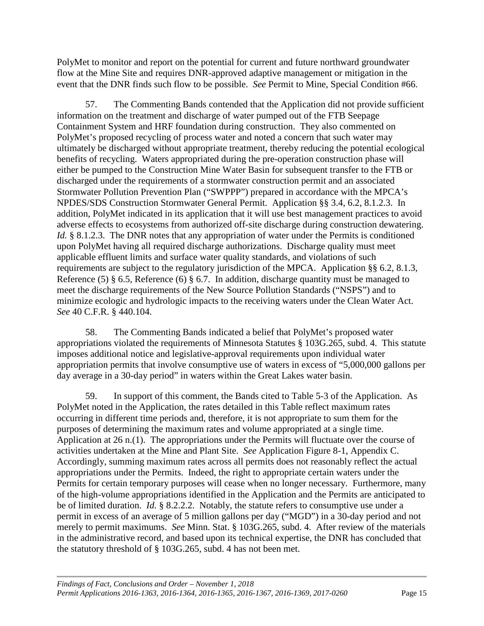PolyMet to monitor and report on the potential for current and future northward groundwater flow at the Mine Site and requires DNR-approved adaptive management or mitigation in the event that the DNR finds such flow to be possible. *See* Permit to Mine, Special Condition #66.

57. The Commenting Bands contended that the Application did not provide sufficient information on the treatment and discharge of water pumped out of the FTB Seepage Containment System and HRF foundation during construction. They also commented on PolyMet's proposed recycling of process water and noted a concern that such water may ultimately be discharged without appropriate treatment, thereby reducing the potential ecological benefits of recycling. Waters appropriated during the pre-operation construction phase will either be pumped to the Construction Mine Water Basin for subsequent transfer to the FTB or discharged under the requirements of a stormwater construction permit and an associated Stormwater Pollution Prevention Plan ("SWPPP") prepared in accordance with the MPCA's NPDES/SDS Construction Stormwater General Permit. Application §§ 3.4, 6.2, 8.1.2.3. In addition, PolyMet indicated in its application that it will use best management practices to avoid adverse effects to ecosystems from authorized off-site discharge during construction dewatering. *Id.* § 8.1.2.3. The DNR notes that any appropriation of water under the Permits is conditioned upon PolyMet having all required discharge authorizations. Discharge quality must meet applicable effluent limits and surface water quality standards, and violations of such requirements are subject to the regulatory jurisdiction of the MPCA. Application §§ 6.2, 8.1.3, Reference (5) § 6.5, Reference (6) § 6.7. In addition, discharge quantity must be managed to meet the discharge requirements of the New Source Pollution Standards ("NSPS") and to minimize ecologic and hydrologic impacts to the receiving waters under the Clean Water Act. *See* 40 C.F.R. § 440.104.

58. The Commenting Bands indicated a belief that PolyMet's proposed water appropriations violated the requirements of Minnesota Statutes § 103G.265, subd. 4. This statute imposes additional notice and legislative-approval requirements upon individual water appropriation permits that involve consumptive use of waters in excess of "5,000,000 gallons per day average in a 30-day period" in waters within the Great Lakes water basin.

59. In support of this comment, the Bands cited to Table 5-3 of the Application. As PolyMet noted in the Application, the rates detailed in this Table reflect maximum rates occurring in different time periods and, therefore, it is not appropriate to sum them for the purposes of determining the maximum rates and volume appropriated at a single time. Application at 26 n.(1). The appropriations under the Permits will fluctuate over the course of activities undertaken at the Mine and Plant Site. *See* Application Figure 8-1, Appendix C. Accordingly, summing maximum rates across all permits does not reasonably reflect the actual appropriations under the Permits. Indeed, the right to appropriate certain waters under the Permits for certain temporary purposes will cease when no longer necessary. Furthermore, many of the high-volume appropriations identified in the Application and the Permits are anticipated to be of limited duration. *Id.* § 8.2.2.2. Notably, the statute refers to consumptive use under a permit in excess of an average of 5 million gallons per day ("MGD") in a 30-day period and not merely to permit maximums. *See* Minn. Stat. § 103G.265, subd. 4. After review of the materials in the administrative record, and based upon its technical expertise, the DNR has concluded that the statutory threshold of § 103G.265, subd. 4 has not been met.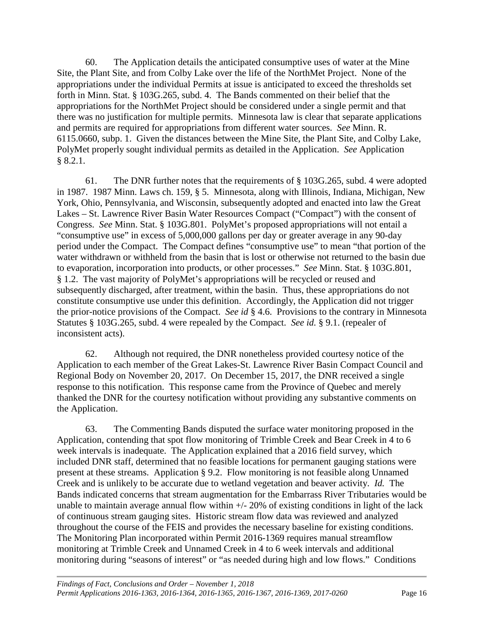60. The Application details the anticipated consumptive uses of water at the Mine Site, the Plant Site, and from Colby Lake over the life of the NorthMet Project. None of the appropriations under the individual Permits at issue is anticipated to exceed the thresholds set forth in Minn. Stat. § 103G.265, subd. 4. The Bands commented on their belief that the appropriations for the NorthMet Project should be considered under a single permit and that there was no justification for multiple permits. Minnesota law is clear that separate applications and permits are required for appropriations from different water sources. *See* Minn. R. 6115.0660, subp. 1. Given the distances between the Mine Site, the Plant Site, and Colby Lake, PolyMet properly sought individual permits as detailed in the Application. *See* Application § 8.2.1.

61. The DNR further notes that the requirements of § 103G.265, subd. 4 were adopted in 1987. 1987 Minn. Laws ch. 159, § 5. Minnesota, along with Illinois, Indiana, Michigan, New York, Ohio, Pennsylvania, and Wisconsin, subsequently adopted and enacted into law the Great Lakes – St. Lawrence River Basin Water Resources Compact ("Compact") with the consent of Congress. *See* Minn. Stat. § 103G.801. PolyMet's proposed appropriations will not entail a "consumptive use" in excess of 5,000,000 gallons per day or greater average in any 90-day period under the Compact. The Compact defines "consumptive use" to mean "that portion of the water withdrawn or withheld from the basin that is lost or otherwise not returned to the basin due to evaporation, incorporation into products, or other processes." *See* Minn. Stat. § 103G.801, § 1.2. The vast majority of PolyMet's appropriations will be recycled or reused and subsequently discharged, after treatment, within the basin. Thus, these appropriations do not constitute consumptive use under this definition. Accordingly, the Application did not trigger the prior-notice provisions of the Compact. *See id* § 4.6. Provisions to the contrary in Minnesota Statutes § 103G.265, subd. 4 were repealed by the Compact. *See id.* § 9.1. (repealer of inconsistent acts).

62. Although not required, the DNR nonetheless provided courtesy notice of the Application to each member of the Great Lakes-St. Lawrence River Basin Compact Council and Regional Body on November 20, 2017. On December 15, 2017, the DNR received a single response to this notification. This response came from the Province of Quebec and merely thanked the DNR for the courtesy notification without providing any substantive comments on the Application.

63. The Commenting Bands disputed the surface water monitoring proposed in the Application, contending that spot flow monitoring of Trimble Creek and Bear Creek in 4 to 6 week intervals is inadequate. The Application explained that a 2016 field survey, which included DNR staff, determined that no feasible locations for permanent gauging stations were present at these streams. Application § 9.2. Flow monitoring is not feasible along Unnamed Creek and is unlikely to be accurate due to wetland vegetation and beaver activity. *Id.* The Bands indicated concerns that stream augmentation for the Embarrass River Tributaries would be unable to maintain average annual flow within  $+/- 20\%$  of existing conditions in light of the lack of continuous stream gauging sites. Historic stream flow data was reviewed and analyzed throughout the course of the FEIS and provides the necessary baseline for existing conditions. The Monitoring Plan incorporated within Permit 2016-1369 requires manual streamflow monitoring at Trimble Creek and Unnamed Creek in 4 to 6 week intervals and additional monitoring during "seasons of interest" or "as needed during high and low flows." Conditions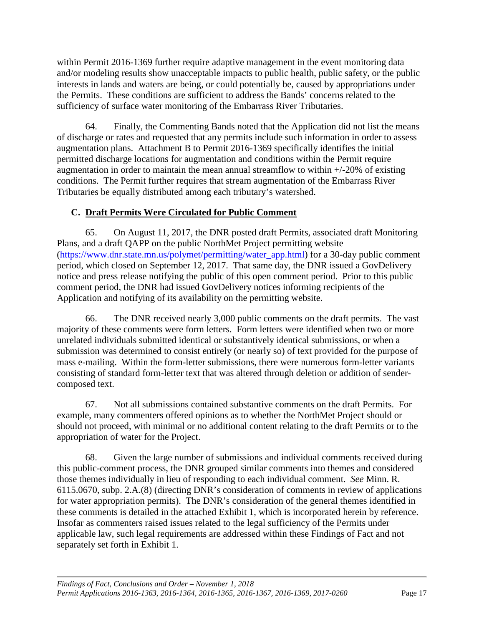within Permit 2016-1369 further require adaptive management in the event monitoring data and/or modeling results show unacceptable impacts to public health, public safety, or the public interests in lands and waters are being, or could potentially be, caused by appropriations under the Permits. These conditions are sufficient to address the Bands' concerns related to the sufficiency of surface water monitoring of the Embarrass River Tributaries.

64. Finally, the Commenting Bands noted that the Application did not list the means of discharge or rates and requested that any permits include such information in order to assess augmentation plans. Attachment B to Permit 2016-1369 specifically identifies the initial permitted discharge locations for augmentation and conditions within the Permit require augmentation in order to maintain the mean annual streamflow to within +/-20% of existing conditions. The Permit further requires that stream augmentation of the Embarrass River Tributaries be equally distributed among each tributary's watershed.

## <span id="page-20-0"></span>**C. Draft Permits Were Circulated for Public Comment**

65. On August 11, 2017, the DNR posted draft Permits, associated draft Monitoring Plans, and a draft QAPP on the public NorthMet Project permitting website [\(https://www.dnr.state.mn.us/polymet/permitting/water\\_app.html\)](https://www.dnr.state.mn.us/polymet/permitting/water_app.html) for a 30-day public comment period, which closed on September 12, 2017. That same day, the DNR issued a GovDelivery notice and press release notifying the public of this open comment period. Prior to this public comment period, the DNR had issued GovDelivery notices informing recipients of the Application and notifying of its availability on the permitting website.

66. The DNR received nearly 3,000 public comments on the draft permits. The vast majority of these comments were form letters. Form letters were identified when two or more unrelated individuals submitted identical or substantively identical submissions, or when a submission was determined to consist entirely (or nearly so) of text provided for the purpose of mass e-mailing. Within the form-letter submissions, there were numerous form-letter variants consisting of standard form-letter text that was altered through deletion or addition of sendercomposed text.

67. Not all submissions contained substantive comments on the draft Permits. For example, many commenters offered opinions as to whether the NorthMet Project should or should not proceed, with minimal or no additional content relating to the draft Permits or to the appropriation of water for the Project.

68. Given the large number of submissions and individual comments received during this public-comment process, the DNR grouped similar comments into themes and considered those themes individually in lieu of responding to each individual comment. *See* Minn. R. 6115.0670, subp. 2.A.(8) (directing DNR's consideration of comments in review of applications for water appropriation permits). The DNR's consideration of the general themes identified in these comments is detailed in the attached Exhibit 1, which is incorporated herein by reference. Insofar as commenters raised issues related to the legal sufficiency of the Permits under applicable law, such legal requirements are addressed within these Findings of Fact and not separately set forth in Exhibit 1.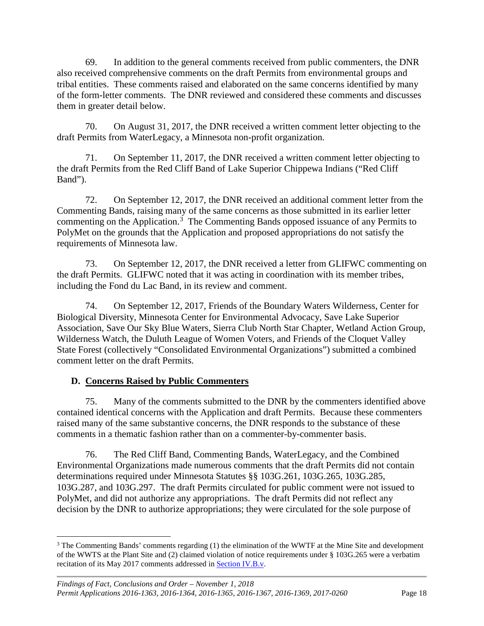69. In addition to the general comments received from public commenters, the DNR also received comprehensive comments on the draft Permits from environmental groups and tribal entities. These comments raised and elaborated on the same concerns identified by many of the form-letter comments. The DNR reviewed and considered these comments and discusses them in greater detail below.

70. On August 31, 2017, the DNR received a written comment letter objecting to the draft Permits from WaterLegacy, a Minnesota non-profit organization.

71. On September 11, 2017, the DNR received a written comment letter objecting to the draft Permits from the Red Cliff Band of Lake Superior Chippewa Indians ("Red Cliff Band").

72. On September 12, 2017, the DNR received an additional comment letter from the Commenting Bands, raising many of the same concerns as those submitted in its earlier letter commenting on the Application.<sup>[3](#page-21-1)</sup> The Commenting Bands opposed issuance of any Permits to PolyMet on the grounds that the Application and proposed appropriations do not satisfy the requirements of Minnesota law.

73. On September 12, 2017, the DNR received a letter from GLIFWC commenting on the draft Permits. GLIFWC noted that it was acting in coordination with its member tribes, including the Fond du Lac Band, in its review and comment.

74. On September 12, 2017, Friends of the Boundary Waters Wilderness, Center for Biological Diversity, Minnesota Center for Environmental Advocacy, Save Lake Superior Association, Save Our Sky Blue Waters, Sierra Club North Star Chapter, Wetland Action Group, Wilderness Watch, the Duluth League of Women Voters, and Friends of the Cloquet Valley State Forest (collectively "Consolidated Environmental Organizations") submitted a combined comment letter on the draft Permits.

#### <span id="page-21-0"></span>**D. Concerns Raised by Public Commenters**

75. Many of the comments submitted to the DNR by the commenters identified above contained identical concerns with the Application and draft Permits. Because these commenters raised many of the same substantive concerns, the DNR responds to the substance of these comments in a thematic fashion rather than on a commenter-by-commenter basis.

76. The Red Cliff Band, Commenting Bands, WaterLegacy, and the Combined Environmental Organizations made numerous comments that the draft Permits did not contain determinations required under Minnesota Statutes §§ 103G.261, 103G.265, 103G.285, 103G.287, and 103G.297. The draft Permits circulated for public comment were not issued to PolyMet, and did not authorize any appropriations. The draft Permits did not reflect any decision by the DNR to authorize appropriations; they were circulated for the sole purpose of

<span id="page-21-1"></span><sup>&</sup>lt;sup>3</sup> The Commenting Bands' comments regarding (1) the elimination of the WWTF at the Mine Site and development of the WWTS at the Plant Site and (2) claimed violation of notice requirements under § 103G.265 were a verbatim recitation of its May 2017 comments addressed in **Section IV.B.v.**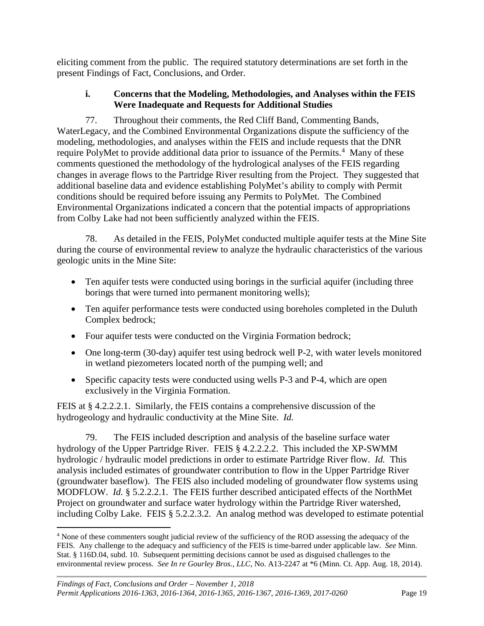eliciting comment from the public. The required statutory determinations are set forth in the present Findings of Fact, Conclusions, and Order.

#### **i. Concerns that the Modeling, Methodologies, and Analyses within the FEIS Were Inadequate and Requests for Additional Studies**

<span id="page-22-0"></span>77. Throughout their comments, the Red Cliff Band, Commenting Bands, WaterLegacy, and the Combined Environmental Organizations dispute the sufficiency of the modeling, methodologies, and analyses within the FEIS and include requests that the DNR require PolyMet to provide additional data prior to issuance of the Permits.<sup>[4](#page-22-1)</sup> Many of these comments questioned the methodology of the hydrological analyses of the FEIS regarding changes in average flows to the Partridge River resulting from the Project. They suggested that additional baseline data and evidence establishing PolyMet's ability to comply with Permit conditions should be required before issuing any Permits to PolyMet. The Combined Environmental Organizations indicated a concern that the potential impacts of appropriations from Colby Lake had not been sufficiently analyzed within the FEIS.

78. As detailed in the FEIS, PolyMet conducted multiple aquifer tests at the Mine Site during the course of environmental review to analyze the hydraulic characteristics of the various geologic units in the Mine Site:

- Ten aquifer tests were conducted using borings in the surficial aquifer (including three borings that were turned into permanent monitoring wells);
- Ten aquifer performance tests were conducted using boreholes completed in the Duluth Complex bedrock;
- Four aquifer tests were conducted on the Virginia Formation bedrock;
- One long-term (30-day) aquifer test using bedrock well P-2, with water levels monitored in wetland piezometers located north of the pumping well; and
- Specific capacity tests were conducted using wells P-3 and P-4, which are open exclusively in the Virginia Formation.

FEIS at § 4.2.2.2.1. Similarly, the FEIS contains a comprehensive discussion of the hydrogeology and hydraulic conductivity at the Mine Site. *Id.*

79. The FEIS included description and analysis of the baseline surface water hydrology of the Upper Partridge River. FEIS § 4.2.2.2.2. This included the XP-SWMM hydrologic / hydraulic model predictions in order to estimate Partridge River flow. *Id.* This analysis included estimates of groundwater contribution to flow in the Upper Partridge River (groundwater baseflow). The FEIS also included modeling of groundwater flow systems using MODFLOW. *Id.* § 5.2.2.2.1. The FEIS further described anticipated effects of the NorthMet Project on groundwater and surface water hydrology within the Partridge River watershed, including Colby Lake. FEIS § 5.2.2.3.2. An analog method was developed to estimate potential

<span id="page-22-1"></span> <sup>4</sup> None of these commenters sought judicial review of the sufficiency of the ROD assessing the adequacy of the FEIS. Any challenge to the adequacy and sufficiency of the FEIS is time-barred under applicable law. *See* Minn. Stat. § 116D.04, subd. 10. Subsequent permitting decisions cannot be used as disguised challenges to the environmental review process. *See In re Gourley Bros., LLC*, No. A13-2247 at \*6 (Minn. Ct. App. Aug. 18, 2014).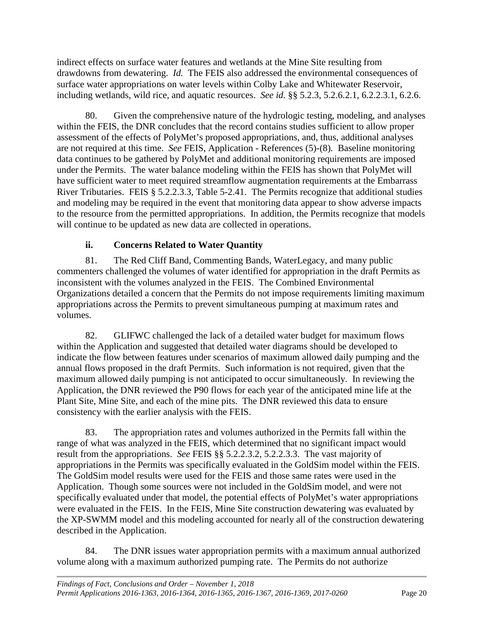indirect effects on surface water features and wetlands at the Mine Site resulting from drawdowns from dewatering. *Id.* The FEIS also addressed the environmental consequences of surface water appropriations on water levels within Colby Lake and Whitewater Reservoir, including wetlands, wild rice, and aquatic resources. *See id.* §§ 5.2.3, 5.2.6.2.1, 6.2.2.3.1, 6.2.6.

80. Given the comprehensive nature of the hydrologic testing, modeling, and analyses within the FEIS, the DNR concludes that the record contains studies sufficient to allow proper assessment of the effects of PolyMet's proposed appropriations, and, thus, additional analyses are not required at this time. *See* FEIS, Application - References (5)-(8). Baseline monitoring data continues to be gathered by PolyMet and additional monitoring requirements are imposed under the Permits. The water balance modeling within the FEIS has shown that PolyMet will have sufficient water to meet required streamflow augmentation requirements at the Embarrass River Tributaries. FEIS § 5.2.2.3.3, Table 5-2.41. The Permits recognize that additional studies and modeling may be required in the event that monitoring data appear to show adverse impacts to the resource from the permitted appropriations. In addition, the Permits recognize that models will continue to be updated as new data are collected in operations.

## **ii. Concerns Related to Water Quantity**

<span id="page-23-0"></span>81. The Red Cliff Band, Commenting Bands, WaterLegacy, and many public commenters challenged the volumes of water identified for appropriation in the draft Permits as inconsistent with the volumes analyzed in the FEIS. The Combined Environmental Organizations detailed a concern that the Permits do not impose requirements limiting maximum appropriations across the Permits to prevent simultaneous pumping at maximum rates and volumes.

82. GLIFWC challenged the lack of a detailed water budget for maximum flows within the Application and suggested that detailed water diagrams should be developed to indicate the flow between features under scenarios of maximum allowed daily pumping and the annual flows proposed in the draft Permits. Such information is not required, given that the maximum allowed daily pumping is not anticipated to occur simultaneously. In reviewing the Application, the DNR reviewed the P90 flows for each year of the anticipated mine life at the Plant Site, Mine Site, and each of the mine pits. The DNR reviewed this data to ensure consistency with the earlier analysis with the FEIS.

83. The appropriation rates and volumes authorized in the Permits fall within the range of what was analyzed in the FEIS, which determined that no significant impact would result from the appropriations. *See* FEIS §§ 5.2.2.3.2, 5.2.2.3.3. The vast majority of appropriations in the Permits was specifically evaluated in the GoldSim model within the FEIS. The GoldSim model results were used for the FEIS and those same rates were used in the Application. Though some sources were not included in the GoldSim model, and were not specifically evaluated under that model, the potential effects of PolyMet's water appropriations were evaluated in the FEIS. In the FEIS, Mine Site construction dewatering was evaluated by the XP-SWMM model and this modeling accounted for nearly all of the construction dewatering described in the Application.

84. The DNR issues water appropriation permits with a maximum annual authorized volume along with a maximum authorized pumping rate. The Permits do not authorize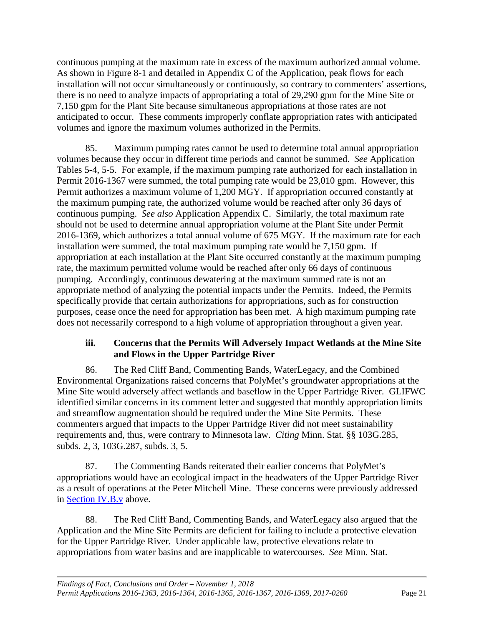continuous pumping at the maximum rate in excess of the maximum authorized annual volume. As shown in Figure 8-1 and detailed in Appendix C of the Application, peak flows for each installation will not occur simultaneously or continuously, so contrary to commenters' assertions, there is no need to analyze impacts of appropriating a total of 29,290 gpm for the Mine Site or 7,150 gpm for the Plant Site because simultaneous appropriations at those rates are not anticipated to occur. These comments improperly conflate appropriation rates with anticipated volumes and ignore the maximum volumes authorized in the Permits.

85. Maximum pumping rates cannot be used to determine total annual appropriation volumes because they occur in different time periods and cannot be summed. *See* Application Tables 5-4, 5-5. For example, if the maximum pumping rate authorized for each installation in Permit 2016-1367 were summed, the total pumping rate would be 23,010 gpm. However, this Permit authorizes a maximum volume of 1,200 MGY. If appropriation occurred constantly at the maximum pumping rate, the authorized volume would be reached after only 36 days of continuous pumping. *See also* Application Appendix C. Similarly, the total maximum rate should not be used to determine annual appropriation volume at the Plant Site under Permit 2016-1369, which authorizes a total annual volume of 675 MGY. If the maximum rate for each installation were summed, the total maximum pumping rate would be 7,150 gpm. If appropriation at each installation at the Plant Site occurred constantly at the maximum pumping rate, the maximum permitted volume would be reached after only 66 days of continuous pumping. Accordingly, continuous dewatering at the maximum summed rate is not an appropriate method of analyzing the potential impacts under the Permits. Indeed, the Permits specifically provide that certain authorizations for appropriations, such as for construction purposes, cease once the need for appropriation has been met. A high maximum pumping rate does not necessarily correspond to a high volume of appropriation throughout a given year.

#### **iii. Concerns that the Permits Will Adversely Impact Wetlands at the Mine Site and Flows in the Upper Partridge River**

<span id="page-24-0"></span>86. The Red Cliff Band, Commenting Bands, WaterLegacy, and the Combined Environmental Organizations raised concerns that PolyMet's groundwater appropriations at the Mine Site would adversely affect wetlands and baseflow in the Upper Partridge River. GLIFWC identified similar concerns in its comment letter and suggested that monthly appropriation limits and streamflow augmentation should be required under the Mine Site Permits. These commenters argued that impacts to the Upper Partridge River did not meet sustainability requirements and, thus, were contrary to Minnesota law. *Citing* Minn. Stat. §§ 103G.285, subds. 2, 3, 103G.287, subds. 3, 5.

87. The Commenting Bands reiterated their earlier concerns that PolyMet's appropriations would have an ecological impact in the headwaters of the Upper Partridge River as a result of operations at the Peter Mitchell Mine. These concerns were previously addressed in [Section IV.B.v](#page-16-0) above.

88. The Red Cliff Band, Commenting Bands, and WaterLegacy also argued that the Application and the Mine Site Permits are deficient for failing to include a protective elevation for the Upper Partridge River. Under applicable law, protective elevations relate to appropriations from water basins and are inapplicable to watercourses. *See* Minn. Stat.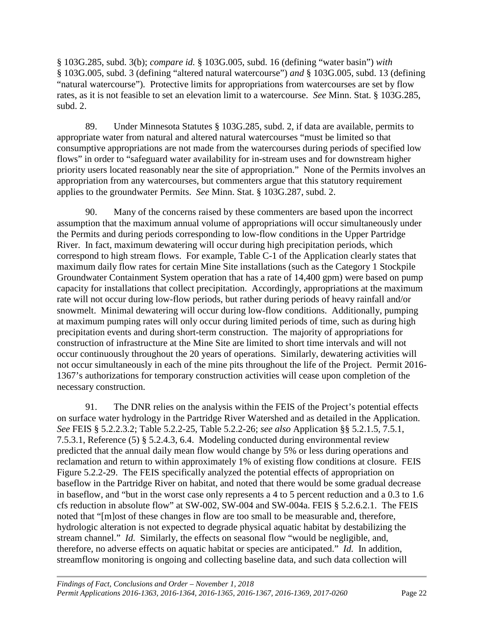§ 103G.285, subd. 3(b); *compare id.* § 103G.005, subd. 16 (defining "water basin") *with* § 103G.005, subd. 3 (defining "altered natural watercourse") *and* § 103G.005, subd. 13 (defining "natural watercourse"). Protective limits for appropriations from watercourses are set by flow rates, as it is not feasible to set an elevation limit to a watercourse. *See* Minn. Stat. § 103G.285, subd. 2.

89. Under Minnesota Statutes § 103G.285, subd. 2, if data are available, permits to appropriate water from natural and altered natural watercourses "must be limited so that consumptive appropriations are not made from the watercourses during periods of specified low flows" in order to "safeguard water availability for in-stream uses and for downstream higher priority users located reasonably near the site of appropriation." None of the Permits involves an appropriation from any watercourses, but commenters argue that this statutory requirement applies to the groundwater Permits. *See* Minn. Stat. § 103G.287, subd. 2.

90. Many of the concerns raised by these commenters are based upon the incorrect assumption that the maximum annual volume of appropriations will occur simultaneously under the Permits and during periods corresponding to low-flow conditions in the Upper Partridge River. In fact, maximum dewatering will occur during high precipitation periods, which correspond to high stream flows. For example, Table C-1 of the Application clearly states that maximum daily flow rates for certain Mine Site installations (such as the Category 1 Stockpile Groundwater Containment System operation that has a rate of 14,400 gpm) were based on pump capacity for installations that collect precipitation. Accordingly, appropriations at the maximum rate will not occur during low-flow periods, but rather during periods of heavy rainfall and/or snowmelt. Minimal dewatering will occur during low-flow conditions. Additionally, pumping at maximum pumping rates will only occur during limited periods of time, such as during high precipitation events and during short-term construction. The majority of appropriations for construction of infrastructure at the Mine Site are limited to short time intervals and will not occur continuously throughout the 20 years of operations. Similarly, dewatering activities will not occur simultaneously in each of the mine pits throughout the life of the Project. Permit 2016- 1367's authorizations for temporary construction activities will cease upon completion of the necessary construction.

91. The DNR relies on the analysis within the FEIS of the Project's potential effects on surface water hydrology in the Partridge River Watershed and as detailed in the Application. *See* FEIS § 5.2.2.3.2; Table 5.2.2-25, Table 5.2.2-26; *see also* Application §§ 5.2.1.5, 7.5.1, 7.5.3.1, Reference (5) § 5.2.4.3, 6.4. Modeling conducted during environmental review predicted that the annual daily mean flow would change by 5% or less during operations and reclamation and return to within approximately 1% of existing flow conditions at closure. FEIS Figure 5.2.2-29. The FEIS specifically analyzed the potential effects of appropriation on baseflow in the Partridge River on habitat, and noted that there would be some gradual decrease in baseflow, and "but in the worst case only represents a 4 to 5 percent reduction and a 0.3 to 1.6 cfs reduction in absolute flow" at SW-002, SW-004 and SW-004a. FEIS § 5.2.6.2.1. The FEIS noted that "[m]ost of these changes in flow are too small to be measurable and, therefore, hydrologic alteration is not expected to degrade physical aquatic habitat by destabilizing the stream channel." *Id.* Similarly, the effects on seasonal flow "would be negligible, and, therefore, no adverse effects on aquatic habitat or species are anticipated." *Id.* In addition, streamflow monitoring is ongoing and collecting baseline data, and such data collection will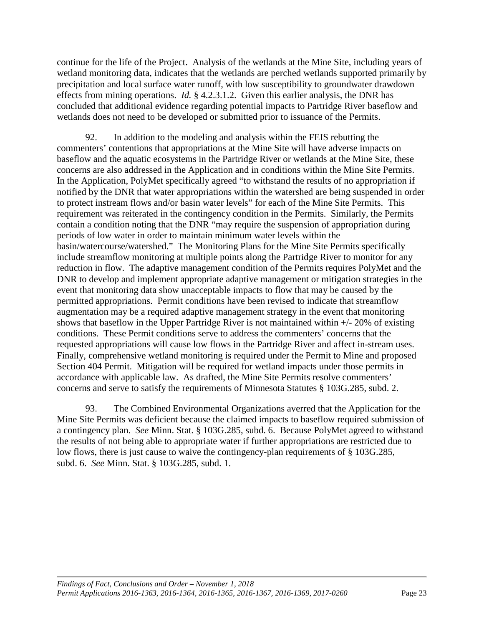continue for the life of the Project. Analysis of the wetlands at the Mine Site, including years of wetland monitoring data, indicates that the wetlands are perched wetlands supported primarily by precipitation and local surface water runoff, with low susceptibility to groundwater drawdown effects from mining operations. *Id.* § 4.2.3.1.2. Given this earlier analysis, the DNR has concluded that additional evidence regarding potential impacts to Partridge River baseflow and wetlands does not need to be developed or submitted prior to issuance of the Permits.

92. In addition to the modeling and analysis within the FEIS rebutting the commenters' contentions that appropriations at the Mine Site will have adverse impacts on baseflow and the aquatic ecosystems in the Partridge River or wetlands at the Mine Site, these concerns are also addressed in the Application and in conditions within the Mine Site Permits. In the Application, PolyMet specifically agreed "to withstand the results of no appropriation if notified by the DNR that water appropriations within the watershed are being suspended in order to protect instream flows and/or basin water levels" for each of the Mine Site Permits. This requirement was reiterated in the contingency condition in the Permits. Similarly, the Permits contain a condition noting that the DNR "may require the suspension of appropriation during periods of low water in order to maintain minimum water levels within the basin/watercourse/watershed." The Monitoring Plans for the Mine Site Permits specifically include streamflow monitoring at multiple points along the Partridge River to monitor for any reduction in flow. The adaptive management condition of the Permits requires PolyMet and the DNR to develop and implement appropriate adaptive management or mitigation strategies in the event that monitoring data show unacceptable impacts to flow that may be caused by the permitted appropriations. Permit conditions have been revised to indicate that streamflow augmentation may be a required adaptive management strategy in the event that monitoring shows that baseflow in the Upper Partridge River is not maintained within +/- 20% of existing conditions. These Permit conditions serve to address the commenters' concerns that the requested appropriations will cause low flows in the Partridge River and affect in-stream uses. Finally, comprehensive wetland monitoring is required under the Permit to Mine and proposed Section 404 Permit. Mitigation will be required for wetland impacts under those permits in accordance with applicable law. As drafted, the Mine Site Permits resolve commenters' concerns and serve to satisfy the requirements of Minnesota Statutes § 103G.285, subd. 2.

93. The Combined Environmental Organizations averred that the Application for the Mine Site Permits was deficient because the claimed impacts to baseflow required submission of a contingency plan. *See* Minn. Stat. § 103G.285, subd. 6. Because PolyMet agreed to withstand the results of not being able to appropriate water if further appropriations are restricted due to low flows, there is just cause to waive the contingency-plan requirements of § 103G.285, subd. 6. *See* Minn. Stat. § 103G.285, subd. 1.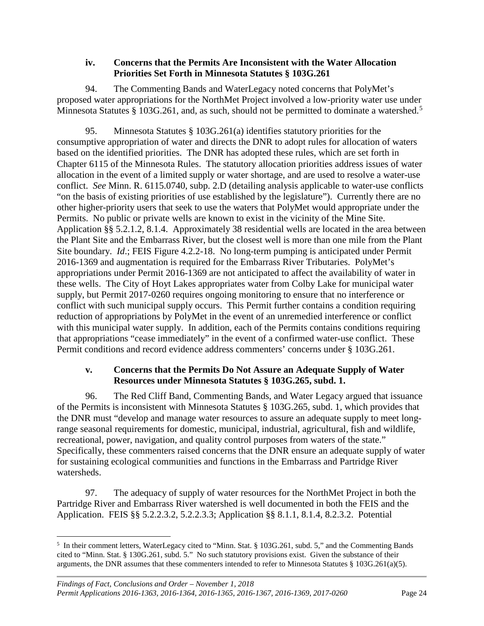#### **iv. Concerns that the Permits Are Inconsistent with the Water Allocation Priorities Set Forth in Minnesota Statutes § 103G.261**

<span id="page-27-0"></span>94. The Commenting Bands and WaterLegacy noted concerns that PolyMet's proposed water appropriations for the NorthMet Project involved a low-priority water use under Minnesota Statutes § 103G.261, and, as such, should not be permitted to dominate a watershed.<sup>[5](#page-27-2)</sup>

95. Minnesota Statutes § 103G.261(a) identifies statutory priorities for the consumptive appropriation of water and directs the DNR to adopt rules for allocation of waters based on the identified priorities. The DNR has adopted these rules, which are set forth in Chapter 6115 of the Minnesota Rules. The statutory allocation priorities address issues of water allocation in the event of a limited supply or water shortage, and are used to resolve a water-use conflict. *See* Minn. R. 6115.0740, subp. 2.D (detailing analysis applicable to water-use conflicts "on the basis of existing priorities of use established by the legislature"). Currently there are no other higher-priority users that seek to use the waters that PolyMet would appropriate under the Permits. No public or private wells are known to exist in the vicinity of the Mine Site. Application §§ 5.2.1.2, 8.1.4. Approximately 38 residential wells are located in the area between the Plant Site and the Embarrass River, but the closest well is more than one mile from the Plant Site boundary. *Id*.; FEIS Figure 4.2.2-18. No long-term pumping is anticipated under Permit 2016-1369 and augmentation is required for the Embarrass River Tributaries. PolyMet's appropriations under Permit 2016-1369 are not anticipated to affect the availability of water in these wells. The City of Hoyt Lakes appropriates water from Colby Lake for municipal water supply, but Permit 2017-0260 requires ongoing monitoring to ensure that no interference or conflict with such municipal supply occurs. This Permit further contains a condition requiring reduction of appropriations by PolyMet in the event of an unremedied interference or conflict with this municipal water supply. In addition, each of the Permits contains conditions requiring that appropriations "cease immediately" in the event of a confirmed water-use conflict. These Permit conditions and record evidence address commenters' concerns under § 103G.261.

#### **v. Concerns that the Permits Do Not Assure an Adequate Supply of Water Resources under Minnesota Statutes § 103G.265, subd. 1.**

<span id="page-27-1"></span>96. The Red Cliff Band, Commenting Bands, and Water Legacy argued that issuance of the Permits is inconsistent with Minnesota Statutes § 103G.265, subd. 1, which provides that the DNR must "develop and manage water resources to assure an adequate supply to meet longrange seasonal requirements for domestic, municipal, industrial, agricultural, fish and wildlife, recreational, power, navigation, and quality control purposes from waters of the state." Specifically, these commenters raised concerns that the DNR ensure an adequate supply of water for sustaining ecological communities and functions in the Embarrass and Partridge River watersheds.

97. The adequacy of supply of water resources for the NorthMet Project in both the Partridge River and Embarrass River watershed is well documented in both the FEIS and the Application. FEIS §§ 5.2.2.3.2, 5.2.2.3.3; Application §§ 8.1.1, 8.1.4, 8.2.3.2. Potential

<span id="page-27-2"></span> <sup>5</sup>  $<sup>5</sup>$  In their comment letters, WaterLegacy cited to "Minn. Stat. § 103G.261, subd. 5," and the Commenting Bands</sup> cited to "Minn. Stat. § 130G.261, subd. 5." No such statutory provisions exist. Given the substance of their arguments, the DNR assumes that these commenters intended to refer to Minnesota Statutes § 103G.261(a)(5).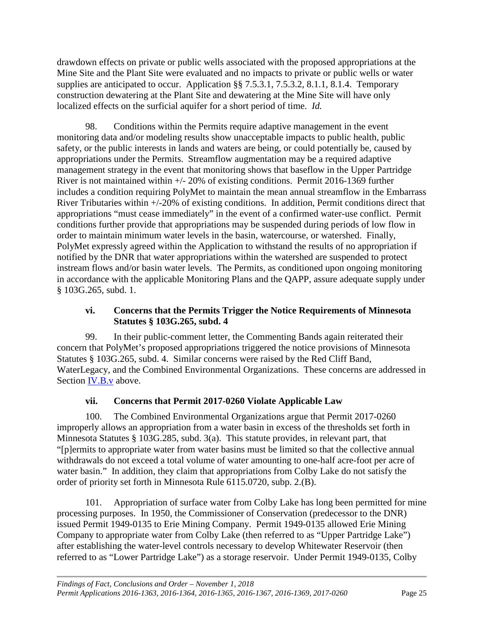drawdown effects on private or public wells associated with the proposed appropriations at the Mine Site and the Plant Site were evaluated and no impacts to private or public wells or water supplies are anticipated to occur. Application §§ 7.5.3.1, 7.5.3.2, 8.1.1, 8.1.4. Temporary construction dewatering at the Plant Site and dewatering at the Mine Site will have only localized effects on the surficial aquifer for a short period of time. *Id.*

98. Conditions within the Permits require adaptive management in the event monitoring data and/or modeling results show unacceptable impacts to public health, public safety, or the public interests in lands and waters are being, or could potentially be, caused by appropriations under the Permits. Streamflow augmentation may be a required adaptive management strategy in the event that monitoring shows that baseflow in the Upper Partridge River is not maintained within +/- 20% of existing conditions. Permit 2016-1369 further includes a condition requiring PolyMet to maintain the mean annual streamflow in the Embarrass River Tributaries within +/-20% of existing conditions. In addition, Permit conditions direct that appropriations "must cease immediately" in the event of a confirmed water-use conflict. Permit conditions further provide that appropriations may be suspended during periods of low flow in order to maintain minimum water levels in the basin, watercourse, or watershed. Finally, PolyMet expressly agreed within the Application to withstand the results of no appropriation if notified by the DNR that water appropriations within the watershed are suspended to protect instream flows and/or basin water levels. The Permits, as conditioned upon ongoing monitoring in accordance with the applicable Monitoring Plans and the QAPP, assure adequate supply under § 103G.265, subd. 1.

#### **vi. Concerns that the Permits Trigger the Notice Requirements of Minnesota Statutes § 103G.265, subd. 4**

<span id="page-28-0"></span>99. In their public-comment letter, the Commenting Bands again reiterated their concern that PolyMet's proposed appropriations triggered the notice provisions of Minnesota Statutes § 103G.265, subd. 4. Similar concerns were raised by the Red Cliff Band, WaterLegacy, and the Combined Environmental Organizations. These concerns are addressed in Section **IV.B.** v above.

#### **vii. Concerns that Permit 2017-0260 Violate Applicable Law**

<span id="page-28-1"></span>100. The Combined Environmental Organizations argue that Permit 2017-0260 improperly allows an appropriation from a water basin in excess of the thresholds set forth in Minnesota Statutes § 103G.285, subd. 3(a). This statute provides, in relevant part, that "[p]ermits to appropriate water from water basins must be limited so that the collective annual withdrawals do not exceed a total volume of water amounting to one-half acre-foot per acre of water basin." In addition, they claim that appropriations from Colby Lake do not satisfy the order of priority set forth in Minnesota Rule 6115.0720, subp. 2.(B).

101. Appropriation of surface water from Colby Lake has long been permitted for mine processing purposes. In 1950, the Commissioner of Conservation (predecessor to the DNR) issued Permit 1949-0135 to Erie Mining Company. Permit 1949-0135 allowed Erie Mining Company to appropriate water from Colby Lake (then referred to as "Upper Partridge Lake") after establishing the water-level controls necessary to develop Whitewater Reservoir (then referred to as "Lower Partridge Lake") as a storage reservoir. Under Permit 1949-0135, Colby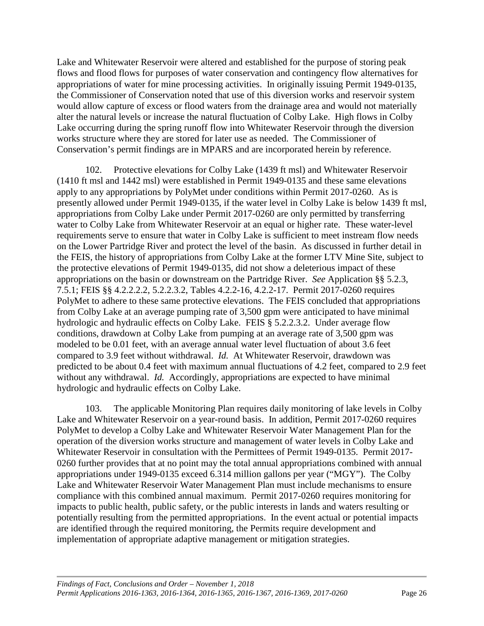Lake and Whitewater Reservoir were altered and established for the purpose of storing peak flows and flood flows for purposes of water conservation and contingency flow alternatives for appropriations of water for mine processing activities. In originally issuing Permit 1949-0135, the Commissioner of Conservation noted that use of this diversion works and reservoir system would allow capture of excess or flood waters from the drainage area and would not materially alter the natural levels or increase the natural fluctuation of Colby Lake. High flows in Colby Lake occurring during the spring runoff flow into Whitewater Reservoir through the diversion works structure where they are stored for later use as needed. The Commissioner of Conservation's permit findings are in MPARS and are incorporated herein by reference.

102. Protective elevations for Colby Lake (1439 ft msl) and Whitewater Reservoir (1410 ft msl and 1442 msl) were established in Permit 1949-0135 and these same elevations apply to any appropriations by PolyMet under conditions within Permit 2017-0260. As is presently allowed under Permit 1949-0135, if the water level in Colby Lake is below 1439 ft msl, appropriations from Colby Lake under Permit 2017-0260 are only permitted by transferring water to Colby Lake from Whitewater Reservoir at an equal or higher rate. These water-level requirements serve to ensure that water in Colby Lake is sufficient to meet instream flow needs on the Lower Partridge River and protect the level of the basin. As discussed in further detail in the FEIS, the history of appropriations from Colby Lake at the former LTV Mine Site, subject to the protective elevations of Permit 1949-0135, did not show a deleterious impact of these appropriations on the basin or downstream on the Partridge River. *See* Application §§ 5.2.3, 7.5.1; FEIS §§ 4.2.2.2.2, 5.2.2.3.2, Tables 4.2.2-16, 4.2.2-17. Permit 2017-0260 requires PolyMet to adhere to these same protective elevations. The FEIS concluded that appropriations from Colby Lake at an average pumping rate of 3,500 gpm were anticipated to have minimal hydrologic and hydraulic effects on Colby Lake. FEIS § 5.2.2.3.2. Under average flow conditions, drawdown at Colby Lake from pumping at an average rate of 3,500 gpm was modeled to be 0.01 feet, with an average annual water level fluctuation of about 3.6 feet compared to 3.9 feet without withdrawal. *Id.* At Whitewater Reservoir, drawdown was predicted to be about 0.4 feet with maximum annual fluctuations of 4.2 feet, compared to 2.9 feet without any withdrawal. *Id.* Accordingly, appropriations are expected to have minimal hydrologic and hydraulic effects on Colby Lake.

103. The applicable Monitoring Plan requires daily monitoring of lake levels in Colby Lake and Whitewater Reservoir on a year-round basis. In addition, Permit 2017-0260 requires PolyMet to develop a Colby Lake and Whitewater Reservoir Water Management Plan for the operation of the diversion works structure and management of water levels in Colby Lake and Whitewater Reservoir in consultation with the Permittees of Permit 1949-0135. Permit 2017- 0260 further provides that at no point may the total annual appropriations combined with annual appropriations under 1949-0135 exceed 6.314 million gallons per year ("MGY"). The Colby Lake and Whitewater Reservoir Water Management Plan must include mechanisms to ensure compliance with this combined annual maximum. Permit 2017-0260 requires monitoring for impacts to public health, public safety, or the public interests in lands and waters resulting or potentially resulting from the permitted appropriations. In the event actual or potential impacts are identified through the required monitoring, the Permits require development and implementation of appropriate adaptive management or mitigation strategies.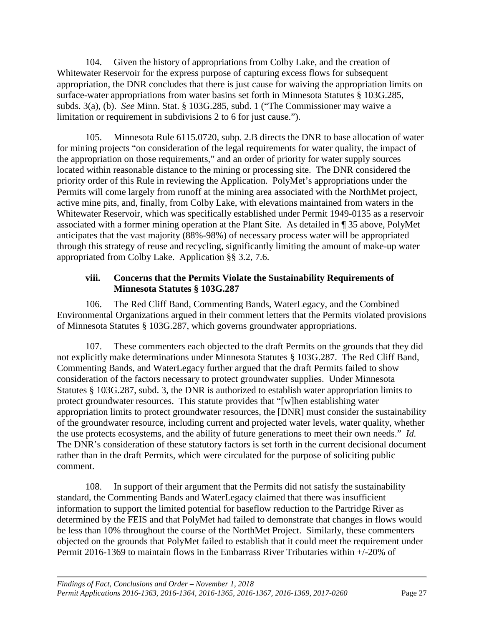104. Given the history of appropriations from Colby Lake, and the creation of Whitewater Reservoir for the express purpose of capturing excess flows for subsequent appropriation, the DNR concludes that there is just cause for waiving the appropriation limits on surface-water appropriations from water basins set forth in Minnesota Statutes § 103G.285, subds. 3(a), (b). *See* Minn. Stat. § 103G.285, subd. 1 ("The Commissioner may waive a limitation or requirement in subdivisions 2 to 6 for just cause.").

105. Minnesota Rule 6115.0720, subp. 2.B directs the DNR to base allocation of water for mining projects "on consideration of the legal requirements for water quality, the impact of the appropriation on those requirements," and an order of priority for water supply sources located within reasonable distance to the mining or processing site. The DNR considered the priority order of this Rule in reviewing the Application. PolyMet's appropriations under the Permits will come largely from runoff at the mining area associated with the NorthMet project, active mine pits, and, finally, from Colby Lake, with elevations maintained from waters in the Whitewater Reservoir, which was specifically established under Permit 1949-0135 as a reservoir associated with a former mining operation at the Plant Site. As detailed in ¶ 35 above, PolyMet anticipates that the vast majority (88%-98%) of necessary process water will be appropriated through this strategy of reuse and recycling, significantly limiting the amount of make-up water appropriated from Colby Lake. Application §§ 3.2, 7.6.

#### **viii. Concerns that the Permits Violate the Sustainability Requirements of Minnesota Statutes § 103G.287**

<span id="page-30-0"></span>106. The Red Cliff Band, Commenting Bands, WaterLegacy, and the Combined Environmental Organizations argued in their comment letters that the Permits violated provisions of Minnesota Statutes § 103G.287, which governs groundwater appropriations.

107. These commenters each objected to the draft Permits on the grounds that they did not explicitly make determinations under Minnesota Statutes § 103G.287. The Red Cliff Band, Commenting Bands, and WaterLegacy further argued that the draft Permits failed to show consideration of the factors necessary to protect groundwater supplies. Under Minnesota Statutes § 103G.287, subd. 3, the DNR is authorized to establish water appropriation limits to protect groundwater resources. This statute provides that "[w]hen establishing water appropriation limits to protect groundwater resources, the [DNR] must consider the sustainability of the groundwater resource, including current and projected water levels, water quality, whether the use protects ecosystems, and the ability of future generations to meet their own needs." *Id.*  The DNR's consideration of these statutory factors is set forth in the current decisional document rather than in the draft Permits, which were circulated for the purpose of soliciting public comment.

108. In support of their argument that the Permits did not satisfy the sustainability standard, the Commenting Bands and WaterLegacy claimed that there was insufficient information to support the limited potential for baseflow reduction to the Partridge River as determined by the FEIS and that PolyMet had failed to demonstrate that changes in flows would be less than 10% throughout the course of the NorthMet Project. Similarly, these commenters objected on the grounds that PolyMet failed to establish that it could meet the requirement under Permit 2016-1369 to maintain flows in the Embarrass River Tributaries within +/-20% of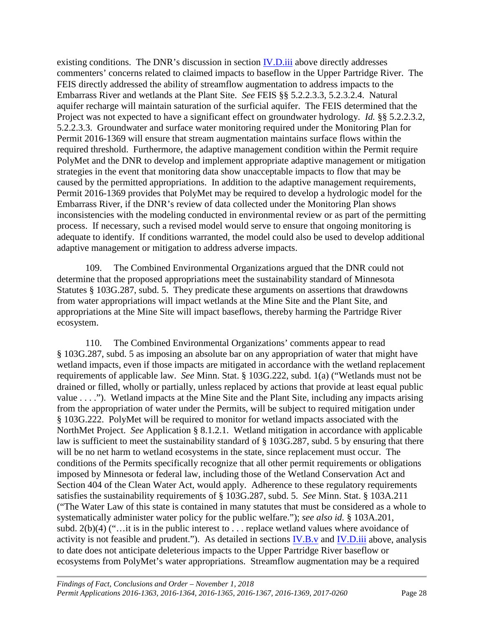existing conditions. The DNR's discussion in section [IV.D.iii](#page-24-0) above directly addresses commenters' concerns related to claimed impacts to baseflow in the Upper Partridge River. The FEIS directly addressed the ability of streamflow augmentation to address impacts to the Embarrass River and wetlands at the Plant Site. *See* FEIS §§ 5.2.2.3.3, 5.2.3.2.4. Natural aquifer recharge will maintain saturation of the surficial aquifer. The FEIS determined that the Project was not expected to have a significant effect on groundwater hydrology. *Id.* §§ 5.2.2.3.2, 5.2.2.3.3. Groundwater and surface water monitoring required under the Monitoring Plan for Permit 2016-1369 will ensure that stream augmentation maintains surface flows within the required threshold. Furthermore, the adaptive management condition within the Permit require PolyMet and the DNR to develop and implement appropriate adaptive management or mitigation strategies in the event that monitoring data show unacceptable impacts to flow that may be caused by the permitted appropriations. In addition to the adaptive management requirements, Permit 2016-1369 provides that PolyMet may be required to develop a hydrologic model for the Embarrass River, if the DNR's review of data collected under the Monitoring Plan shows inconsistencies with the modeling conducted in environmental review or as part of the permitting process. If necessary, such a revised model would serve to ensure that ongoing monitoring is adequate to identify. If conditions warranted, the model could also be used to develop additional adaptive management or mitigation to address adverse impacts.

109. The Combined Environmental Organizations argued that the DNR could not determine that the proposed appropriations meet the sustainability standard of Minnesota Statutes § 103G.287, subd. 5. They predicate these arguments on assertions that drawdowns from water appropriations will impact wetlands at the Mine Site and the Plant Site, and appropriations at the Mine Site will impact baseflows, thereby harming the Partridge River ecosystem.

110. The Combined Environmental Organizations' comments appear to read § 103G.287, subd. 5 as imposing an absolute bar on any appropriation of water that might have wetland impacts, even if those impacts are mitigated in accordance with the wetland replacement requirements of applicable law. *See* Minn. Stat. § 103G.222, subd. 1(a) ("Wetlands must not be drained or filled, wholly or partially, unless replaced by actions that provide at least equal public value . . . ."). Wetland impacts at the Mine Site and the Plant Site, including any impacts arising from the appropriation of water under the Permits, will be subject to required mitigation under § 103G.222. PolyMet will be required to monitor for wetland impacts associated with the NorthMet Project. *See* Application § 8.1.2.1. Wetland mitigation in accordance with applicable law is sufficient to meet the sustainability standard of § 103G.287, subd. 5 by ensuring that there will be no net harm to wetland ecosystems in the state, since replacement must occur. The conditions of the Permits specifically recognize that all other permit requirements or obligations imposed by Minnesota or federal law, including those of the Wetland Conservation Act and Section 404 of the Clean Water Act, would apply. Adherence to these regulatory requirements satisfies the sustainability requirements of § 103G.287, subd. 5. *See* Minn. Stat. § 103A.211 ("The Water Law of this state is contained in many statutes that must be considered as a whole to systematically administer water policy for the public welfare."); *see also id.* § 103A.201, subd.  $2(b)(4)$  ("...it is in the public interest to ... replace wetland values where avoidance of activity is not feasible and prudent."). As detailed in sections [IV.B.v](#page-16-0) and [IV.D.iii](#page-24-0) above, analysis to date does not anticipate deleterious impacts to the Upper Partridge River baseflow or ecosystems from PolyMet's water appropriations. Streamflow augmentation may be a required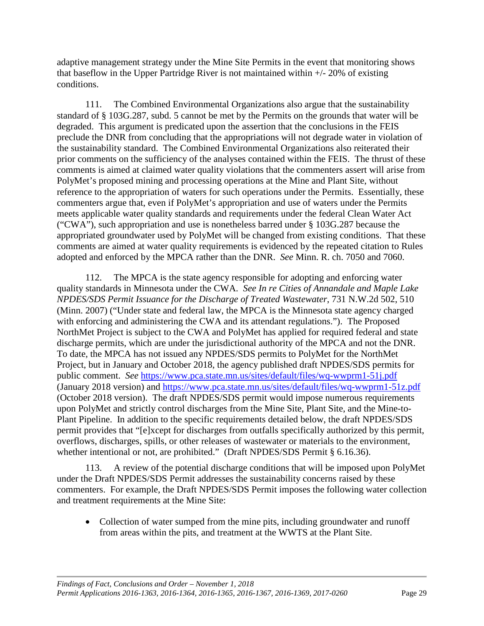adaptive management strategy under the Mine Site Permits in the event that monitoring shows that baseflow in the Upper Partridge River is not maintained within  $+/- 20\%$  of existing conditions.

111. The Combined Environmental Organizations also argue that the sustainability standard of § 103G.287, subd. 5 cannot be met by the Permits on the grounds that water will be degraded. This argument is predicated upon the assertion that the conclusions in the FEIS preclude the DNR from concluding that the appropriations will not degrade water in violation of the sustainability standard. The Combined Environmental Organizations also reiterated their prior comments on the sufficiency of the analyses contained within the FEIS. The thrust of these comments is aimed at claimed water quality violations that the commenters assert will arise from PolyMet's proposed mining and processing operations at the Mine and Plant Site, without reference to the appropriation of waters for such operations under the Permits. Essentially, these commenters argue that, even if PolyMet's appropriation and use of waters under the Permits meets applicable water quality standards and requirements under the federal Clean Water Act ("CWA"), such appropriation and use is nonetheless barred under § 103G.287 because the appropriated groundwater used by PolyMet will be changed from existing conditions. That these comments are aimed at water quality requirements is evidenced by the repeated citation to Rules adopted and enforced by the MPCA rather than the DNR. *See* Minn. R. ch. 7050 and 7060.

112. The MPCA is the state agency responsible for adopting and enforcing water quality standards in Minnesota under the CWA. *See In re Cities of Annandale and Maple Lake NPDES/SDS Permit Issuance for the Discharge of Treated Wastewater*, 731 N.W.2d 502, 510 (Minn. 2007) ("Under state and federal law, the MPCA is the Minnesota state agency charged with enforcing and administering the CWA and its attendant regulations."). The Proposed NorthMet Project is subject to the CWA and PolyMet has applied for required federal and state discharge permits, which are under the jurisdictional authority of the MPCA and not the DNR. To date, the MPCA has not issued any NPDES/SDS permits to PolyMet for the NorthMet Project, but in January and October 2018, the agency published draft NPDES/SDS permits for public comment. *See* <https://www.pca.state.mn.us/sites/default/files/wq-wwprm1-51j.pdf> (January 2018 version) and<https://www.pca.state.mn.us/sites/default/files/wq-wwprm1-51z.pdf> (October 2018 version). The draft NPDES/SDS permit would impose numerous requirements upon PolyMet and strictly control discharges from the Mine Site, Plant Site, and the Mine-to-Plant Pipeline. In addition to the specific requirements detailed below, the draft NPDES/SDS permit provides that "[e]xcept for discharges from outfalls specifically authorized by this permit, overflows, discharges, spills, or other releases of wastewater or materials to the environment, whether intentional or not, are prohibited." (Draft NPDES/SDS Permit § 6.16.36).

113. A review of the potential discharge conditions that will be imposed upon PolyMet under the Draft NPDES/SDS Permit addresses the sustainability concerns raised by these commenters. For example, the Draft NPDES/SDS Permit imposes the following water collection and treatment requirements at the Mine Site:

• Collection of water sumped from the mine pits, including groundwater and runoff from areas within the pits, and treatment at the WWTS at the Plant Site.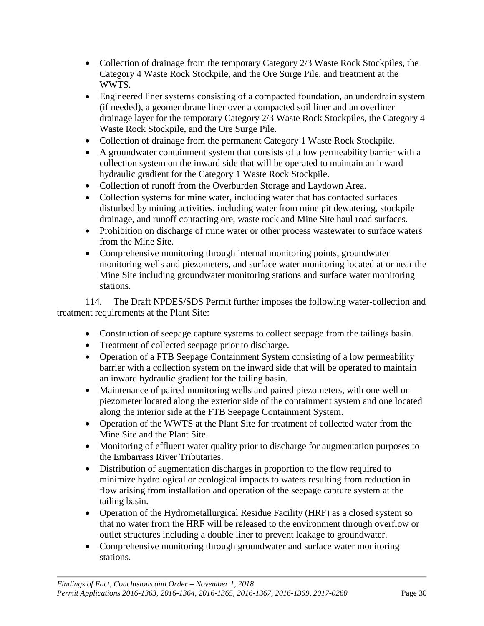- Collection of drainage from the temporary Category 2/3 Waste Rock Stockpiles, the Category 4 Waste Rock Stockpile, and the Ore Surge Pile, and treatment at the WWTS.
- Engineered liner systems consisting of a compacted foundation, an underdrain system (if needed), a geomembrane liner over a compacted soil liner and an overliner drainage layer for the temporary Category 2/3 Waste Rock Stockpiles, the Category 4 Waste Rock Stockpile, and the Ore Surge Pile.
- Collection of drainage from the permanent Category 1 Waste Rock Stockpile.
- A groundwater containment system that consists of a low permeability barrier with a collection system on the inward side that will be operated to maintain an inward hydraulic gradient for the Category 1 Waste Rock Stockpile.
- Collection of runoff from the Overburden Storage and Laydown Area.
- Collection systems for mine water, including water that has contacted surfaces disturbed by mining activities, including water from mine pit dewatering, stockpile drainage, and runoff contacting ore, waste rock and Mine Site haul road surfaces.
- Prohibition on discharge of mine water or other process wastewater to surface waters from the Mine Site.
- Comprehensive monitoring through internal monitoring points, groundwater monitoring wells and piezometers, and surface water monitoring located at or near the Mine Site including groundwater monitoring stations and surface water monitoring stations.

114. The Draft NPDES/SDS Permit further imposes the following water-collection and treatment requirements at the Plant Site:

- Construction of seepage capture systems to collect seepage from the tailings basin.
- Treatment of collected seepage prior to discharge.
- Operation of a FTB Seepage Containment System consisting of a low permeability barrier with a collection system on the inward side that will be operated to maintain an inward hydraulic gradient for the tailing basin.
- Maintenance of paired monitoring wells and paired piezometers, with one well or piezometer located along the exterior side of the containment system and one located along the interior side at the FTB Seepage Containment System.
- Operation of the WWTS at the Plant Site for treatment of collected water from the Mine Site and the Plant Site.
- Monitoring of effluent water quality prior to discharge for augmentation purposes to the Embarrass River Tributaries.
- Distribution of augmentation discharges in proportion to the flow required to minimize hydrological or ecological impacts to waters resulting from reduction in flow arising from installation and operation of the seepage capture system at the tailing basin.
- Operation of the Hydrometallurgical Residue Facility (HRF) as a closed system so that no water from the HRF will be released to the environment through overflow or outlet structures including a double liner to prevent leakage to groundwater.
- Comprehensive monitoring through groundwater and surface water monitoring stations.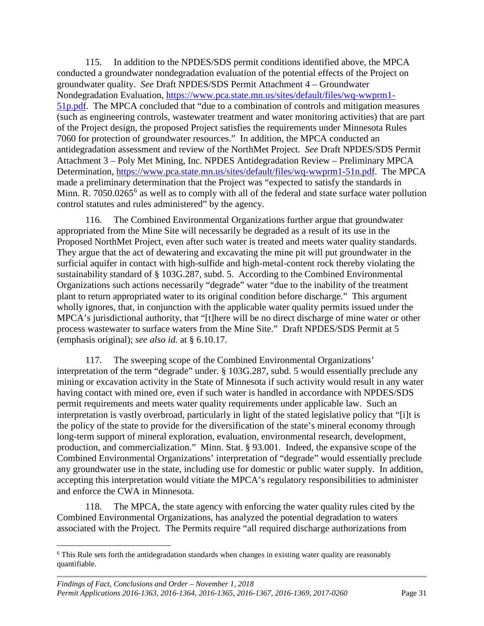115. In addition to the NPDES/SDS permit conditions identified above, the MPCA conducted a groundwater nondegradation evaluation of the potential effects of the Project on groundwater quality. *See* Draft NPDES/SDS Permit Attachment 4 – Groundwater Nondegradation Evaluation, [https://www.pca.state.mn.us/sites/default/files/wq-wwprm1-](https://www.pca.state.mn.us/sites/default/files/wq-wwprm1-51p.pdf) [51p.pdf.](https://www.pca.state.mn.us/sites/default/files/wq-wwprm1-51p.pdf) The MPCA concluded that "due to a combination of controls and mitigation measures (such as engineering controls, wastewater treatment and water monitoring activities) that are part of the Project design, the proposed Project satisfies the requirements under Minnesota Rules 7060 for protection of groundwater resources." In addition, the MPCA conducted an antidegradation assessment and review of the NorthMet Project. *See* Draft NPDES/SDS Permit Attachment 3 – Poly Met Mining, Inc. NPDES Antidegradation Review – Preliminary MPCA Determination, [https://www.pca.state.mn.us/sites/default/files/wq-wwprm1-51n.pdf.](https://www.pca.state.mn.us/sites/default/files/wq-wwprm1-51n.pdf) The MPCA made a preliminary determination that the Project was "expected to satisfy the standards in Minn. R. 7050.02[6](#page-34-0)5<sup>6</sup> as well as to comply with all of the federal and state surface water pollution control statutes and rules administered" by the agency.

116. The Combined Environmental Organizations further argue that groundwater appropriated from the Mine Site will necessarily be degraded as a result of its use in the Proposed NorthMet Project, even after such water is treated and meets water quality standards. They argue that the act of dewatering and excavating the mine pit will put groundwater in the surficial aquifer in contact with high-sulfide and high-metal-content rock thereby violating the sustainability standard of § 103G.287, subd. 5. According to the Combined Environmental Organizations such actions necessarily "degrade" water "due to the inability of the treatment plant to return appropriated water to its original condition before discharge." This argument wholly ignores, that, in conjunction with the applicable water quality permits issued under the MPCA's jurisdictional authority, that "[t]here will be no direct discharge of mine water or other process wastewater to surface waters from the Mine Site." Draft NPDES/SDS Permit at 5 (emphasis original); *see also id.* at § 6.10.17.

117. The sweeping scope of the Combined Environmental Organizations' interpretation of the term "degrade" under. § 103G.287, subd. 5 would essentially preclude any mining or excavation activity in the State of Minnesota if such activity would result in any water having contact with mined ore, even if such water is handled in accordance with NPDES/SDS permit requirements and meets water quality requirements under applicable law. Such an interpretation is vastly overbroad, particularly in light of the stated legislative policy that "[i]t is the policy of the state to provide for the diversification of the state's mineral economy through long-term support of mineral exploration, evaluation, environmental research, development, production, and commercialization." Minn. Stat. § 93.001. Indeed, the expansive scope of the Combined Environmental Organizations' interpretation of "degrade" would essentially preclude any groundwater use in the state, including use for domestic or public water supply. In addition, accepting this interpretation would vitiate the MPCA's regulatory responsibilities to administer and enforce the CWA in Minnesota.

118. The MPCA, the state agency with enforcing the water quality rules cited by the Combined Environmental Organizations, has analyzed the potential degradation to waters associated with the Project. The Permits require "all required discharge authorizations from

<span id="page-34-0"></span><sup>&</sup>lt;sup>6</sup> This Rule sets forth the antidegradation standards when changes in existing water quality are reasonably quantifiable.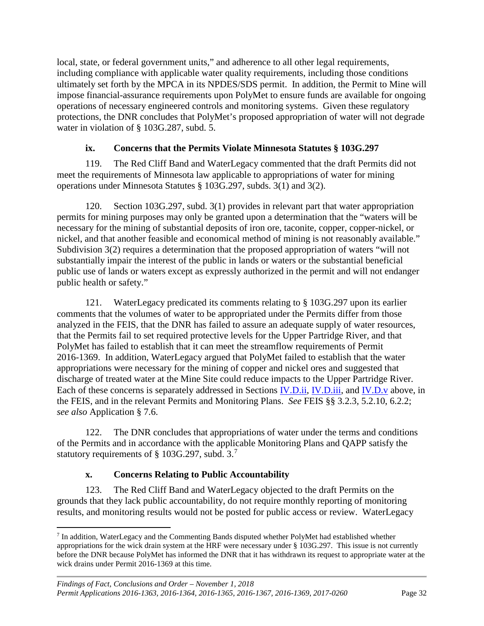local, state, or federal government units," and adherence to all other legal requirements, including compliance with applicable water quality requirements, including those conditions ultimately set forth by the MPCA in its NPDES/SDS permit. In addition, the Permit to Mine will impose financial-assurance requirements upon PolyMet to ensure funds are available for ongoing operations of necessary engineered controls and monitoring systems. Given these regulatory protections, the DNR concludes that PolyMet's proposed appropriation of water will not degrade water in violation of § 103G.287, subd. 5.

#### **ix. Concerns that the Permits Violate Minnesota Statutes § 103G.297**

<span id="page-35-0"></span>119. The Red Cliff Band and WaterLegacy commented that the draft Permits did not meet the requirements of Minnesota law applicable to appropriations of water for mining operations under Minnesota Statutes § 103G.297, subds. 3(1) and 3(2).

120. Section 103G.297, subd. 3(1) provides in relevant part that water appropriation permits for mining purposes may only be granted upon a determination that the "waters will be necessary for the mining of substantial deposits of iron ore, taconite, copper, copper-nickel, or nickel, and that another feasible and economical method of mining is not reasonably available." Subdivision 3(2) requires a determination that the proposed appropriation of waters "will not substantially impair the interest of the public in lands or waters or the substantial beneficial public use of lands or waters except as expressly authorized in the permit and will not endanger public health or safety."

121. WaterLegacy predicated its comments relating to § 103G.297 upon its earlier comments that the volumes of water to be appropriated under the Permits differ from those analyzed in the FEIS, that the DNR has failed to assure an adequate supply of water resources, that the Permits fail to set required protective levels for the Upper Partridge River, and that PolyMet has failed to establish that it can meet the streamflow requirements of Permit 2016-1369. In addition, WaterLegacy argued that PolyMet failed to establish that the water appropriations were necessary for the mining of copper and nickel ores and suggested that discharge of treated water at the Mine Site could reduce impacts to the Upper Partridge River. Each of these concerns is separately addressed in Sections *IV.D.ii, [IV.D.iii,](#page-24-0) and [IV.D.v](#page-27-1)* above, in the FEIS, and in the relevant Permits and Monitoring Plans. *See* FEIS §§ 3.2.3, 5.2.10, 6.2.2; *see also* Application § 7.6.

122. The DNR concludes that appropriations of water under the terms and conditions of the Permits and in accordance with the applicable Monitoring Plans and QAPP satisfy the statutory requirements of § 103G.297, subd. 3.[7](#page-35-2)

## **x. Concerns Relating to Public Accountability**

<span id="page-35-1"></span>123. The Red Cliff Band and WaterLegacy objected to the draft Permits on the grounds that they lack public accountability, do not require monthly reporting of monitoring results, and monitoring results would not be posted for public access or review. WaterLegacy

<span id="page-35-2"></span> <sup>7</sup> In addition, WaterLegacy and the Commenting Bands disputed whether PolyMet had established whether appropriations for the wick drain system at the HRF were necessary under § 103G.297. This issue is not currently before the DNR because PolyMet has informed the DNR that it has withdrawn its request to appropriate water at the wick drains under Permit 2016-1369 at this time.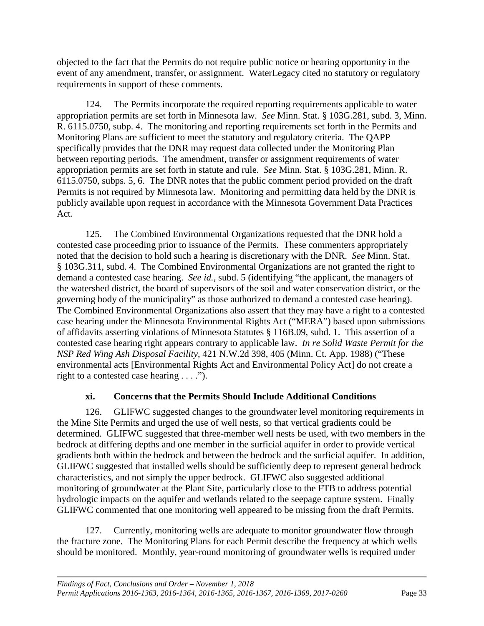objected to the fact that the Permits do not require public notice or hearing opportunity in the event of any amendment, transfer, or assignment. WaterLegacy cited no statutory or regulatory requirements in support of these comments.

124. The Permits incorporate the required reporting requirements applicable to water appropriation permits are set forth in Minnesota law. *See* Minn. Stat. § 103G.281, subd. 3, Minn. R. 6115.0750, subp. 4. The monitoring and reporting requirements set forth in the Permits and Monitoring Plans are sufficient to meet the statutory and regulatory criteria. The QAPP specifically provides that the DNR may request data collected under the Monitoring Plan between reporting periods. The amendment, transfer or assignment requirements of water appropriation permits are set forth in statute and rule. *See* Minn. Stat. § 103G.281*,* Minn. R. 6115.0750, subps. 5, 6. The DNR notes that the public comment period provided on the draft Permits is not required by Minnesota law. Monitoring and permitting data held by the DNR is publicly available upon request in accordance with the Minnesota Government Data Practices Act.

125. The Combined Environmental Organizations requested that the DNR hold a contested case proceeding prior to issuance of the Permits. These commenters appropriately noted that the decision to hold such a hearing is discretionary with the DNR. *See* Minn. Stat. § 103G.311, subd. 4. The Combined Environmental Organizations are not granted the right to demand a contested case hearing. *See id.*, subd. 5 (identifying "the applicant, the managers of the watershed district, the board of supervisors of the soil and water conservation district, or the governing body of the municipality" as those authorized to demand a contested case hearing). The Combined Environmental Organizations also assert that they may have a right to a contested case hearing under the Minnesota Environmental Rights Act ("MERA") based upon submissions of affidavits asserting violations of Minnesota Statutes § 116B.09, subd. 1. This assertion of a contested case hearing right appears contrary to applicable law. *In re Solid Waste Permit for the NSP Red Wing Ash Disposal Facility*, 421 N.W.2d 398, 405 (Minn. Ct. App. 1988) ("These environmental acts [Environmental Rights Act and Environmental Policy Act] do not create a right to a contested case hearing . . . .").

#### **xi. Concerns that the Permits Should Include Additional Conditions**

<span id="page-36-0"></span>126. GLIFWC suggested changes to the groundwater level monitoring requirements in the Mine Site Permits and urged the use of well nests, so that vertical gradients could be determined. GLIFWC suggested that three-member well nests be used, with two members in the bedrock at differing depths and one member in the surficial aquifer in order to provide vertical gradients both within the bedrock and between the bedrock and the surficial aquifer. In addition, GLIFWC suggested that installed wells should be sufficiently deep to represent general bedrock characteristics, and not simply the upper bedrock. GLIFWC also suggested additional monitoring of groundwater at the Plant Site, particularly close to the FTB to address potential hydrologic impacts on the aquifer and wetlands related to the seepage capture system. Finally GLIFWC commented that one monitoring well appeared to be missing from the draft Permits.

127. Currently, monitoring wells are adequate to monitor groundwater flow through the fracture zone. The Monitoring Plans for each Permit describe the frequency at which wells should be monitored. Monthly, year-round monitoring of groundwater wells is required under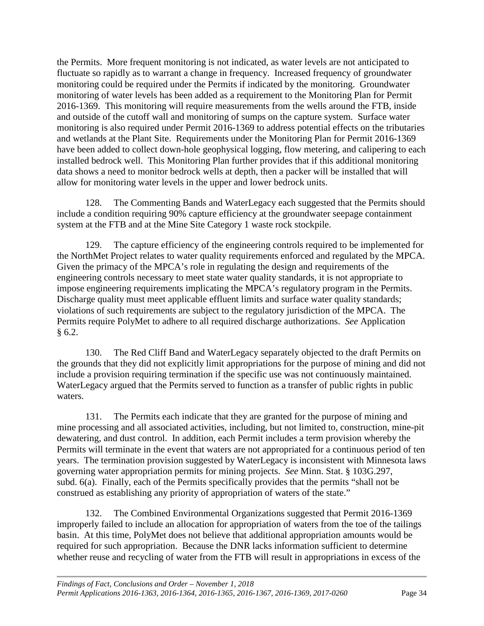the Permits. More frequent monitoring is not indicated, as water levels are not anticipated to fluctuate so rapidly as to warrant a change in frequency. Increased frequency of groundwater monitoring could be required under the Permits if indicated by the monitoring. Groundwater monitoring of water levels has been added as a requirement to the Monitoring Plan for Permit 2016-1369. This monitoring will require measurements from the wells around the FTB, inside and outside of the cutoff wall and monitoring of sumps on the capture system. Surface water monitoring is also required under Permit 2016-1369 to address potential effects on the tributaries and wetlands at the Plant Site. Requirements under the Monitoring Plan for Permit 2016-1369 have been added to collect down-hole geophysical logging, flow metering, and calipering to each installed bedrock well. This Monitoring Plan further provides that if this additional monitoring data shows a need to monitor bedrock wells at depth, then a packer will be installed that will allow for monitoring water levels in the upper and lower bedrock units.

128. The Commenting Bands and WaterLegacy each suggested that the Permits should include a condition requiring 90% capture efficiency at the groundwater seepage containment system at the FTB and at the Mine Site Category 1 waste rock stockpile.

129. The capture efficiency of the engineering controls required to be implemented for the NorthMet Project relates to water quality requirements enforced and regulated by the MPCA. Given the primacy of the MPCA's role in regulating the design and requirements of the engineering controls necessary to meet state water quality standards, it is not appropriate to impose engineering requirements implicating the MPCA's regulatory program in the Permits. Discharge quality must meet applicable effluent limits and surface water quality standards; violations of such requirements are subject to the regulatory jurisdiction of the MPCA. The Permits require PolyMet to adhere to all required discharge authorizations. *See* Application  $§ 6.2.$ 

130. The Red Cliff Band and WaterLegacy separately objected to the draft Permits on the grounds that they did not explicitly limit appropriations for the purpose of mining and did not include a provision requiring termination if the specific use was not continuously maintained. WaterLegacy argued that the Permits served to function as a transfer of public rights in public waters.

131. The Permits each indicate that they are granted for the purpose of mining and mine processing and all associated activities, including, but not limited to, construction, mine-pit dewatering, and dust control. In addition, each Permit includes a term provision whereby the Permits will terminate in the event that waters are not appropriated for a continuous period of ten years. The termination provision suggested by WaterLegacy is inconsistent with Minnesota laws governing water appropriation permits for mining projects. *See* Minn. Stat. § 103G.297, subd. 6(a). Finally, each of the Permits specifically provides that the permits "shall not be construed as establishing any priority of appropriation of waters of the state."

132. The Combined Environmental Organizations suggested that Permit 2016-1369 improperly failed to include an allocation for appropriation of waters from the toe of the tailings basin. At this time, PolyMet does not believe that additional appropriation amounts would be required for such appropriation. Because the DNR lacks information sufficient to determine whether reuse and recycling of water from the FTB will result in appropriations in excess of the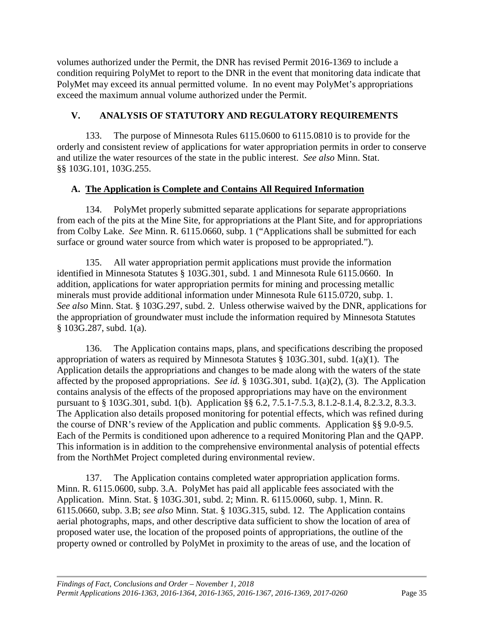volumes authorized under the Permit, the DNR has revised Permit 2016-1369 to include a condition requiring PolyMet to report to the DNR in the event that monitoring data indicate that PolyMet may exceed its annual permitted volume. In no event may PolyMet's appropriations exceed the maximum annual volume authorized under the Permit.

## <span id="page-38-0"></span>**V. ANALYSIS OF STATUTORY AND REGULATORY REQUIREMENTS**

133. The purpose of Minnesota Rules 6115.0600 to 6115.0810 is to provide for the orderly and consistent review of applications for water appropriation permits in order to conserve and utilize the water resources of the state in the public interest. *See also* Minn. Stat. §§ 103G.101, 103G.255.

## <span id="page-38-1"></span>**A. The Application is Complete and Contains All Required Information**

134. PolyMet properly submitted separate applications for separate appropriations from each of the pits at the Mine Site, for appropriations at the Plant Site, and for appropriations from Colby Lake. *See* Minn. R. 6115.0660, subp. 1 ("Applications shall be submitted for each surface or ground water source from which water is proposed to be appropriated.").

135. All water appropriation permit applications must provide the information identified in Minnesota Statutes § 103G.301, subd. 1 and Minnesota Rule 6115.0660. In addition, applications for water appropriation permits for mining and processing metallic minerals must provide additional information under Minnesota Rule 6115.0720, subp. 1. *See also* Minn. Stat. § 103G.297, subd. 2. Unless otherwise waived by the DNR, applications for the appropriation of groundwater must include the information required by Minnesota Statutes § 103G.287, subd. 1(a).

136. The Application contains maps, plans, and specifications describing the proposed appropriation of waters as required by Minnesota Statutes § 103G.301, subd. 1(a)(1). The Application details the appropriations and changes to be made along with the waters of the state affected by the proposed appropriations. *See id.* § 103G.301, subd. 1(a)(2), (3). The Application contains analysis of the effects of the proposed appropriations may have on the environment pursuant to § 103G.301, subd. 1(b). Application §§ 6.2, 7.5.1-7.5.3, 8.1.2-8.1.4, 8.2.3.2, 8.3.3. The Application also details proposed monitoring for potential effects, which was refined during the course of DNR's review of the Application and public comments. Application §§ 9.0-9.5. Each of the Permits is conditioned upon adherence to a required Monitoring Plan and the QAPP. This information is in addition to the comprehensive environmental analysis of potential effects from the NorthMet Project completed during environmental review.

137. The Application contains completed water appropriation application forms. Minn. R. 6115.0600, subp. 3.A. PolyMet has paid all applicable fees associated with the Application. Minn. Stat. § 103G.301, subd. 2; Minn. R. 6115.0060, subp. 1, Minn. R. 6115.0660, subp. 3.B; *see also* Minn. Stat. § 103G.315, subd. 12. The Application contains aerial photographs, maps, and other descriptive data sufficient to show the location of area of proposed water use, the location of the proposed points of appropriations, the outline of the property owned or controlled by PolyMet in proximity to the areas of use, and the location of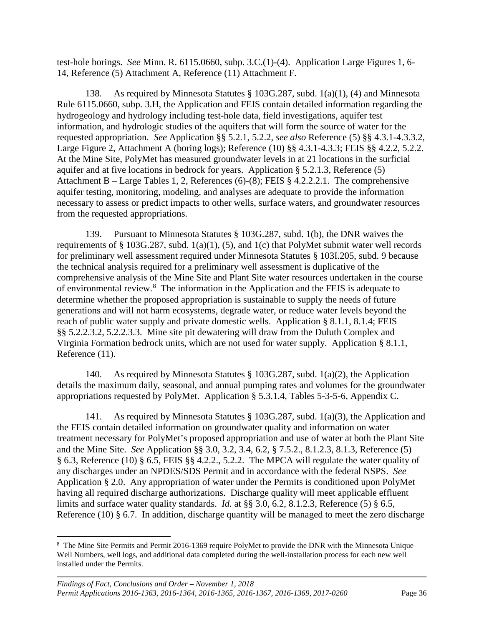test-hole borings. *See* Minn. R. 6115.0660, subp. 3.C.(1)-(4). Application Large Figures 1, 6- 14, Reference (5) Attachment A, Reference (11) Attachment F.

138. As required by Minnesota Statutes § 103G.287, subd. 1(a)(1), (4) and Minnesota Rule 6115.0660, subp. 3.H, the Application and FEIS contain detailed information regarding the hydrogeology and hydrology including test-hole data, field investigations, aquifer test information, and hydrologic studies of the aquifers that will form the source of water for the requested appropriation. *See* Application §§ 5.2.1, 5.2.2, *see also* Reference (5) §§ 4.3.1-4.3.3.2, Large Figure 2, Attachment A (boring logs); Reference (10) §§ 4.3.1-4.3.3; FEIS §§ 4.2.2, 5.2.2. At the Mine Site, PolyMet has measured groundwater levels in at 21 locations in the surficial aquifer and at five locations in bedrock for years. Application § 5.2.1.3, Reference (5) Attachment B – Large Tables 1, 2, References (6)-(8); FEIS § 4.2.2.2.1. The comprehensive aquifer testing, monitoring, modeling, and analyses are adequate to provide the information necessary to assess or predict impacts to other wells, surface waters, and groundwater resources from the requested appropriations.

139. Pursuant to Minnesota Statutes § 103G.287, subd. 1(b), the DNR waives the requirements of § 103G.287, subd.  $1(a)(1)$ , (5), and  $1(c)$  that PolyMet submit water well records for preliminary well assessment required under Minnesota Statutes § 103I.205, subd. 9 because the technical analysis required for a preliminary well assessment is duplicative of the comprehensive analysis of the Mine Site and Plant Site water resources undertaken in the course of environmental review.<sup>[8](#page-39-0)</sup> The information in the Application and the FEIS is adequate to determine whether the proposed appropriation is sustainable to supply the needs of future generations and will not harm ecosystems, degrade water, or reduce water levels beyond the reach of public water supply and private domestic wells. Application § 8.1.1, 8.1.4; FEIS §§ 5.2.2.3.2, 5.2.2.3.3. Mine site pit dewatering will draw from the Duluth Complex and Virginia Formation bedrock units, which are not used for water supply. Application § 8.1.1, Reference (11).

140. As required by Minnesota Statutes § 103G.287, subd. 1(a)(2), the Application details the maximum daily, seasonal, and annual pumping rates and volumes for the groundwater appropriations requested by PolyMet. Application § 5.3.1.4, Tables 5-3-5-6, Appendix C.

141. As required by Minnesota Statutes § 103G.287, subd. 1(a)(3), the Application and the FEIS contain detailed information on groundwater quality and information on water treatment necessary for PolyMet's proposed appropriation and use of water at both the Plant Site and the Mine Site. *See* Application §§ 3.0, 3.2, 3.4, 6.2, § 7.5.2., 8.1.2.3, 8.1.3, Reference (5) § 6.3, Reference (10) § 6.5, FEIS §§ 4.2.2., 5.2.2. The MPCA will regulate the water quality of any discharges under an NPDES/SDS Permit and in accordance with the federal NSPS. *See*  Application § 2.0. Any appropriation of water under the Permits is conditioned upon PolyMet having all required discharge authorizations. Discharge quality will meet applicable effluent limits and surface water quality standards. *Id.* at §§ 3.0, 6.2, 8.1.2.3, Reference (5) § 6.5, Reference (10) § 6.7. In addition, discharge quantity will be managed to meet the zero discharge

<span id="page-39-0"></span> $\frac{1}{8}$  The Mine Site Permits and Permit 2016-1369 require PolyMet to provide the DNR with the Minnesota Unique Well Numbers, well logs, and additional data completed during the well-installation process for each new well installed under the Permits.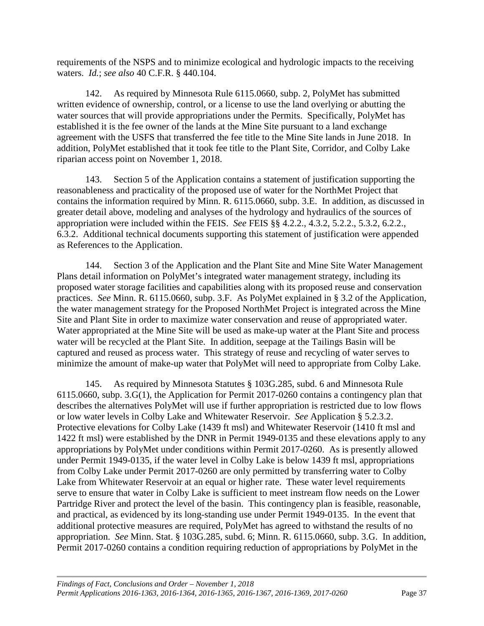requirements of the NSPS and to minimize ecological and hydrologic impacts to the receiving waters. *Id.*; *see also* 40 C.F.R. § 440.104.

142. As required by Minnesota Rule 6115.0660, subp. 2, PolyMet has submitted written evidence of ownership, control, or a license to use the land overlying or abutting the water sources that will provide appropriations under the Permits. Specifically, PolyMet has established it is the fee owner of the lands at the Mine Site pursuant to a land exchange agreement with the USFS that transferred the fee title to the Mine Site lands in June 2018. In addition, PolyMet established that it took fee title to the Plant Site, Corridor, and Colby Lake riparian access point on November 1, 2018.

143. Section 5 of the Application contains a statement of justification supporting the reasonableness and practicality of the proposed use of water for the NorthMet Project that contains the information required by Minn. R. 6115.0660, subp. 3.E. In addition, as discussed in greater detail above, modeling and analyses of the hydrology and hydraulics of the sources of appropriation were included within the FEIS. *See* FEIS §§ 4.2.2., 4.3.2, 5.2.2., 5.3.2, 6.2.2., 6.3.2. Additional technical documents supporting this statement of justification were appended as References to the Application.

144. Section 3 of the Application and the Plant Site and Mine Site Water Management Plans detail information on PolyMet's integrated water management strategy, including its proposed water storage facilities and capabilities along with its proposed reuse and conservation practices. *See* Minn. R. 6115.0660, subp. 3.F. As PolyMet explained in § 3.2 of the Application, the water management strategy for the Proposed NorthMet Project is integrated across the Mine Site and Plant Site in order to maximize water conservation and reuse of appropriated water. Water appropriated at the Mine Site will be used as make-up water at the Plant Site and process water will be recycled at the Plant Site. In addition, seepage at the Tailings Basin will be captured and reused as process water. This strategy of reuse and recycling of water serves to minimize the amount of make-up water that PolyMet will need to appropriate from Colby Lake.

145. As required by Minnesota Statutes § 103G.285, subd. 6 and Minnesota Rule 6115.0660, subp. 3.G(1), the Application for Permit 2017-0260 contains a contingency plan that describes the alternatives PolyMet will use if further appropriation is restricted due to low flows or low water levels in Colby Lake and Whitewater Reservoir. *See* Application § 5.2.3.2. Protective elevations for Colby Lake (1439 ft msl) and Whitewater Reservoir (1410 ft msl and 1422 ft msl) were established by the DNR in Permit 1949-0135 and these elevations apply to any appropriations by PolyMet under conditions within Permit 2017-0260. As is presently allowed under Permit 1949-0135, if the water level in Colby Lake is below 1439 ft msl, appropriations from Colby Lake under Permit 2017-0260 are only permitted by transferring water to Colby Lake from Whitewater Reservoir at an equal or higher rate. These water level requirements serve to ensure that water in Colby Lake is sufficient to meet instream flow needs on the Lower Partridge River and protect the level of the basin. This contingency plan is feasible, reasonable, and practical, as evidenced by its long-standing use under Permit 1949-0135. In the event that additional protective measures are required, PolyMet has agreed to withstand the results of no appropriation. *See* Minn. Stat. § 103G.285, subd. 6; Minn. R. 6115.0660, subp. 3.G. In addition, Permit 2017-0260 contains a condition requiring reduction of appropriations by PolyMet in the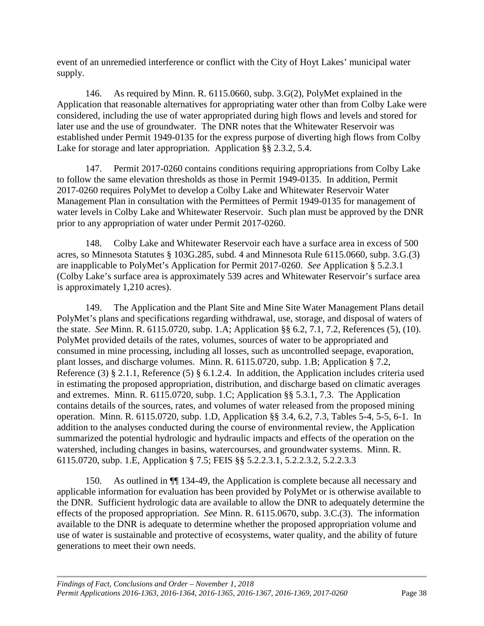event of an unremedied interference or conflict with the City of Hoyt Lakes' municipal water supply.

146. As required by Minn. R. 6115.0660, subp. 3.G(2), PolyMet explained in the Application that reasonable alternatives for appropriating water other than from Colby Lake were considered, including the use of water appropriated during high flows and levels and stored for later use and the use of groundwater. The DNR notes that the Whitewater Reservoir was established under Permit 1949-0135 for the express purpose of diverting high flows from Colby Lake for storage and later appropriation. Application §§ 2.3.2, 5.4.

147. Permit 2017-0260 contains conditions requiring appropriations from Colby Lake to follow the same elevation thresholds as those in Permit 1949-0135. In addition, Permit 2017-0260 requires PolyMet to develop a Colby Lake and Whitewater Reservoir Water Management Plan in consultation with the Permittees of Permit 1949-0135 for management of water levels in Colby Lake and Whitewater Reservoir. Such plan must be approved by the DNR prior to any appropriation of water under Permit 2017-0260.

148. Colby Lake and Whitewater Reservoir each have a surface area in excess of 500 acres, so Minnesota Statutes § 103G.285, subd. 4 and Minnesota Rule 6115.0660, subp. 3.G.(3) are inapplicable to PolyMet's Application for Permit 2017-0260. *See* Application § 5.2.3.1 (Colby Lake's surface area is approximately 539 acres and Whitewater Reservoir's surface area is approximately 1,210 acres).

149. The Application and the Plant Site and Mine Site Water Management Plans detail PolyMet's plans and specifications regarding withdrawal, use, storage, and disposal of waters of the state. *See* Minn. R. 6115.0720, subp. 1.A; Application §§ 6.2, 7.1, 7.2, References (5), (10). PolyMet provided details of the rates, volumes, sources of water to be appropriated and consumed in mine processing, including all losses, such as uncontrolled seepage, evaporation, plant losses, and discharge volumes. Minn. R. 6115.0720, subp. 1.B; Application § 7.2, Reference (3) § 2.1.1, Reference (5) § 6.1.2.4. In addition, the Application includes criteria used in estimating the proposed appropriation, distribution, and discharge based on climatic averages and extremes. Minn. R. 6115.0720, subp. 1.C; Application §§ 5.3.1, 7.3. The Application contains details of the sources, rates, and volumes of water released from the proposed mining operation. Minn. R. 6115.0720, subp. 1.D, Application §§ 3.4, 6.2, 7.3, Tables 5-4, 5-5, 6-1. In addition to the analyses conducted during the course of environmental review, the Application summarized the potential hydrologic and hydraulic impacts and effects of the operation on the watershed, including changes in basins, watercourses, and groundwater systems. Minn. R. 6115.0720, subp. 1.E, Application § 7.5; FEIS §§ 5.2.2.3.1, 5.2.2.3.2, 5.2.2.3.3

150. As outlined in ¶¶ 134-49, the Application is complete because all necessary and applicable information for evaluation has been provided by PolyMet or is otherwise available to the DNR. Sufficient hydrologic data are available to allow the DNR to adequately determine the effects of the proposed appropriation. *See* Minn. R. 6115.0670, subp. 3.C.(3). The information available to the DNR is adequate to determine whether the proposed appropriation volume and use of water is sustainable and protective of ecosystems, water quality, and the ability of future generations to meet their own needs.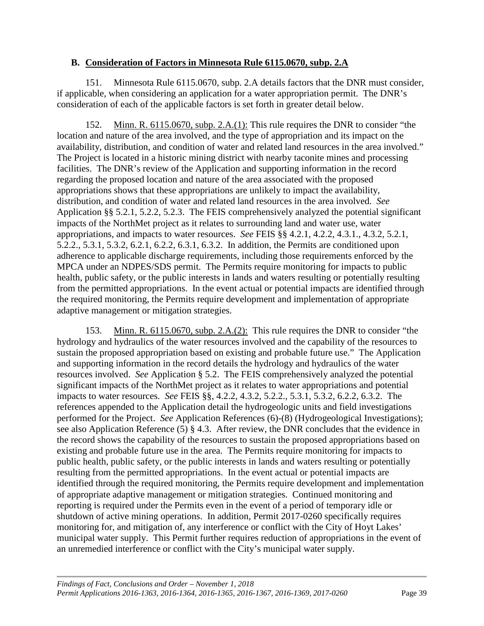#### <span id="page-42-0"></span>**B. Consideration of Factors in Minnesota Rule 6115.0670, subp. 2.A**

151. Minnesota Rule 6115.0670, subp. 2.A details factors that the DNR must consider, if applicable, when considering an application for a water appropriation permit. The DNR's consideration of each of the applicable factors is set forth in greater detail below.

152. Minn. R. 6115.0670, subp. 2.A.(1): This rule requires the DNR to consider "the location and nature of the area involved, and the type of appropriation and its impact on the availability, distribution, and condition of water and related land resources in the area involved." The Project is located in a historic mining district with nearby taconite mines and processing facilities. The DNR's review of the Application and supporting information in the record regarding the proposed location and nature of the area associated with the proposed appropriations shows that these appropriations are unlikely to impact the availability, distribution, and condition of water and related land resources in the area involved. *See*  Application §§ 5.2.1, 5.2.2, 5.2.3. The FEIS comprehensively analyzed the potential significant impacts of the NorthMet project as it relates to surrounding land and water use, water appropriations, and impacts to water resources. *See* FEIS §§ 4.2.1, 4.2.2, 4.3.1., 4.3.2, 5.2.1, 5.2.2., 5.3.1, 5.3.2, 6.2.1, 6.2.2, 6.3.1, 6.3.2. In addition, the Permits are conditioned upon adherence to applicable discharge requirements, including those requirements enforced by the MPCA under an NDPES/SDS permit. The Permits require monitoring for impacts to public health, public safety, or the public interests in lands and waters resulting or potentially resulting from the permitted appropriations. In the event actual or potential impacts are identified through the required monitoring, the Permits require development and implementation of appropriate adaptive management or mitigation strategies.

153. Minn. R. 6115.0670, subp. 2.A.(2): This rule requires the DNR to consider "the hydrology and hydraulics of the water resources involved and the capability of the resources to sustain the proposed appropriation based on existing and probable future use." The Application and supporting information in the record details the hydrology and hydraulics of the water resources involved. *See* Application § 5.2. The FEIS comprehensively analyzed the potential significant impacts of the NorthMet project as it relates to water appropriations and potential impacts to water resources. *See* FEIS §§, 4.2.2, 4.3.2, 5.2.2., 5.3.1, 5.3.2, 6.2.2, 6.3.2. The references appended to the Application detail the hydrogeologic units and field investigations performed for the Project. *See* Application References (6)-(8) (Hydrogeological Investigations); see also Application Reference (5) § 4.3. After review, the DNR concludes that the evidence in the record shows the capability of the resources to sustain the proposed appropriations based on existing and probable future use in the area. The Permits require monitoring for impacts to public health, public safety, or the public interests in lands and waters resulting or potentially resulting from the permitted appropriations. In the event actual or potential impacts are identified through the required monitoring, the Permits require development and implementation of appropriate adaptive management or mitigation strategies. Continued monitoring and reporting is required under the Permits even in the event of a period of temporary idle or shutdown of active mining operations. In addition, Permit 2017-0260 specifically requires monitoring for, and mitigation of, any interference or conflict with the City of Hoyt Lakes' municipal water supply. This Permit further requires reduction of appropriations in the event of an unremedied interference or conflict with the City's municipal water supply.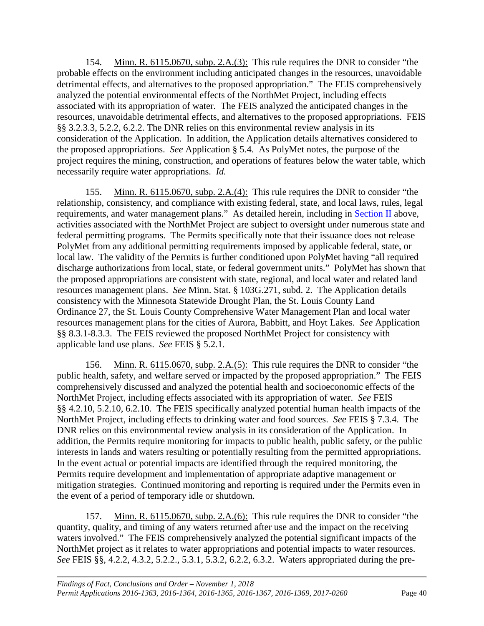154. Minn. R. 6115.0670, subp. 2.A.(3): This rule requires the DNR to consider "the probable effects on the environment including anticipated changes in the resources, unavoidable detrimental effects, and alternatives to the proposed appropriation." The FEIS comprehensively analyzed the potential environmental effects of the NorthMet Project, including effects associated with its appropriation of water. The FEIS analyzed the anticipated changes in the resources, unavoidable detrimental effects, and alternatives to the proposed appropriations. FEIS §§ 3.2.3.3, 5.2.2, 6.2.2. The DNR relies on this environmental review analysis in its consideration of the Application. In addition, the Application details alternatives considered to the proposed appropriations. *See* Application § 5.4. As PolyMet notes, the purpose of the project requires the mining, construction, and operations of features below the water table, which necessarily require water appropriations. *Id.*

155. Minn. R. 6115.0670, subp. 2.A.(4): This rule requires the DNR to consider "the relationship, consistency, and compliance with existing federal, state, and local laws, rules, legal requirements, and water management plans." As detailed herein, including in [Section II](#page-5-0) above, activities associated with the NorthMet Project are subject to oversight under numerous state and federal permitting programs. The Permits specifically note that their issuance does not release PolyMet from any additional permitting requirements imposed by applicable federal, state, or local law. The validity of the Permits is further conditioned upon PolyMet having "all required discharge authorizations from local, state, or federal government units." PolyMet has shown that the proposed appropriations are consistent with state, regional, and local water and related land resources management plans. *See* Minn. Stat. § 103G.271, subd. 2. The Application details consistency with the Minnesota Statewide Drought Plan, the St. Louis County Land Ordinance 27, the St. Louis County Comprehensive Water Management Plan and local water resources management plans for the cities of Aurora, Babbitt, and Hoyt Lakes. *See* Application §§ 8.3.1-8.3.3. The FEIS reviewed the proposed NorthMet Project for consistency with applicable land use plans. *See* FEIS § 5.2.1.

156. Minn. R. 6115.0670, subp. 2.A.(5): This rule requires the DNR to consider "the public health, safety, and welfare served or impacted by the proposed appropriation." The FEIS comprehensively discussed and analyzed the potential health and socioeconomic effects of the NorthMet Project, including effects associated with its appropriation of water. *See* FEIS §§ 4.2.10, 5.2.10, 6.2.10. The FEIS specifically analyzed potential human health impacts of the NorthMet Project, including effects to drinking water and food sources. *See* FEIS § 7.3.4. The DNR relies on this environmental review analysis in its consideration of the Application. In addition, the Permits require monitoring for impacts to public health, public safety, or the public interests in lands and waters resulting or potentially resulting from the permitted appropriations. In the event actual or potential impacts are identified through the required monitoring, the Permits require development and implementation of appropriate adaptive management or mitigation strategies. Continued monitoring and reporting is required under the Permits even in the event of a period of temporary idle or shutdown.

157. Minn. R. 6115.0670, subp. 2.A.(6): This rule requires the DNR to consider "the quantity, quality, and timing of any waters returned after use and the impact on the receiving waters involved." The FEIS comprehensively analyzed the potential significant impacts of the NorthMet project as it relates to water appropriations and potential impacts to water resources. *See* FEIS §§, 4.2.2, 4.3.2, 5.2.2., 5.3.1, 5.3.2, 6.2.2, 6.3.2. Waters appropriated during the pre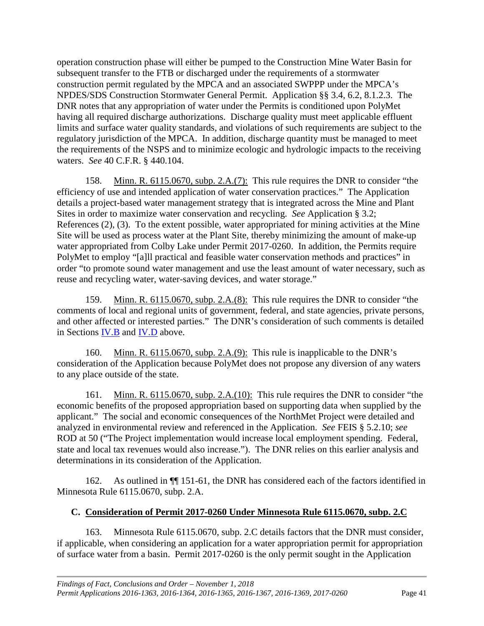operation construction phase will either be pumped to the Construction Mine Water Basin for subsequent transfer to the FTB or discharged under the requirements of a stormwater construction permit regulated by the MPCA and an associated SWPPP under the MPCA's NPDES/SDS Construction Stormwater General Permit. Application §§ 3.4, 6.2, 8.1.2.3. The DNR notes that any appropriation of water under the Permits is conditioned upon PolyMet having all required discharge authorizations. Discharge quality must meet applicable effluent limits and surface water quality standards, and violations of such requirements are subject to the regulatory jurisdiction of the MPCA. In addition, discharge quantity must be managed to meet the requirements of the NSPS and to minimize ecologic and hydrologic impacts to the receiving waters. *See* 40 C.F.R. § 440.104.

158. Minn. R. 6115.0670, subp. 2.A.(7): This rule requires the DNR to consider "the efficiency of use and intended application of water conservation practices." The Application details a project-based water management strategy that is integrated across the Mine and Plant Sites in order to maximize water conservation and recycling. *See* Application § 3.2; References (2), (3). To the extent possible, water appropriated for mining activities at the Mine Site will be used as process water at the Plant Site, thereby minimizing the amount of make-up water appropriated from Colby Lake under Permit 2017-0260. In addition, the Permits require PolyMet to employ "[a]ll practical and feasible water conservation methods and practices" in order "to promote sound water management and use the least amount of water necessary, such as reuse and recycling water, water-saving devices, and water storage."

159. Minn. R. 6115.0670, subp. 2.A.(8): This rule requires the DNR to consider "the comments of local and regional units of government, federal, and state agencies, private persons, and other affected or interested parties." The DNR's consideration of such comments is detailed in Sections [IV.B](#page-13-0) and [IV.D](#page-21-0) above.

160. Minn. R. 6115.0670, subp. 2.A.(9): This rule is inapplicable to the DNR's consideration of the Application because PolyMet does not propose any diversion of any waters to any place outside of the state.

161. Minn. R. 6115.0670, subp. 2.A.(10): This rule requires the DNR to consider "the economic benefits of the proposed appropriation based on supporting data when supplied by the applicant." The social and economic consequences of the NorthMet Project were detailed and analyzed in environmental review and referenced in the Application. *See* FEIS § 5.2.10; *see*  ROD at 50 ("The Project implementation would increase local employment spending. Federal, state and local tax revenues would also increase."). The DNR relies on this earlier analysis and determinations in its consideration of the Application.

162. As outlined in ¶¶ 151-61, the DNR has considered each of the factors identified in Minnesota Rule 6115.0670, subp. 2.A.

#### <span id="page-44-0"></span>**C. Consideration of Permit 2017-0260 Under Minnesota Rule 6115.0670, subp. 2.C**

163. Minnesota Rule 6115.0670, subp. 2.C details factors that the DNR must consider, if applicable, when considering an application for a water appropriation permit for appropriation of surface water from a basin. Permit 2017-0260 is the only permit sought in the Application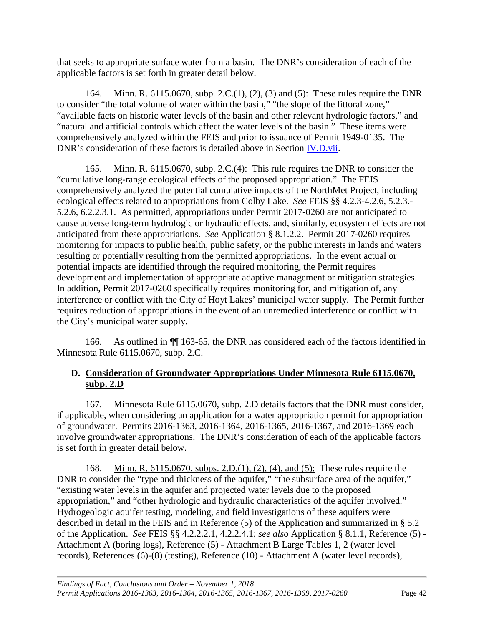that seeks to appropriate surface water from a basin. The DNR's consideration of each of the applicable factors is set forth in greater detail below.

164. Minn. R. 6115.0670, subp. 2.C.(1), (2), (3) and (5): These rules require the DNR to consider "the total volume of water within the basin," "the slope of the littoral zone," "available facts on historic water levels of the basin and other relevant hydrologic factors," and "natural and artificial controls which affect the water levels of the basin." These items were comprehensively analyzed within the FEIS and prior to issuance of Permit 1949-0135. The DNR's consideration of these factors is detailed above in Section [IV.D.vii.](#page-28-1)

165. Minn. R. 6115.0670, subp. 2.C.(4): This rule requires the DNR to consider the "cumulative long-range ecological effects of the proposed appropriation." The FEIS comprehensively analyzed the potential cumulative impacts of the NorthMet Project, including ecological effects related to appropriations from Colby Lake. *See* FEIS §§ 4.2.3-4.2.6, 5.2.3.- 5.2.6, 6.2.2.3.1. As permitted, appropriations under Permit 2017-0260 are not anticipated to cause adverse long-term hydrologic or hydraulic effects, and, similarly, ecosystem effects are not anticipated from these appropriations. *See* Application § 8.1.2.2. Permit 2017-0260 requires monitoring for impacts to public health, public safety, or the public interests in lands and waters resulting or potentially resulting from the permitted appropriations. In the event actual or potential impacts are identified through the required monitoring, the Permit requires development and implementation of appropriate adaptive management or mitigation strategies. In addition, Permit 2017-0260 specifically requires monitoring for, and mitigation of, any interference or conflict with the City of Hoyt Lakes' municipal water supply. The Permit further requires reduction of appropriations in the event of an unremedied interference or conflict with the City's municipal water supply.

166. As outlined in ¶¶ 163-65, the DNR has considered each of the factors identified in Minnesota Rule 6115.0670, subp. 2.C.

#### <span id="page-45-0"></span>**D. Consideration of Groundwater Appropriations Under Minnesota Rule 6115.0670, subp. 2.D**

167. Minnesota Rule 6115.0670, subp. 2.D details factors that the DNR must consider, if applicable, when considering an application for a water appropriation permit for appropriation of groundwater. Permits 2016-1363, 2016-1364, 2016-1365, 2016-1367, and 2016-1369 each involve groundwater appropriations. The DNR's consideration of each of the applicable factors is set forth in greater detail below.

168. Minn. R. 6115.0670, subps. 2.D.(1), (2), (4), and (5): These rules require the DNR to consider the "type and thickness of the aquifer," "the subsurface area of the aquifer," "existing water levels in the aquifer and projected water levels due to the proposed appropriation," and "other hydrologic and hydraulic characteristics of the aquifer involved." Hydrogeologic aquifer testing, modeling, and field investigations of these aquifers were described in detail in the FEIS and in Reference (5) of the Application and summarized in § 5.2 of the Application. *See* FEIS §§ 4.2.2.2.1, 4.2.2.4.1; *see also* Application § 8.1.1, Reference (5) - Attachment A (boring logs), Reference (5) - Attachment B Large Tables 1, 2 (water level records), References (6)-(8) (testing), Reference (10) - Attachment A (water level records),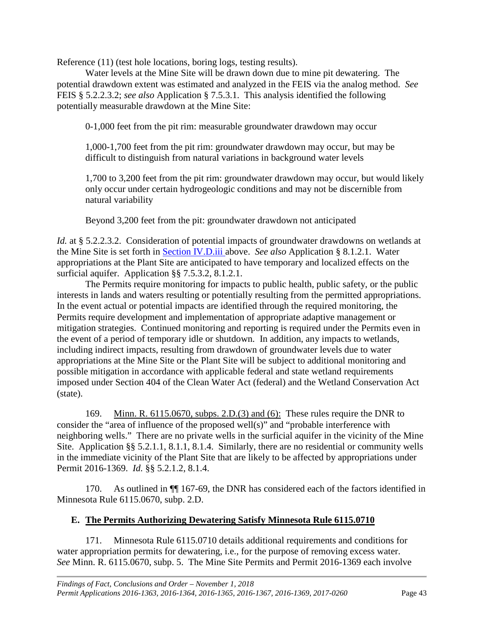Reference (11) (test hole locations, boring logs, testing results).

Water levels at the Mine Site will be drawn down due to mine pit dewatering. The potential drawdown extent was estimated and analyzed in the FEIS via the analog method. *See*  FEIS § 5.2.2.3.2; *see also* Application § 7.5.3.1. This analysis identified the following potentially measurable drawdown at the Mine Site:

0-1,000 feet from the pit rim: measurable groundwater drawdown may occur

1,000-1,700 feet from the pit rim: groundwater drawdown may occur, but may be difficult to distinguish from natural variations in background water levels

1,700 to 3,200 feet from the pit rim: groundwater drawdown may occur, but would likely only occur under certain hydrogeologic conditions and may not be discernible from natural variability

Beyond 3,200 feet from the pit: groundwater drawdown not anticipated

*Id.* at § 5.2.2.3.2. Consideration of potential impacts of groundwater drawdowns on wetlands at the Mine Site is set forth in [Section IV.D.iii a](#page-24-0)bove. *See also* Application § 8.1.2.1. Water appropriations at the Plant Site are anticipated to have temporary and localized effects on the surficial aquifer. Application §§ 7.5.3.2, 8.1.2.1.

The Permits require monitoring for impacts to public health, public safety, or the public interests in lands and waters resulting or potentially resulting from the permitted appropriations. In the event actual or potential impacts are identified through the required monitoring, the Permits require development and implementation of appropriate adaptive management or mitigation strategies. Continued monitoring and reporting is required under the Permits even in the event of a period of temporary idle or shutdown. In addition, any impacts to wetlands, including indirect impacts, resulting from drawdown of groundwater levels due to water appropriations at the Mine Site or the Plant Site will be subject to additional monitoring and possible mitigation in accordance with applicable federal and state wetland requirements imposed under Section 404 of the Clean Water Act (federal) and the Wetland Conservation Act (state).

169. Minn. R. 6115.0670, subps. 2.D.(3) and (6): These rules require the DNR to consider the "area of influence of the proposed well(s)" and "probable interference with neighboring wells." There are no private wells in the surficial aquifer in the vicinity of the Mine Site. Application §§ 5.2.1.1, 8.1.1, 8.1.4. Similarly, there are no residential or community wells in the immediate vicinity of the Plant Site that are likely to be affected by appropriations under Permit 2016-1369. *Id.* §§ 5.2.1.2, 8.1.4.

170. As outlined in  $\P$  167-69, the DNR has considered each of the factors identified in Minnesota Rule 6115.0670, subp. 2.D.

#### <span id="page-46-0"></span>**E. The Permits Authorizing Dewatering Satisfy Minnesota Rule 6115.0710**

171. Minnesota Rule 6115.0710 details additional requirements and conditions for water appropriation permits for dewatering, i.e., for the purpose of removing excess water. *See* Minn. R. 6115.0670, subp. 5. The Mine Site Permits and Permit 2016-1369 each involve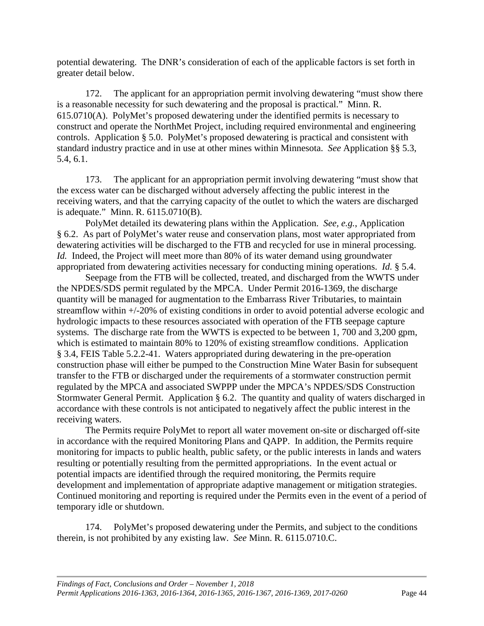potential dewatering. The DNR's consideration of each of the applicable factors is set forth in greater detail below.

172. The applicant for an appropriation permit involving dewatering "must show there is a reasonable necessity for such dewatering and the proposal is practical." Minn. R. 615.0710(A). PolyMet's proposed dewatering under the identified permits is necessary to construct and operate the NorthMet Project, including required environmental and engineering controls. Application § 5.0. PolyMet's proposed dewatering is practical and consistent with standard industry practice and in use at other mines within Minnesota. *See* Application §§ 5.3, 5.4, 6.1.

173. The applicant for an appropriation permit involving dewatering "must show that the excess water can be discharged without adversely affecting the public interest in the receiving waters, and that the carrying capacity of the outlet to which the waters are discharged is adequate." Minn. R. 6115.0710(B).

PolyMet detailed its dewatering plans within the Application. *See, e.g.*, Application § 6.2. As part of PolyMet's water reuse and conservation plans, most water appropriated from dewatering activities will be discharged to the FTB and recycled for use in mineral processing. *Id.* Indeed, the Project will meet more than 80% of its water demand using groundwater appropriated from dewatering activities necessary for conducting mining operations. *Id.* § 5.4.

Seepage from the FTB will be collected, treated, and discharged from the WWTS under the NPDES/SDS permit regulated by the MPCA. Under Permit 2016-1369, the discharge quantity will be managed for augmentation to the Embarrass River Tributaries, to maintain streamflow within +/-20% of existing conditions in order to avoid potential adverse ecologic and hydrologic impacts to these resources associated with operation of the FTB seepage capture systems. The discharge rate from the WWTS is expected to be between 1, 700 and 3,200 gpm, which is estimated to maintain 80% to 120% of existing streamflow conditions. Application § 3.4, FEIS Table 5.2.2-41. Waters appropriated during dewatering in the pre-operation construction phase will either be pumped to the Construction Mine Water Basin for subsequent transfer to the FTB or discharged under the requirements of a stormwater construction permit regulated by the MPCA and associated SWPPP under the MPCA's NPDES/SDS Construction Stormwater General Permit. Application § 6.2. The quantity and quality of waters discharged in accordance with these controls is not anticipated to negatively affect the public interest in the receiving waters.

The Permits require PolyMet to report all water movement on-site or discharged off-site in accordance with the required Monitoring Plans and QAPP. In addition, the Permits require monitoring for impacts to public health, public safety, or the public interests in lands and waters resulting or potentially resulting from the permitted appropriations. In the event actual or potential impacts are identified through the required monitoring, the Permits require development and implementation of appropriate adaptive management or mitigation strategies. Continued monitoring and reporting is required under the Permits even in the event of a period of temporary idle or shutdown.

174. PolyMet's proposed dewatering under the Permits, and subject to the conditions therein, is not prohibited by any existing law. *See* Minn. R. 6115.0710.C.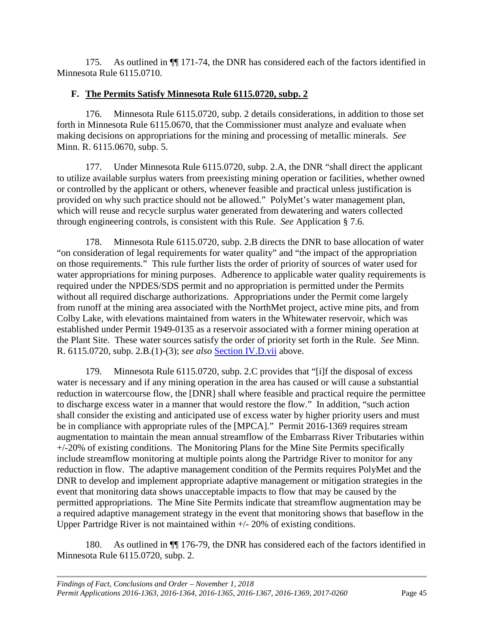175. As outlined in ¶¶ 171-74, the DNR has considered each of the factors identified in Minnesota Rule 6115.0710.

#### <span id="page-48-0"></span>**F. The Permits Satisfy Minnesota Rule 6115.0720, subp. 2**

176. Minnesota Rule 6115.0720, subp. 2 details considerations, in addition to those set forth in Minnesota Rule 6115.0670, that the Commissioner must analyze and evaluate when making decisions on appropriations for the mining and processing of metallic minerals. *See*  Minn. R. 6115.0670, subp. 5.

177. Under Minnesota Rule 6115.0720, subp. 2.A, the DNR "shall direct the applicant to utilize available surplus waters from preexisting mining operation or facilities, whether owned or controlled by the applicant or others, whenever feasible and practical unless justification is provided on why such practice should not be allowed." PolyMet's water management plan, which will reuse and recycle surplus water generated from dewatering and waters collected through engineering controls, is consistent with this Rule. *See* Application § 7.6.

178. Minnesota Rule 6115.0720, subp. 2.B directs the DNR to base allocation of water "on consideration of legal requirements for water quality" and "the impact of the appropriation on those requirements." This rule further lists the order of priority of sources of water used for water appropriations for mining purposes. Adherence to applicable water quality requirements is required under the NPDES/SDS permit and no appropriation is permitted under the Permits without all required discharge authorizations. Appropriations under the Permit come largely from runoff at the mining area associated with the NorthMet project, active mine pits, and from Colby Lake, with elevations maintained from waters in the Whitewater reservoir, which was established under Permit 1949-0135 as a reservoir associated with a former mining operation at the Plant Site. These water sources satisfy the order of priority set forth in the Rule. *See* Minn. R. 6115.0720, subp. 2.B.(1)-(3); *see also* [Section IV.D.vii](#page-28-1) above.

179. Minnesota Rule 6115.0720, subp. 2.C provides that "[i]f the disposal of excess water is necessary and if any mining operation in the area has caused or will cause a substantial reduction in watercourse flow, the [DNR] shall where feasible and practical require the permittee to discharge excess water in a manner that would restore the flow." In addition, "such action shall consider the existing and anticipated use of excess water by higher priority users and must be in compliance with appropriate rules of the [MPCA]." Permit 2016-1369 requires stream augmentation to maintain the mean annual streamflow of the Embarrass River Tributaries within +/-20% of existing conditions. The Monitoring Plans for the Mine Site Permits specifically include streamflow monitoring at multiple points along the Partridge River to monitor for any reduction in flow. The adaptive management condition of the Permits requires PolyMet and the DNR to develop and implement appropriate adaptive management or mitigation strategies in the event that monitoring data shows unacceptable impacts to flow that may be caused by the permitted appropriations. The Mine Site Permits indicate that streamflow augmentation may be a required adaptive management strategy in the event that monitoring shows that baseflow in the Upper Partridge River is not maintained within +/- 20% of existing conditions.

180. As outlined in ¶¶ 176-79, the DNR has considered each of the factors identified in Minnesota Rule 6115.0720, subp. 2.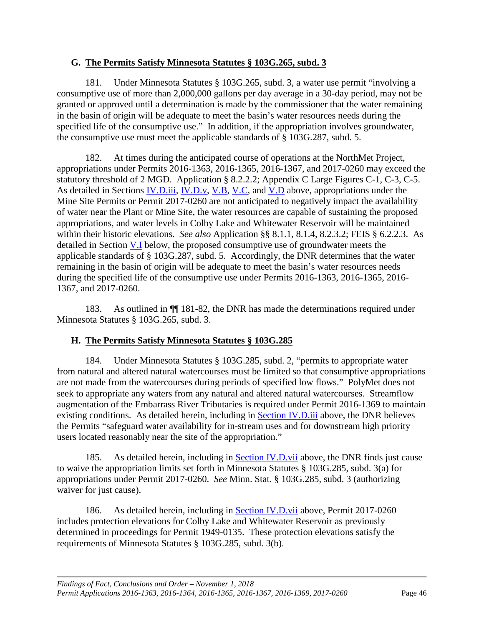#### <span id="page-49-0"></span>**G. The Permits Satisfy Minnesota Statutes § 103G.265, subd. 3**

181. Under Minnesota Statutes § 103G.265, subd. 3, a water use permit "involving a consumptive use of more than 2,000,000 gallons per day average in a 30-day period, may not be granted or approved until a determination is made by the commissioner that the water remaining in the basin of origin will be adequate to meet the basin's water resources needs during the specified life of the consumptive use." In addition, if the appropriation involves groundwater, the consumptive use must meet the applicable standards of § 103G.287, subd. 5.

182. At times during the anticipated course of operations at the NorthMet Project, appropriations under Permits 2016-1363, 2016-1365, 2016-1367, and 2017-0260 may exceed the statutory threshold of 2 MGD. Application § 8.2.2.2; Appendix C Large Figures C-1, C-3, C-5. As detailed in Sections <u>IV.D.iii, [IV.D.v,](#page-27-1) [V.B,](#page-42-0) V.C</u>, and <u>V.D</u> above, appropriations under the Mine Site Permits or Permit 2017-0260 are not anticipated to negatively impact the availability of water near the Plant or Mine Site, the water resources are capable of sustaining the proposed appropriations, and water levels in Colby Lake and Whitewater Reservoir will be maintained within their historic elevations. *See also* Application §§ 8.1.1, 8.1.4, 8.2.3.2; FEIS § 6.2.2.3. As detailed in Section [V.I](#page-50-0) below, the proposed consumptive use of groundwater meets the applicable standards of § 103G.287, subd. 5. Accordingly, the DNR determines that the water remaining in the basin of origin will be adequate to meet the basin's water resources needs during the specified life of the consumptive use under Permits 2016-1363, 2016-1365, 2016- 1367, and 2017-0260.

183. As outlined in ¶¶ 181-82, the DNR has made the determinations required under Minnesota Statutes § 103G.265, subd. 3.

#### <span id="page-49-1"></span>**H. The Permits Satisfy Minnesota Statutes § 103G.285**

184. Under Minnesota Statutes § 103G.285, subd. 2, "permits to appropriate water from natural and altered natural watercourses must be limited so that consumptive appropriations are not made from the watercourses during periods of specified low flows." PolyMet does not seek to appropriate any waters from any natural and altered natural watercourses. Streamflow augmentation of the Embarrass River Tributaries is required under Permit 2016-1369 to maintain existing conditions. As detailed herein, including in [Section IV.D.iii](#page-24-0) above, the DNR believes the Permits "safeguard water availability for in-stream uses and for downstream high priority users located reasonably near the site of the appropriation."

185. As detailed herein, including in **Section IV.D.vii** above, the DNR finds just cause to waive the appropriation limits set forth in Minnesota Statutes § 103G.285, subd. 3(a) for appropriations under Permit 2017-0260. *See* Minn. Stat. § 103G.285, subd. 3 (authorizing waiver for just cause).

186. As detailed herein, including in [Section IV.D.vii](#page-28-1) above, Permit 2017-0260 includes protection elevations for Colby Lake and Whitewater Reservoir as previously determined in proceedings for Permit 1949-0135. These protection elevations satisfy the requirements of Minnesota Statutes § 103G.285, subd. 3(b).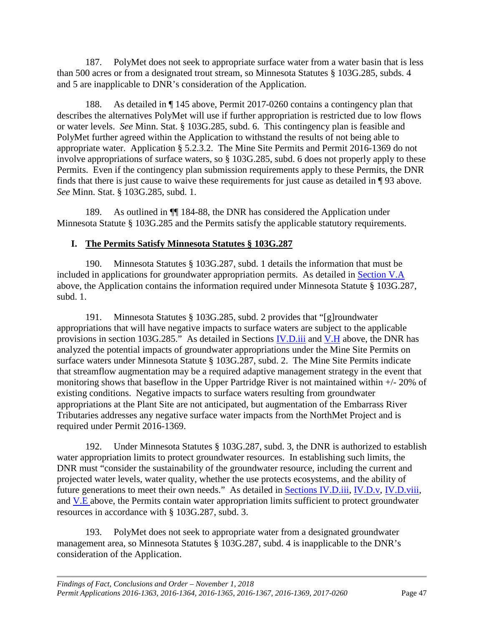187. PolyMet does not seek to appropriate surface water from a water basin that is less than 500 acres or from a designated trout stream, so Minnesota Statutes § 103G.285, subds. 4 and 5 are inapplicable to DNR's consideration of the Application.

188. As detailed in ¶ 145 above, Permit 2017-0260 contains a contingency plan that describes the alternatives PolyMet will use if further appropriation is restricted due to low flows or water levels. *See* Minn. Stat. § 103G.285, subd. 6. This contingency plan is feasible and PolyMet further agreed within the Application to withstand the results of not being able to appropriate water. Application § 5.2.3.2. The Mine Site Permits and Permit 2016-1369 do not involve appropriations of surface waters, so § 103G.285, subd. 6 does not properly apply to these Permits. Even if the contingency plan submission requirements apply to these Permits, the DNR finds that there is just cause to waive these requirements for just cause as detailed in ¶ 93 above. *See* Minn. Stat. § 103G.285, subd. 1.

189. As outlined in ¶¶ 184-88, the DNR has considered the Application under Minnesota Statute § 103G.285 and the Permits satisfy the applicable statutory requirements.

## <span id="page-50-0"></span>**I. The Permits Satisfy Minnesota Statutes § 103G.287**

190. Minnesota Statutes § 103G.287, subd. 1 details the information that must be included in applications for groundwater appropriation permits. As detailed in [Section V.A](#page-38-1) above, the Application contains the information required under Minnesota Statute § 103G.287, subd. 1.

191. Minnesota Statutes § 103G.285, subd. 2 provides that "[g]roundwater appropriations that will have negative impacts to surface waters are subject to the applicable provisions in section 103G.285." As detailed in Sections **IV.D.iii** and **V.H** above, the DNR has analyzed the potential impacts of groundwater appropriations under the Mine Site Permits on surface waters under Minnesota Statute § 103G.287, subd. 2. The Mine Site Permits indicate that streamflow augmentation may be a required adaptive management strategy in the event that monitoring shows that baseflow in the Upper Partridge River is not maintained within +/- 20% of existing conditions. Negative impacts to surface waters resulting from groundwater appropriations at the Plant Site are not anticipated, but augmentation of the Embarrass River Tributaries addresses any negative surface water impacts from the NorthMet Project and is required under Permit 2016-1369.

192. Under Minnesota Statutes § 103G.287, subd. 3, the DNR is authorized to establish water appropriation limits to protect groundwater resources. In establishing such limits, the DNR must "consider the sustainability of the groundwater resource, including the current and projected water levels, water quality, whether the use protects ecosystems, and the ability of future generations to meet their own needs." As detailed in [Sections IV.D.iii,](#page-24-0) [IV.D.v,](#page-27-1) [IV.D.viii,](#page-30-0) and [V.E a](#page-45-0)bove, the Permits contain water appropriation limits sufficient to protect groundwater resources in accordance with § 103G.287, subd. 3.

193. PolyMet does not seek to appropriate water from a designated groundwater management area, so Minnesota Statutes § 103G.287, subd. 4 is inapplicable to the DNR's consideration of the Application.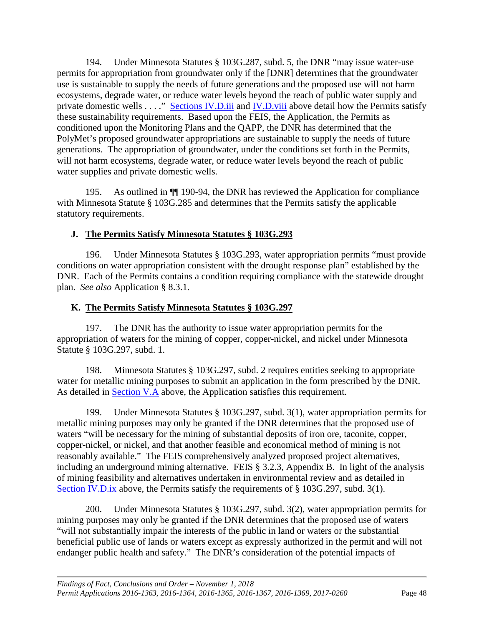194. Under Minnesota Statutes § 103G.287, subd. 5, the DNR "may issue water-use permits for appropriation from groundwater only if the [DNR] determines that the groundwater use is sustainable to supply the needs of future generations and the proposed use will not harm ecosystems, degrade water, or reduce water levels beyond the reach of public water supply and private domestic wells . . . ." [Sections IV.D.iii](#page-24-0) and [IV.D.viii](#page-30-0) above detail how the Permits satisfy these sustainability requirements. Based upon the FEIS, the Application, the Permits as conditioned upon the Monitoring Plans and the QAPP, the DNR has determined that the PolyMet's proposed groundwater appropriations are sustainable to supply the needs of future generations. The appropriation of groundwater, under the conditions set forth in the Permits, will not harm ecosystems, degrade water, or reduce water levels beyond the reach of public water supplies and private domestic wells.

195. As outlined in ¶¶ 190-94, the DNR has reviewed the Application for compliance with Minnesota Statute § 103G.285 and determines that the Permits satisfy the applicable statutory requirements.

#### <span id="page-51-0"></span>**J. The Permits Satisfy Minnesota Statutes § 103G.293**

196. Under Minnesota Statutes § 103G.293, water appropriation permits "must provide conditions on water appropriation consistent with the drought response plan" established by the DNR. Each of the Permits contains a condition requiring compliance with the statewide drought plan. *See also* Application § 8.3.1.

#### <span id="page-51-1"></span>**K. The Permits Satisfy Minnesota Statutes § 103G.297**

197. The DNR has the authority to issue water appropriation permits for the appropriation of waters for the mining of copper, copper-nickel, and nickel under Minnesota Statute § 103G.297, subd. 1.

198. Minnesota Statutes § 103G.297, subd. 2 requires entities seeking to appropriate water for metallic mining purposes to submit an application in the form prescribed by the DNR. As detailed in [Section V.A](#page-38-1) above, the Application satisfies this requirement.

199. Under Minnesota Statutes § 103G.297, subd. 3(1), water appropriation permits for metallic mining purposes may only be granted if the DNR determines that the proposed use of waters "will be necessary for the mining of substantial deposits of iron ore, taconite, copper, copper-nickel, or nickel, and that another feasible and economical method of mining is not reasonably available." The FEIS comprehensively analyzed proposed project alternatives, including an underground mining alternative. FEIS § 3.2.3, Appendix B. In light of the analysis of mining feasibility and alternatives undertaken in environmental review and as detailed in [Section IV.D.ix](#page-35-0) above, the Permits satisfy the requirements of § 103G.297, subd. 3(1).

200. Under Minnesota Statutes § 103G.297, subd. 3(2), water appropriation permits for mining purposes may only be granted if the DNR determines that the proposed use of waters "will not substantially impair the interests of the public in land or waters or the substantial beneficial public use of lands or waters except as expressly authorized in the permit and will not endanger public health and safety." The DNR's consideration of the potential impacts of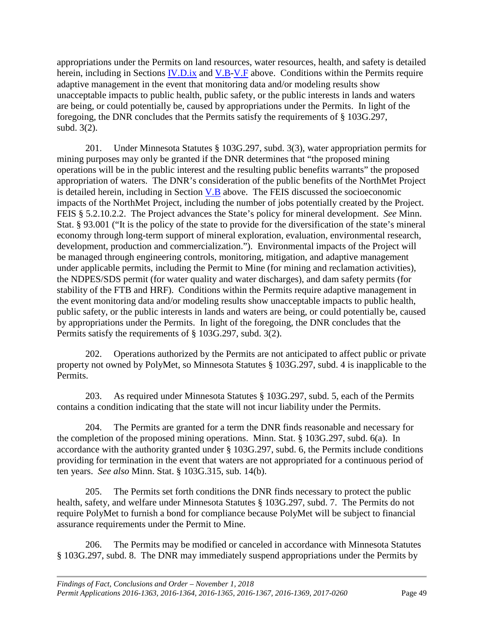appropriations under the Permits on land resources, water resources, health, and safety is detailed herein, including in Sections  $\underline{IV}$ . D.ix and  $\underline{V}$ . E above. Conditions within the Permits require adaptive management in the event that monitoring data and/or modeling results show unacceptable impacts to public health, public safety, or the public interests in lands and waters are being, or could potentially be, caused by appropriations under the Permits. In light of the foregoing, the DNR concludes that the Permits satisfy the requirements of § 103G.297, subd. 3(2).

201. Under Minnesota Statutes § 103G.297, subd. 3(3), water appropriation permits for mining purposes may only be granted if the DNR determines that "the proposed mining operations will be in the public interest and the resulting public benefits warrants" the proposed appropriation of waters. The DNR's consideration of the public benefits of the NorthMet Project is detailed herein, including in Section [V.B](#page-42-0) above. The FEIS discussed the socioeconomic impacts of the NorthMet Project, including the number of jobs potentially created by the Project. FEIS § 5.2.10.2.2. The Project advances the State's policy for mineral development. *See* Minn. Stat. § 93.001 ("It is the policy of the state to provide for the diversification of the state's mineral economy through long-term support of mineral exploration, evaluation, environmental research, development, production and commercialization."). Environmental impacts of the Project will be managed through engineering controls, monitoring, mitigation, and adaptive management under applicable permits, including the Permit to Mine (for mining and reclamation activities), the NDPES/SDS permit (for water quality and water discharges), and dam safety permits (for stability of the FTB and HRF). Conditions within the Permits require adaptive management in the event monitoring data and/or modeling results show unacceptable impacts to public health, public safety, or the public interests in lands and waters are being, or could potentially be, caused by appropriations under the Permits. In light of the foregoing, the DNR concludes that the Permits satisfy the requirements of § 103G.297, subd. 3(2).

202. Operations authorized by the Permits are not anticipated to affect public or private property not owned by PolyMet, so Minnesota Statutes § 103G.297, subd. 4 is inapplicable to the Permits.

203. As required under Minnesota Statutes § 103G.297, subd. 5, each of the Permits contains a condition indicating that the state will not incur liability under the Permits.

204. The Permits are granted for a term the DNR finds reasonable and necessary for the completion of the proposed mining operations. Minn. Stat. § 103G.297, subd. 6(a). In accordance with the authority granted under § 103G.297, subd. 6, the Permits include conditions providing for termination in the event that waters are not appropriated for a continuous period of ten years. *See also* Minn. Stat. § 103G.315, sub. 14(b).

205. The Permits set forth conditions the DNR finds necessary to protect the public health, safety, and welfare under Minnesota Statutes § 103G.297, subd. 7. The Permits do not require PolyMet to furnish a bond for compliance because PolyMet will be subject to financial assurance requirements under the Permit to Mine.

206. The Permits may be modified or canceled in accordance with Minnesota Statutes § 103G.297, subd. 8. The DNR may immediately suspend appropriations under the Permits by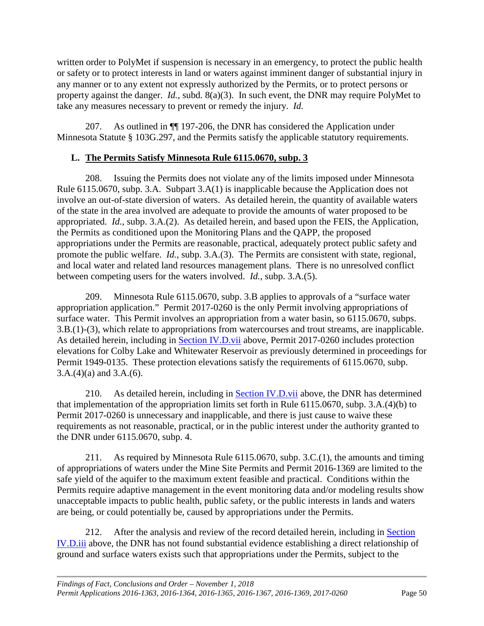written order to PolyMet if suspension is necessary in an emergency, to protect the public health or safety or to protect interests in land or waters against imminent danger of substantial injury in any manner or to any extent not expressly authorized by the Permits, or to protect persons or property against the danger. *Id.*, subd. 8(a)(3). In such event, the DNR may require PolyMet to take any measures necessary to prevent or remedy the injury. *Id.*

207. As outlined in ¶¶ 197-206, the DNR has considered the Application under Minnesota Statute § 103G.297, and the Permits satisfy the applicable statutory requirements.

#### <span id="page-53-0"></span>**L. The Permits Satisfy Minnesota Rule 6115.0670, subp. 3**

208. Issuing the Permits does not violate any of the limits imposed under Minnesota Rule 6115.0670, subp. 3.A. Subpart 3.A(1) is inapplicable because the Application does not involve an out-of-state diversion of waters. As detailed herein, the quantity of available waters of the state in the area involved are adequate to provide the amounts of water proposed to be appropriated. *Id.*, subp. 3.A.(2). As detailed herein, and based upon the FEIS, the Application, the Permits as conditioned upon the Monitoring Plans and the QAPP, the proposed appropriations under the Permits are reasonable, practical, adequately protect public safety and promote the public welfare. *Id.*, subp. 3.A.(3). The Permits are consistent with state, regional, and local water and related land resources management plans. There is no unresolved conflict between competing users for the waters involved. *Id.*, subp. 3.A.(5).

209. Minnesota Rule 6115.0670, subp. 3.B applies to approvals of a "surface water appropriation application." Permit 2017-0260 is the only Permit involving appropriations of surface water. This Permit involves an appropriation from a water basin, so 6115.0670, subps. 3.B.(1)-(3), which relate to appropriations from watercourses and trout streams, are inapplicable. As detailed herein, including in [Section IV.D.vii](#page-28-1) above, Permit 2017-0260 includes protection elevations for Colby Lake and Whitewater Reservoir as previously determined in proceedings for Permit 1949-0135. These protection elevations satisfy the requirements of 6115.0670, subp. 3.A.(4)(a) and 3.A.(6).

210. As detailed herein, including in [Section IV.D.vii](#page-28-1) above, the DNR has determined that implementation of the appropriation limits set forth in Rule 6115.0670, subp. 3.A.(4)(b) to Permit 2017-0260 is unnecessary and inapplicable, and there is just cause to waive these requirements as not reasonable, practical, or in the public interest under the authority granted to the DNR under 6115.0670, subp. 4.

211. As required by Minnesota Rule 6115.0670, subp. 3.C.(1), the amounts and timing of appropriations of waters under the Mine Site Permits and Permit 2016-1369 are limited to the safe yield of the aquifer to the maximum extent feasible and practical. Conditions within the Permits require adaptive management in the event monitoring data and/or modeling results show unacceptable impacts to public health, public safety, or the public interests in lands and waters are being, or could potentially be, caused by appropriations under the Permits.

212. After the analysis and review of the record detailed herein, including in Section [IV.D.iii](#page-24-0) above, the DNR has not found substantial evidence establishing a direct relationship of ground and surface waters exists such that appropriations under the Permits, subject to the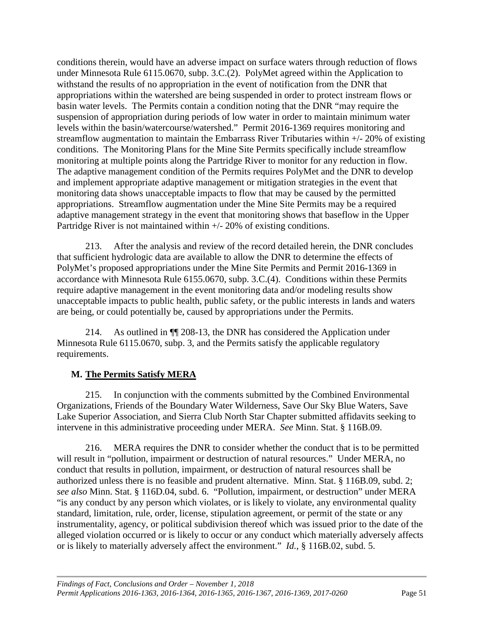conditions therein, would have an adverse impact on surface waters through reduction of flows under Minnesota Rule 6115.0670, subp. 3.C.(2). PolyMet agreed within the Application to withstand the results of no appropriation in the event of notification from the DNR that appropriations within the watershed are being suspended in order to protect instream flows or basin water levels. The Permits contain a condition noting that the DNR "may require the suspension of appropriation during periods of low water in order to maintain minimum water levels within the basin/watercourse/watershed." Permit 2016-1369 requires monitoring and streamflow augmentation to maintain the Embarrass River Tributaries within +/- 20% of existing conditions. The Monitoring Plans for the Mine Site Permits specifically include streamflow monitoring at multiple points along the Partridge River to monitor for any reduction in flow. The adaptive management condition of the Permits requires PolyMet and the DNR to develop and implement appropriate adaptive management or mitigation strategies in the event that monitoring data shows unacceptable impacts to flow that may be caused by the permitted appropriations. Streamflow augmentation under the Mine Site Permits may be a required adaptive management strategy in the event that monitoring shows that baseflow in the Upper Partridge River is not maintained within +/- 20% of existing conditions.

213. After the analysis and review of the record detailed herein, the DNR concludes that sufficient hydrologic data are available to allow the DNR to determine the effects of PolyMet's proposed appropriations under the Mine Site Permits and Permit 2016-1369 in accordance with Minnesota Rule 6155.0670, subp. 3.C.(4). Conditions within these Permits require adaptive management in the event monitoring data and/or modeling results show unacceptable impacts to public health, public safety, or the public interests in lands and waters are being, or could potentially be, caused by appropriations under the Permits.

214. As outlined in ¶¶ 208-13, the DNR has considered the Application under Minnesota Rule 6115.0670, subp. 3, and the Permits satisfy the applicable regulatory requirements.

#### <span id="page-54-0"></span>**M. The Permits Satisfy MERA**

215. In conjunction with the comments submitted by the Combined Environmental Organizations, Friends of the Boundary Water Wilderness, Save Our Sky Blue Waters, Save Lake Superior Association, and Sierra Club North Star Chapter submitted affidavits seeking to intervene in this administrative proceeding under MERA. *See* Minn. Stat. § 116B.09.

216. MERA requires the DNR to consider whether the conduct that is to be permitted will result in "pollution, impairment or destruction of natural resources." Under MERA, no conduct that results in pollution, impairment, or destruction of natural resources shall be authorized unless there is no feasible and prudent alternative. Minn. Stat. § 116B.09, subd. 2; *see also* Minn. Stat. § 116D.04, subd. 6. "Pollution, impairment, or destruction" under MERA "is any conduct by any person which violates, or is likely to violate, any environmental quality standard, limitation, rule, order, license, stipulation agreement, or permit of the state or any instrumentality, agency, or political subdivision thereof which was issued prior to the date of the alleged violation occurred or is likely to occur or any conduct which materially adversely affects or is likely to materially adversely affect the environment." *Id.*, § 116B.02, subd. 5.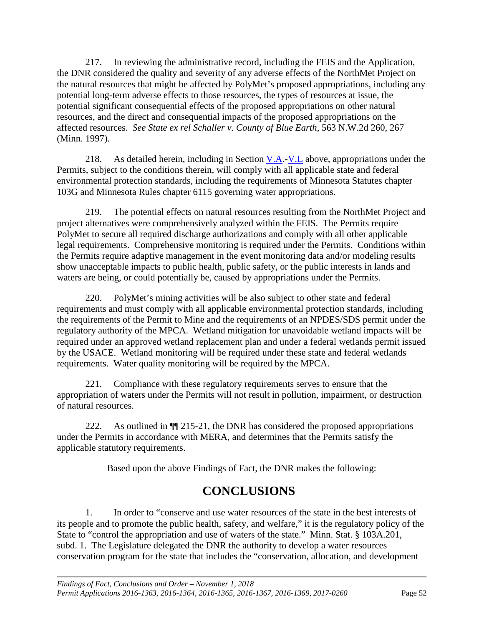217. In reviewing the administrative record, including the FEIS and the Application, the DNR considered the quality and severity of any adverse effects of the NorthMet Project on the natural resources that might be affected by PolyMet's proposed appropriations, including any potential long-term adverse effects to those resources, the types of resources at issue, the potential significant consequential effects of the proposed appropriations on other natural resources, and the direct and consequential impacts of the proposed appropriations on the affected resources. *See State ex rel Schaller v. County of Blue Earth*, 563 N.W.2d 260, 267 (Minn. 1997).

218. As detailed herein, including in Section  $V.A.-V.L$  $V.A.-V.L$  above, appropriations under the Permits, subject to the conditions therein, will comply with all applicable state and federal environmental protection standards, including the requirements of Minnesota Statutes chapter 103G and Minnesota Rules chapter 6115 governing water appropriations.

219. The potential effects on natural resources resulting from the NorthMet Project and project alternatives were comprehensively analyzed within the FEIS. The Permits require PolyMet to secure all required discharge authorizations and comply with all other applicable legal requirements. Comprehensive monitoring is required under the Permits. Conditions within the Permits require adaptive management in the event monitoring data and/or modeling results show unacceptable impacts to public health, public safety, or the public interests in lands and waters are being, or could potentially be, caused by appropriations under the Permits.

220. PolyMet's mining activities will be also subject to other state and federal requirements and must comply with all applicable environmental protection standards, including the requirements of the Permit to Mine and the requirements of an NPDES/SDS permit under the regulatory authority of the MPCA. Wetland mitigation for unavoidable wetland impacts will be required under an approved wetland replacement plan and under a federal wetlands permit issued by the USACE. Wetland monitoring will be required under these state and federal wetlands requirements. Water quality monitoring will be required by the MPCA.

221. Compliance with these regulatory requirements serves to ensure that the appropriation of waters under the Permits will not result in pollution, impairment, or destruction of natural resources.

222. As outlined in  $\P$ [215-21, the DNR has considered the proposed appropriations under the Permits in accordance with MERA, and determines that the Permits satisfy the applicable statutory requirements.

Based upon the above Findings of Fact, the DNR makes the following:

## **CONCLUSIONS**

<span id="page-55-0"></span>1. In order to "conserve and use water resources of the state in the best interests of its people and to promote the public health, safety, and welfare," it is the regulatory policy of the State to "control the appropriation and use of waters of the state." Minn. Stat. § 103A.201, subd. 1. The Legislature delegated the DNR the authority to develop a water resources conservation program for the state that includes the "conservation, allocation, and development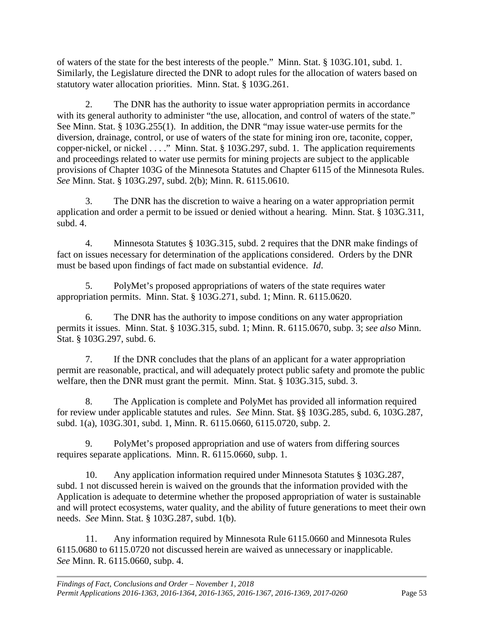of waters of the state for the best interests of the people." Minn. Stat. § 103G.101, subd. 1. Similarly, the Legislature directed the DNR to adopt rules for the allocation of waters based on statutory water allocation priorities. Minn. Stat. § 103G.261.

2. The DNR has the authority to issue water appropriation permits in accordance with its general authority to administer "the use, allocation, and control of waters of the state." See Minn. Stat. § 103G.255(1). In addition, the DNR "may issue water-use permits for the diversion, drainage, control, or use of waters of the state for mining iron ore, taconite, copper, copper-nickel, or nickel . . . ." Minn. Stat. § 103G.297, subd. 1. The application requirements and proceedings related to water use permits for mining projects are subject to the applicable provisions of Chapter 103G of the Minnesota Statutes and Chapter 6115 of the Minnesota Rules. *See* Minn. Stat. § 103G.297, subd. 2(b); Minn. R. 6115.0610.

3. The DNR has the discretion to waive a hearing on a water appropriation permit application and order a permit to be issued or denied without a hearing. Minn. Stat. § 103G.311, subd. 4.

4. Minnesota Statutes § 103G.315, subd. 2 requires that the DNR make findings of fact on issues necessary for determination of the applications considered. Orders by the DNR must be based upon findings of fact made on substantial evidence. *Id*.

5. PolyMet's proposed appropriations of waters of the state requires water appropriation permits. Minn. Stat. § 103G.271, subd. 1; Minn. R. 6115.0620.

6. The DNR has the authority to impose conditions on any water appropriation permits it issues. Minn. Stat. § 103G.315, subd. 1; Minn. R. 6115.0670, subp. 3; *see also* Minn. Stat. § 103G.297, subd. 6.

7. If the DNR concludes that the plans of an applicant for a water appropriation permit are reasonable, practical, and will adequately protect public safety and promote the public welfare, then the DNR must grant the permit. Minn. Stat. § 103G.315, subd. 3.

8. The Application is complete and PolyMet has provided all information required for review under applicable statutes and rules. *See* Minn. Stat. §§ 103G.285, subd. 6, 103G.287, subd. 1(a), 103G.301, subd. 1, Minn. R. 6115.0660, 6115.0720, subp. 2.

9. PolyMet's proposed appropriation and use of waters from differing sources requires separate applications. Minn. R. 6115.0660, subp. 1.

10. Any application information required under Minnesota Statutes § 103G.287, subd. 1 not discussed herein is waived on the grounds that the information provided with the Application is adequate to determine whether the proposed appropriation of water is sustainable and will protect ecosystems, water quality, and the ability of future generations to meet their own needs. *See* Minn. Stat. § 103G.287, subd. 1(b).

11. Any information required by Minnesota Rule 6115.0660 and Minnesota Rules 6115.0680 to 6115.0720 not discussed herein are waived as unnecessary or inapplicable. *See* Minn. R. 6115.0660, subp. 4.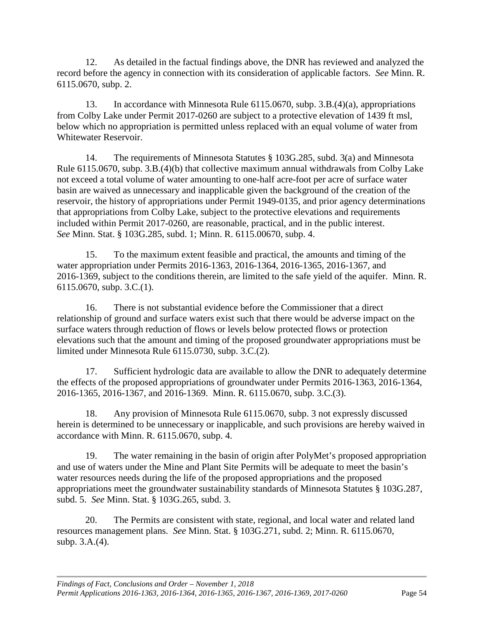12. As detailed in the factual findings above, the DNR has reviewed and analyzed the record before the agency in connection with its consideration of applicable factors. *See* Minn. R. 6115.0670, subp. 2.

13. In accordance with Minnesota Rule 6115.0670, subp. 3.B.(4)(a), appropriations from Colby Lake under Permit 2017-0260 are subject to a protective elevation of 1439 ft msl, below which no appropriation is permitted unless replaced with an equal volume of water from Whitewater Reservoir.

14. The requirements of Minnesota Statutes § 103G.285, subd. 3(a) and Minnesota Rule 6115.0670, subp. 3.B.(4)(b) that collective maximum annual withdrawals from Colby Lake not exceed a total volume of water amounting to one-half acre-foot per acre of surface water basin are waived as unnecessary and inapplicable given the background of the creation of the reservoir, the history of appropriations under Permit 1949-0135, and prior agency determinations that appropriations from Colby Lake, subject to the protective elevations and requirements included within Permit 2017-0260, are reasonable, practical, and in the public interest. *See* Minn. Stat. § 103G.285, subd. 1; Minn. R. 6115.00670, subp. 4.

15. To the maximum extent feasible and practical, the amounts and timing of the water appropriation under Permits 2016-1363, 2016-1364, 2016-1365, 2016-1367, and 2016-1369, subject to the conditions therein, are limited to the safe yield of the aquifer. Minn. R. 6115.0670, subp. 3.C.(1).

16. There is not substantial evidence before the Commissioner that a direct relationship of ground and surface waters exist such that there would be adverse impact on the surface waters through reduction of flows or levels below protected flows or protection elevations such that the amount and timing of the proposed groundwater appropriations must be limited under Minnesota Rule 6115.0730, subp. 3.C.(2).

17. Sufficient hydrologic data are available to allow the DNR to adequately determine the effects of the proposed appropriations of groundwater under Permits 2016-1363, 2016-1364, 2016-1365, 2016-1367, and 2016-1369. Minn. R. 6115.0670, subp. 3.C.(3).

18. Any provision of Minnesota Rule 6115.0670, subp. 3 not expressly discussed herein is determined to be unnecessary or inapplicable, and such provisions are hereby waived in accordance with Minn. R. 6115.0670, subp. 4.

19. The water remaining in the basin of origin after PolyMet's proposed appropriation and use of waters under the Mine and Plant Site Permits will be adequate to meet the basin's water resources needs during the life of the proposed appropriations and the proposed appropriations meet the groundwater sustainability standards of Minnesota Statutes § 103G.287, subd. 5. *See* Minn. Stat. § 103G.265, subd. 3.

20. The Permits are consistent with state, regional, and local water and related land resources management plans. *See* Minn. Stat. § 103G.271, subd. 2; Minn. R. 6115.0670, subp. 3.A.(4).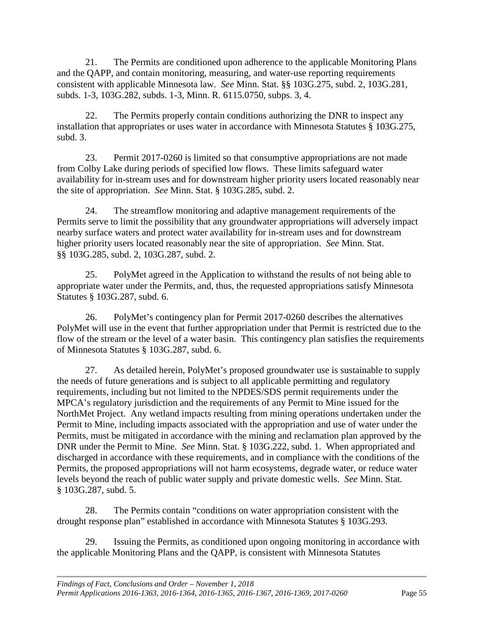21. The Permits are conditioned upon adherence to the applicable Monitoring Plans and the QAPP, and contain monitoring, measuring, and water-use reporting requirements consistent with applicable Minnesota law. *See* Minn. Stat. §§ 103G.275, subd. 2, 103G.281, subds. 1-3, 103G.282, subds. 1-3, Minn. R. 6115.0750, subps. 3, 4.

22. The Permits properly contain conditions authorizing the DNR to inspect any installation that appropriates or uses water in accordance with Minnesota Statutes § 103G.275, subd. 3.

23. Permit 2017-0260 is limited so that consumptive appropriations are not made from Colby Lake during periods of specified low flows. These limits safeguard water availability for in-stream uses and for downstream higher priority users located reasonably near the site of appropriation. *See* Minn. Stat. § 103G.285, subd. 2.

24. The streamflow monitoring and adaptive management requirements of the Permits serve to limit the possibility that any groundwater appropriations will adversely impact nearby surface waters and protect water availability for in-stream uses and for downstream higher priority users located reasonably near the site of appropriation. *See* Minn. Stat. §§ 103G.285, subd. 2, 103G.287, subd. 2.

25. PolyMet agreed in the Application to withstand the results of not being able to appropriate water under the Permits, and, thus, the requested appropriations satisfy Minnesota Statutes § 103G.287, subd. 6.

26. PolyMet's contingency plan for Permit 2017-0260 describes the alternatives PolyMet will use in the event that further appropriation under that Permit is restricted due to the flow of the stream or the level of a water basin. This contingency plan satisfies the requirements of Minnesota Statutes § 103G.287, subd. 6.

27. As detailed herein, PolyMet's proposed groundwater use is sustainable to supply the needs of future generations and is subject to all applicable permitting and regulatory requirements, including but not limited to the NPDES/SDS permit requirements under the MPCA's regulatory jurisdiction and the requirements of any Permit to Mine issued for the NorthMet Project. Any wetland impacts resulting from mining operations undertaken under the Permit to Mine, including impacts associated with the appropriation and use of water under the Permits, must be mitigated in accordance with the mining and reclamation plan approved by the DNR under the Permit to Mine. *See* Minn. Stat. § 103G.222, subd. 1. When appropriated and discharged in accordance with these requirements, and in compliance with the conditions of the Permits, the proposed appropriations will not harm ecosystems, degrade water, or reduce water levels beyond the reach of public water supply and private domestic wells. *See* Minn. Stat. § 103G.287, subd. 5.

28. The Permits contain "conditions on water appropriation consistent with the drought response plan" established in accordance with Minnesota Statutes § 103G.293.

29. Issuing the Permits, as conditioned upon ongoing monitoring in accordance with the applicable Monitoring Plans and the QAPP, is consistent with Minnesota Statutes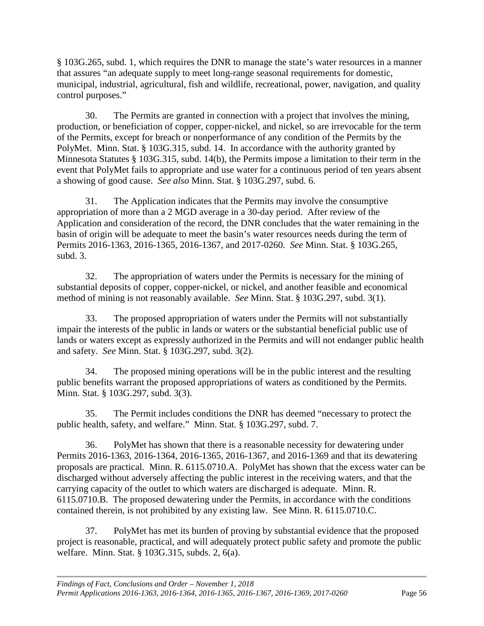§ 103G.265, subd. 1, which requires the DNR to manage the state's water resources in a manner that assures "an adequate supply to meet long-range seasonal requirements for domestic, municipal, industrial, agricultural, fish and wildlife, recreational, power, navigation, and quality control purposes."

30. The Permits are granted in connection with a project that involves the mining, production, or beneficiation of copper, copper-nickel, and nickel, so are irrevocable for the term of the Permits, except for breach or nonperformance of any condition of the Permits by the PolyMet. Minn. Stat. § 103G.315, subd. 14.In accordance with the authority granted by Minnesota Statutes § 103G.315, subd. 14(b), the Permits impose a limitation to their term in the event that PolyMet fails to appropriate and use water for a continuous period of ten years absent a showing of good cause. *See also* Minn. Stat. § 103G.297, subd. 6.

31. The Application indicates that the Permits may involve the consumptive appropriation of more than a 2 MGD average in a 30-day period. After review of the Application and consideration of the record, the DNR concludes that the water remaining in the basin of origin will be adequate to meet the basin's water resources needs during the term of Permits 2016-1363, 2016-1365, 2016-1367, and 2017-0260. *See* Minn. Stat. § 103G.265, subd. 3.

32. The appropriation of waters under the Permits is necessary for the mining of substantial deposits of copper, copper-nickel, or nickel, and another feasible and economical method of mining is not reasonably available. *See* Minn. Stat. § 103G.297, subd. 3(1).

33. The proposed appropriation of waters under the Permits will not substantially impair the interests of the public in lands or waters or the substantial beneficial public use of lands or waters except as expressly authorized in the Permits and will not endanger public health and safety. *See* Minn. Stat. § 103G.297, subd. 3(2).

34. The proposed mining operations will be in the public interest and the resulting public benefits warrant the proposed appropriations of waters as conditioned by the Permits. Minn. Stat. § 103G.297, subd. 3(3).

35. The Permit includes conditions the DNR has deemed "necessary to protect the public health, safety, and welfare." Minn. Stat. § 103G.297, subd. 7.

36. PolyMet has shown that there is a reasonable necessity for dewatering under Permits 2016-1363, 2016-1364, 2016-1365, 2016-1367, and 2016-1369 and that its dewatering proposals are practical. Minn. R. 6115.0710.A. PolyMet has shown that the excess water can be discharged without adversely affecting the public interest in the receiving waters, and that the carrying capacity of the outlet to which waters are discharged is adequate. Minn. R. 6115.0710.B. The proposed dewatering under the Permits, in accordance with the conditions contained therein, is not prohibited by any existing law. See Minn. R. 6115.0710.C.

37. PolyMet has met its burden of proving by substantial evidence that the proposed project is reasonable, practical, and will adequately protect public safety and promote the public welfare. Minn. Stat. § 103G.315, subds. 2, 6(a).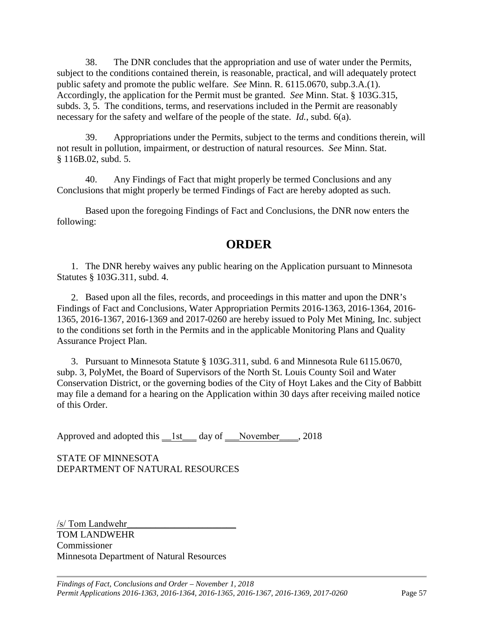38. The DNR concludes that the appropriation and use of water under the Permits, subject to the conditions contained therein, is reasonable, practical, and will adequately protect public safety and promote the public welfare. *See* Minn. R. 6115.0670, subp.3.A.(1). Accordingly, the application for the Permit must be granted. *See* Minn. Stat. § 103G.315, subds. 3, 5. The conditions, terms, and reservations included in the Permit are reasonably necessary for the safety and welfare of the people of the state. *Id.*, subd. 6(a).

39. Appropriations under the Permits, subject to the terms and conditions therein, will not result in pollution, impairment, or destruction of natural resources. *See* Minn. Stat. § 116B.02, subd. 5.

40. Any Findings of Fact that might properly be termed Conclusions and any Conclusions that might properly be termed Findings of Fact are hereby adopted as such.

Based upon the foregoing Findings of Fact and Conclusions, the DNR now enters the following:

## **ORDER**

<span id="page-60-0"></span>1. The DNR hereby waives any public hearing on the Application pursuant to Minnesota Statutes § 103G.311, subd. 4.

2. Based upon all the files, records, and proceedings in this matter and upon the DNR's Findings of Fact and Conclusions, Water Appropriation Permits 2016-1363, 2016-1364, 2016- 1365, 2016-1367, 2016-1369 and 2017-0260 are hereby issued to Poly Met Mining, Inc. subject to the conditions set forth in the Permits and in the applicable Monitoring Plans and Quality Assurance Project Plan.

3. Pursuant to Minnesota Statute § 103G.311, subd. 6 and Minnesota Rule 6115.0670, subp. 3, PolyMet, the Board of Supervisors of the North St. Louis County Soil and Water Conservation District, or the governing bodies of the City of Hoyt Lakes and the City of Babbitt may file a demand for a hearing on the Application within 30 days after receiving mailed notice of this Order.

Approved and adopted this \_1st\_\_ day of \_\_November\_\_\_, 2018

STATE OF MINNESOTA DEPARTMENT OF NATURAL RESOURCES

/s/ Tom Landwehr TOM LANDWEHR Commissioner Minnesota Department of Natural Resources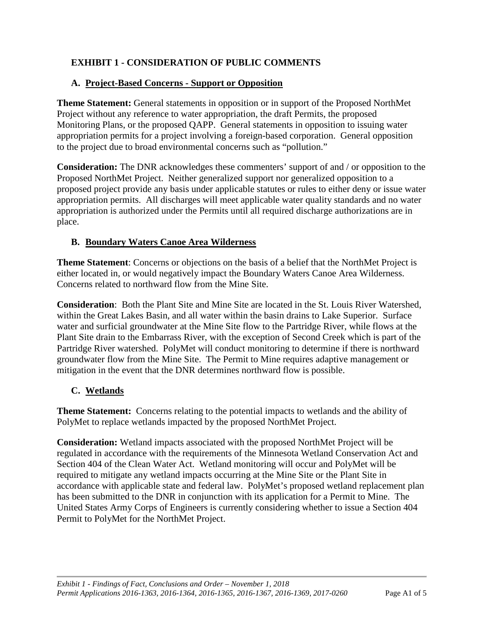## <span id="page-61-0"></span>**EXHIBIT 1 - CONSIDERATION OF PUBLIC COMMENTS**

#### <span id="page-61-1"></span>**A. Project-Based Concerns - Support or Opposition**

**Theme Statement:** General statements in opposition or in support of the Proposed NorthMet Project without any reference to water appropriation, the draft Permits, the proposed Monitoring Plans, or the proposed QAPP. General statements in opposition to issuing water appropriation permits for a project involving a foreign-based corporation. General opposition to the project due to broad environmental concerns such as "pollution."

**Consideration:** The DNR acknowledges these commenters' support of and / or opposition to the Proposed NorthMet Project. Neither generalized support nor generalized opposition to a proposed project provide any basis under applicable statutes or rules to either deny or issue water appropriation permits. All discharges will meet applicable water quality standards and no water appropriation is authorized under the Permits until all required discharge authorizations are in place.

#### <span id="page-61-2"></span>**B. Boundary Waters Canoe Area Wilderness**

**Theme Statement**: Concerns or objections on the basis of a belief that the NorthMet Project is either located in, or would negatively impact the Boundary Waters Canoe Area Wilderness. Concerns related to northward flow from the Mine Site.

**Consideration**: Both the Plant Site and Mine Site are located in the St. Louis River Watershed, within the Great Lakes Basin, and all water within the basin drains to Lake Superior. Surface water and surficial groundwater at the Mine Site flow to the Partridge River, while flows at the Plant Site drain to the Embarrass River, with the exception of Second Creek which is part of the Partridge River watershed. PolyMet will conduct monitoring to determine if there is northward groundwater flow from the Mine Site. The Permit to Mine requires adaptive management or mitigation in the event that the DNR determines northward flow is possible.

#### <span id="page-61-3"></span>**C. Wetlands**

**Theme Statement:** Concerns relating to the potential impacts to wetlands and the ability of PolyMet to replace wetlands impacted by the proposed NorthMet Project.

**Consideration:** Wetland impacts associated with the proposed NorthMet Project will be regulated in accordance with the requirements of the Minnesota Wetland Conservation Act and Section 404 of the Clean Water Act. Wetland monitoring will occur and PolyMet will be required to mitigate any wetland impacts occurring at the Mine Site or the Plant Site in accordance with applicable state and federal law. PolyMet's proposed wetland replacement plan has been submitted to the DNR in conjunction with its application for a Permit to Mine. The United States Army Corps of Engineers is currently considering whether to issue a Section 404 Permit to PolyMet for the NorthMet Project.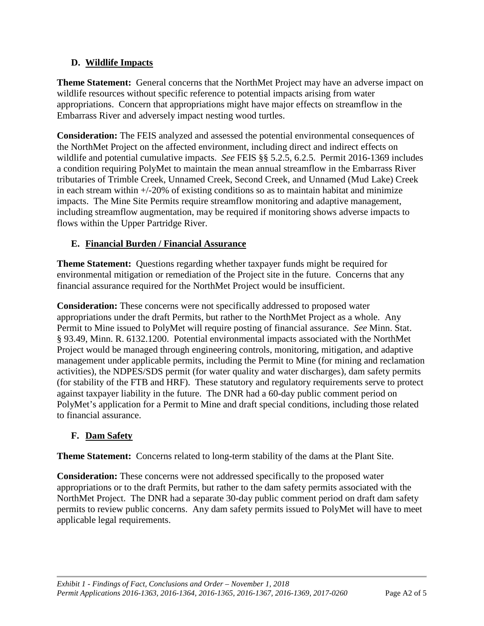#### <span id="page-62-0"></span>**D. Wildlife Impacts**

**Theme Statement:** General concerns that the NorthMet Project may have an adverse impact on wildlife resources without specific reference to potential impacts arising from water appropriations. Concern that appropriations might have major effects on streamflow in the Embarrass River and adversely impact nesting wood turtles.

**Consideration:** The FEIS analyzed and assessed the potential environmental consequences of the NorthMet Project on the affected environment, including direct and indirect effects on wildlife and potential cumulative impacts. *See* FEIS §§ 5.2.5, 6.2.5. Permit 2016-1369 includes a condition requiring PolyMet to maintain the mean annual streamflow in the Embarrass River tributaries of Trimble Creek, Unnamed Creek, Second Creek, and Unnamed (Mud Lake) Creek in each stream within +/-20% of existing conditions so as to maintain habitat and minimize impacts. The Mine Site Permits require streamflow monitoring and adaptive management, including streamflow augmentation, may be required if monitoring shows adverse impacts to flows within the Upper Partridge River.

## <span id="page-62-1"></span>**E. Financial Burden / Financial Assurance**

**Theme Statement:** Questions regarding whether taxpayer funds might be required for environmental mitigation or remediation of the Project site in the future. Concerns that any financial assurance required for the NorthMet Project would be insufficient.

**Consideration:** These concerns were not specifically addressed to proposed water appropriations under the draft Permits, but rather to the NorthMet Project as a whole. Any Permit to Mine issued to PolyMet will require posting of financial assurance. *See* Minn. Stat. § 93.49, Minn. R. 6132.1200. Potential environmental impacts associated with the NorthMet Project would be managed through engineering controls, monitoring, mitigation, and adaptive management under applicable permits, including the Permit to Mine (for mining and reclamation activities), the NDPES/SDS permit (for water quality and water discharges), dam safety permits (for stability of the FTB and HRF). These statutory and regulatory requirements serve to protect against taxpayer liability in the future. The DNR had a 60-day public comment period on PolyMet's application for a Permit to Mine and draft special conditions, including those related to financial assurance.

## <span id="page-62-2"></span>**F. Dam Safety**

**Theme Statement:** Concerns related to long-term stability of the dams at the Plant Site.

**Consideration:** These concerns were not addressed specifically to the proposed water appropriations or to the draft Permits, but rather to the dam safety permits associated with the NorthMet Project. The DNR had a separate 30-day public comment period on draft dam safety permits to review public concerns. Any dam safety permits issued to PolyMet will have to meet applicable legal requirements.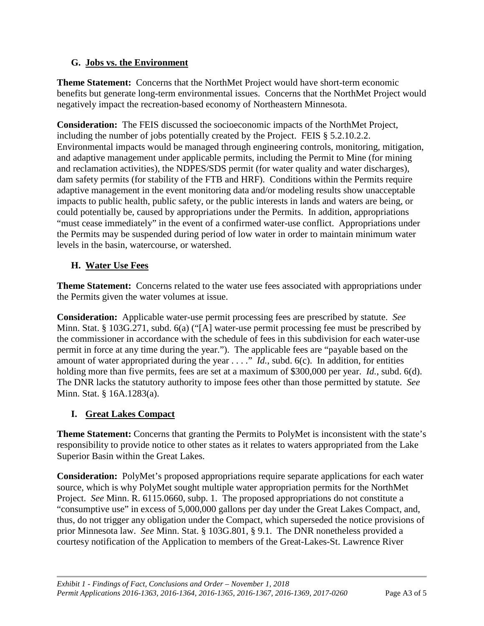#### <span id="page-63-0"></span>**G. Jobs vs. the Environment**

**Theme Statement:** Concerns that the NorthMet Project would have short-term economic benefits but generate long-term environmental issues. Concerns that the NorthMet Project would negatively impact the recreation-based economy of Northeastern Minnesota.

**Consideration:** The FEIS discussed the socioeconomic impacts of the NorthMet Project, including the number of jobs potentially created by the Project. FEIS § 5.2.10.2.2. Environmental impacts would be managed through engineering controls, monitoring, mitigation, and adaptive management under applicable permits, including the Permit to Mine (for mining and reclamation activities), the NDPES/SDS permit (for water quality and water discharges), dam safety permits (for stability of the FTB and HRF). Conditions within the Permits require adaptive management in the event monitoring data and/or modeling results show unacceptable impacts to public health, public safety, or the public interests in lands and waters are being, or could potentially be, caused by appropriations under the Permits. In addition, appropriations "must cease immediately" in the event of a confirmed water-use conflict. Appropriations under the Permits may be suspended during period of low water in order to maintain minimum water levels in the basin, watercourse, or watershed.

#### <span id="page-63-1"></span>**H. Water Use Fees**

**Theme Statement:** Concerns related to the water use fees associated with appropriations under the Permits given the water volumes at issue.

**Consideration:** Applicable water-use permit processing fees are prescribed by statute. *See*  Minn. Stat. § 103G.271, subd. 6(a) ("[A] water-use permit processing fee must be prescribed by the commissioner in accordance with the schedule of fees in this subdivision for each water-use permit in force at any time during the year."). The applicable fees are "payable based on the amount of water appropriated during the year . . . ." *Id.*, subd. 6(c). In addition, for entities holding more than five permits, fees are set at a maximum of \$300,000 per year. *Id.*, subd. 6(d). The DNR lacks the statutory authority to impose fees other than those permitted by statute. *See*  Minn. Stat. § 16A.1283(a).

#### <span id="page-63-2"></span>**I. Great Lakes Compact**

**Theme Statement:** Concerns that granting the Permits to PolyMet is inconsistent with the state's responsibility to provide notice to other states as it relates to waters appropriated from the Lake Superior Basin within the Great Lakes.

**Consideration:** PolyMet's proposed appropriations require separate applications for each water source, which is why PolyMet sought multiple water appropriation permits for the NorthMet Project. *See* Minn. R. 6115.0660, subp. 1. The proposed appropriations do not constitute a "consumptive use" in excess of 5,000,000 gallons per day under the Great Lakes Compact, and, thus, do not trigger any obligation under the Compact, which superseded the notice provisions of prior Minnesota law. *See* Minn. Stat. § 103G.801, § 9.1. The DNR nonetheless provided a courtesy notification of the Application to members of the Great-Lakes-St. Lawrence River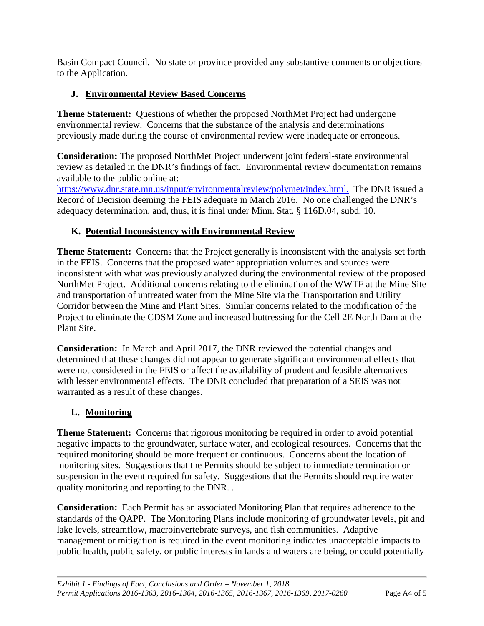Basin Compact Council. No state or province provided any substantive comments or objections to the Application.

#### <span id="page-64-0"></span>**J. Environmental Review Based Concerns**

**Theme Statement:** Questions of whether the proposed NorthMet Project had undergone environmental review. Concerns that the substance of the analysis and determinations previously made during the course of environmental review were inadequate or erroneous.

**Consideration:** The proposed NorthMet Project underwent joint federal-state environmental review as detailed in the DNR's findings of fact. Environmental review documentation remains available to the public online at:

[https://www.dnr.state.mn.us/input/environmentalreview/polymet/index.html.](https://www.dnr.state.mn.us/input/environmentalreview/polymet/index.html) The DNR issued a Record of Decision deeming the FEIS adequate in March 2016. No one challenged the DNR's adequacy determination, and, thus, it is final under Minn. Stat. § 116D.04, subd. 10.

## <span id="page-64-1"></span>**K. Potential Inconsistency with Environmental Review**

**Theme Statement:** Concerns that the Project generally is inconsistent with the analysis set forth in the FEIS. Concerns that the proposed water appropriation volumes and sources were inconsistent with what was previously analyzed during the environmental review of the proposed NorthMet Project. Additional concerns relating to the elimination of the WWTF at the Mine Site and transportation of untreated water from the Mine Site via the Transportation and Utility Corridor between the Mine and Plant Sites. Similar concerns related to the modification of the Project to eliminate the CDSM Zone and increased buttressing for the Cell 2E North Dam at the Plant Site.

**Consideration:** In March and April 2017, the DNR reviewed the potential changes and determined that these changes did not appear to generate significant environmental effects that were not considered in the FEIS or affect the availability of prudent and feasible alternatives with lesser environmental effects. The DNR concluded that preparation of a SEIS was not warranted as a result of these changes.

#### <span id="page-64-2"></span>**L. Monitoring**

**Theme Statement:** Concerns that rigorous monitoring be required in order to avoid potential negative impacts to the groundwater, surface water, and ecological resources. Concerns that the required monitoring should be more frequent or continuous. Concerns about the location of monitoring sites. Suggestions that the Permits should be subject to immediate termination or suspension in the event required for safety. Suggestions that the Permits should require water quality monitoring and reporting to the DNR. .

**Consideration:** Each Permit has an associated Monitoring Plan that requires adherence to the standards of the QAPP. The Monitoring Plans include monitoring of groundwater levels, pit and lake levels, streamflow, macroinvertebrate surveys, and fish communities. Adaptive management or mitigation is required in the event monitoring indicates unacceptable impacts to public health, public safety, or public interests in lands and waters are being, or could potentially